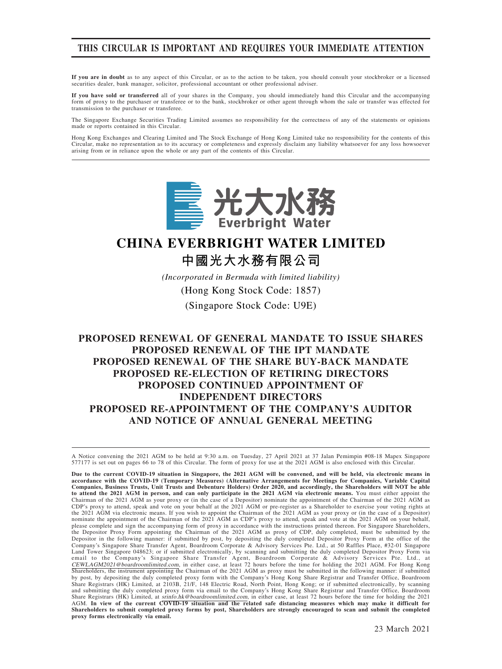# THIS CIRCULAR IS IMPORTANT AND REQUIRES YOUR IMMEDIATE ATTENTION

If you are in doubt as to any aspect of this Circular, or as to the action to be taken, you should consult your stockbroker or a licensed securities dealer, bank manager, solicitor, professional accountant or other professional adviser.

If you have sold or transferred all of your shares in the Company, you should immediately hand this Circular and the accompanying form of proxy to the purchaser or transferee or to the bank, stockbroker or other agent through whom the sale or transfer was effected for transmission to the purchaser or transferee.

The Singapore Exchange Securities Trading Limited assumes no responsibility for the correctness of any of the statements or opinions made or reports contained in this Circular.

Hong Kong Exchanges and Clearing Limited and The Stock Exchange of Hong Kong Limited take no responsibility for the contents of this Circular, make no representation as to its accuracy or completeness and expressly disclaim any liability whatsoever for any loss howsoever arising from or in reliance upon the whole or any part of the contents of this Circular.



# **CHINA EVERBRIGHT WATER LIMITED 中國光大水務有限公司**

*(Incorporated in Bermuda with limited liability)*

(Hong Kong Stock Code: 1857)

(Singapore Stock Code: U9E)

# PROPOSED RENEWAL OF GENERAL MANDATE TO ISSUE SHARES PROPOSED RENEWAL OF THE IPT MANDATE PROPOSED RENEWAL OF THE SHARE BUY-BACK MANDATE PROPOSED RE-ELECTION OF RETIRING DIRECTORS PROPOSED CONTINUED APPOINTMENT OF INDEPENDENT DIRECTORS PROPOSED RE-APPOINTMENT OF THE COMPANY'S AUDITOR AND NOTICE OF ANNUAL GENERAL MEETING

A Notice convening the 2021 AGM to be held at 9:30 a.m. on Tuesday, 27 April 2021 at 37 Jalan Pemimpin #08-18 Mapex Singapore<br>577177 is set out on pages 66 to 78 of this Circular. The form of proxy for use at the 2021 AGM

Due to the current COVID-19 situation in Singapore, the 2021 AGM will be convened, and will be held, via electronic means in<br>accordance with the COVID-19 (Temporary Measures) (Alternative Arrangements for Meetings for Comp Chairman of the 2021 AGM as your proxy or (in the case of a Depositor) nominate the appointment of the Chairman of the 2021 AGM as CDP's proxy to attend, speak and vote on your behalf at the 2021 AGM or pre-register as a Shareholder to exercise your voting rights at the 2021 AGM via electronic means. If you wish to appoint the Chairman of the 2021 AGM as your proxy or (in the case of a Depositor) nominate the appointment of the Chairman of the 2021 AGM as CDP's proxy to attend, speak and vote at the 2021 AGM on your behalf, please complete and sign the accompanying form of proxy in accordance with the instructions printed thereon. For Singapore Shareholders, the Depositor Proxy Form appointing the Chairman of the 2021 AGM as proxy of CDP, duly completed, must be submitted by the Depositor in the following manner: if submitted by post, by depositing the duly completed Depositor Proxy Form at the office of the<br>Company's Singapore Share Transfer Agent, Boardroom Corporate & Advisory Services Pte. Ltd email to the Company's Singapore Share Transfer Agent, Boardroom Corporate & Advisory Services Pte. Ltd., at<br>CEWLAGM2021@boardroomlimited.com, in either case, at least 72 hours before the time for holding the 2021 AGM. For Shareholders, the instrument appointing the Chairman of the 2021 AGM as proxy must be submitted in the following manner: if submitted by post, by depositing the duly completed proxy form with the Company's Hong Kong Share Registrar and Transfer Office, Boardroom Share Registrars (HK) Limited, at 2103B, 21/F, 148 Electric Road, North Point, Hong Kong; or if submitted electronically, by scanning and submitting the duly completed proxy form via email to the Company's Hong Kong Share Registrar and Transfer Office, Boardroom Share Registrars (HK) Limited, at srinfo.hk@boardroomlimited.com, in either case, at least 72 hours before the time for holding the 2021<br>AGM. In view of the current COVID-19 situation and the related safe distancing measur Shareholders to submit completed proxy forms by post, Shareholders are strongly encouraged to scan and submit the completed proxy forms electronically via email.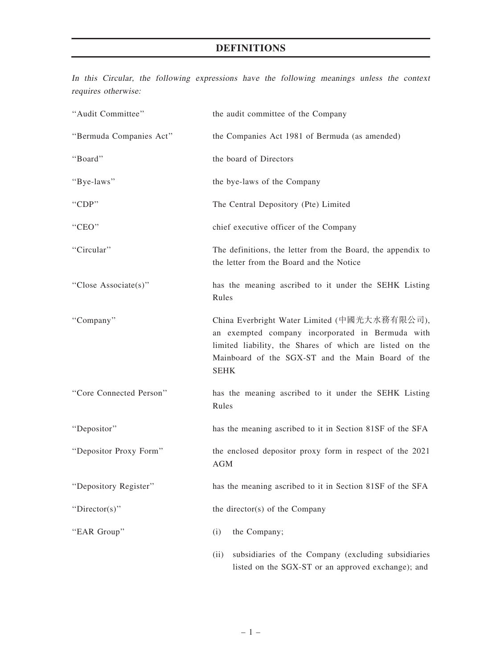# DEFINITIONS

In this Circular, the following expressions have the following meanings unless the context requires otherwise:

| "Audit Committee"       | the audit committee of the Company                                                                                                                                                                                               |  |  |  |  |  |
|-------------------------|----------------------------------------------------------------------------------------------------------------------------------------------------------------------------------------------------------------------------------|--|--|--|--|--|
| "Bermuda Companies Act" | the Companies Act 1981 of Bermuda (as amended)                                                                                                                                                                                   |  |  |  |  |  |
| "Board"                 | the board of Directors                                                                                                                                                                                                           |  |  |  |  |  |
| "Bye-laws"              | the bye-laws of the Company                                                                                                                                                                                                      |  |  |  |  |  |
| "CDP"                   | The Central Depository (Pte) Limited                                                                                                                                                                                             |  |  |  |  |  |
| "CEO"                   | chief executive officer of the Company                                                                                                                                                                                           |  |  |  |  |  |
| "Circular"              | The definitions, the letter from the Board, the appendix to<br>the letter from the Board and the Notice                                                                                                                          |  |  |  |  |  |
| "Close Associate(s)"    | has the meaning ascribed to it under the SEHK Listing<br>Rules                                                                                                                                                                   |  |  |  |  |  |
| "Company"               | China Everbright Water Limited (中國光大水務有限公司),<br>an exempted company incorporated in Bermuda with<br>limited liability, the Shares of which are listed on the<br>Mainboard of the SGX-ST and the Main Board of the<br><b>SEHK</b> |  |  |  |  |  |
| "Core Connected Person" | has the meaning ascribed to it under the SEHK Listing<br>Rules                                                                                                                                                                   |  |  |  |  |  |
| "Depositor"             | has the meaning ascribed to it in Section 81SF of the SFA                                                                                                                                                                        |  |  |  |  |  |
| "Depositor Proxy Form"  | the enclosed depositor proxy form in respect of the 2021<br>AGM                                                                                                                                                                  |  |  |  |  |  |
| "Depository Register"   | has the meaning ascribed to it in Section 81SF of the SFA                                                                                                                                                                        |  |  |  |  |  |
| "Director(s)"           | the director(s) of the Company                                                                                                                                                                                                   |  |  |  |  |  |
| "EAR Group"             | the Company;<br>(i)                                                                                                                                                                                                              |  |  |  |  |  |
|                         | subsidiaries of the Company (excluding subsidiaries<br>(ii)<br>listed on the SGX-ST or an approved exchange); and                                                                                                                |  |  |  |  |  |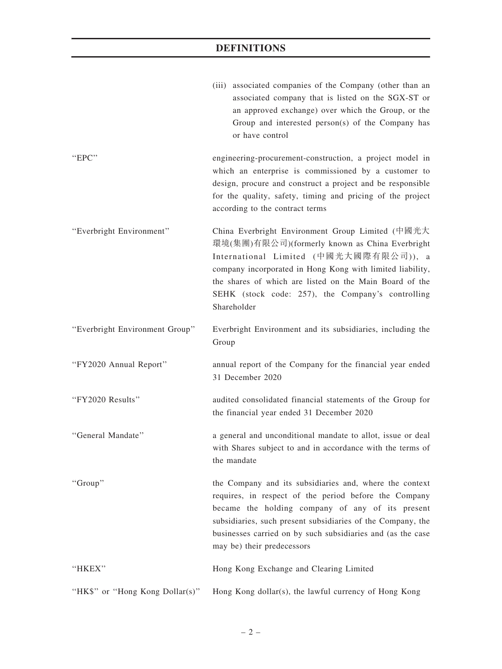|                                 | (iii) associated companies of the Company (other than an<br>associated company that is listed on the SGX-ST or<br>an approved exchange) over which the Group, or the<br>Group and interested person(s) of the Company has<br>or have control                                                                                             |
|---------------------------------|------------------------------------------------------------------------------------------------------------------------------------------------------------------------------------------------------------------------------------------------------------------------------------------------------------------------------------------|
| "EPC"                           | engineering-procurement-construction, a project model in<br>which an enterprise is commissioned by a customer to<br>design, procure and construct a project and be responsible<br>for the quality, safety, timing and pricing of the project<br>according to the contract terms                                                          |
| "Everbright Environment"        | China Everbright Environment Group Limited (中國光大<br>環境(集團)有限公司)(formerly known as China Everbright<br>International Limited (中國光大國際有限公司)), a<br>company incorporated in Hong Kong with limited liability,<br>the shares of which are listed on the Main Board of the<br>SEHK (stock code: 257), the Company's controlling<br>Shareholder |
| "Everbright Environment Group"  | Everbright Environment and its subsidiaries, including the<br>Group                                                                                                                                                                                                                                                                      |
| "FY2020 Annual Report"          | annual report of the Company for the financial year ended<br>31 December 2020                                                                                                                                                                                                                                                            |
| "FY2020 Results"                | audited consolidated financial statements of the Group for<br>the financial year ended 31 December 2020                                                                                                                                                                                                                                  |
| "General Mandate"               | a general and unconditional mandate to allot, issue or deal<br>with Shares subject to and in accordance with the terms of<br>the mandate                                                                                                                                                                                                 |
| "Group"                         | the Company and its subsidiaries and, where the context<br>requires, in respect of the period before the Company<br>became the holding company of any of its present<br>subsidiaries, such present subsidiaries of the Company, the<br>businesses carried on by such subsidiaries and (as the case<br>may be) their predecessors         |
| "HKEX"                          | Hong Kong Exchange and Clearing Limited                                                                                                                                                                                                                                                                                                  |
| "HK\$" or "Hong Kong Dollar(s)" | Hong Kong dollar(s), the lawful currency of Hong Kong                                                                                                                                                                                                                                                                                    |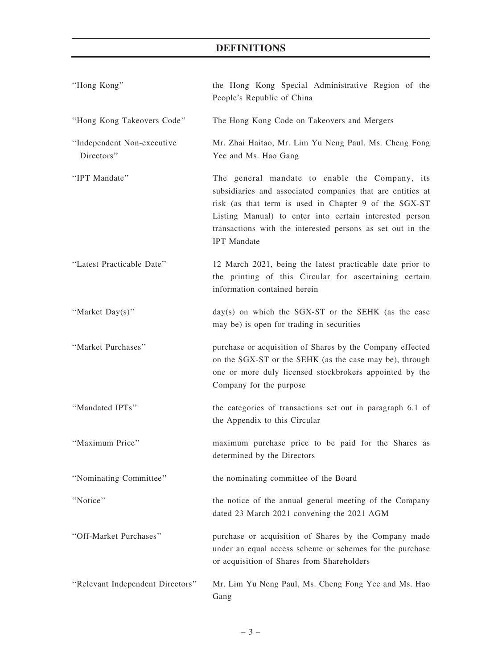# DEFINITIONS

| "Hong Kong"                              | the Hong Kong Special Administrative Region of the<br>People's Republic of China                                                                                                                                                                                                                                     |
|------------------------------------------|----------------------------------------------------------------------------------------------------------------------------------------------------------------------------------------------------------------------------------------------------------------------------------------------------------------------|
| "Hong Kong Takeovers Code"               | The Hong Kong Code on Takeovers and Mergers                                                                                                                                                                                                                                                                          |
| "Independent Non-executive<br>Directors" | Mr. Zhai Haitao, Mr. Lim Yu Neng Paul, Ms. Cheng Fong<br>Yee and Ms. Hao Gang                                                                                                                                                                                                                                        |
| "IPT Mandate"                            | The general mandate to enable the Company, its<br>subsidiaries and associated companies that are entities at<br>risk (as that term is used in Chapter 9 of the SGX-ST<br>Listing Manual) to enter into certain interested person<br>transactions with the interested persons as set out in the<br><b>IPT</b> Mandate |
| "Latest Practicable Date"                | 12 March 2021, being the latest practicable date prior to<br>the printing of this Circular for ascertaining certain<br>information contained herein                                                                                                                                                                  |
| "Market Day(s)"                          | $day(s)$ on which the SGX-ST or the SEHK (as the case<br>may be) is open for trading in securities                                                                                                                                                                                                                   |
| "Market Purchases"                       | purchase or acquisition of Shares by the Company effected<br>on the SGX-ST or the SEHK (as the case may be), through<br>one or more duly licensed stockbrokers appointed by the<br>Company for the purpose                                                                                                           |
| "Mandated IPTs"                          | the categories of transactions set out in paragraph 6.1 of<br>the Appendix to this Circular                                                                                                                                                                                                                          |
| "Maximum Price"                          | maximum purchase price to be paid for the Shares as<br>determined by the Directors                                                                                                                                                                                                                                   |
| "Nominating Committee"                   | the nominating committee of the Board                                                                                                                                                                                                                                                                                |
| "Notice"                                 | the notice of the annual general meeting of the Company<br>dated 23 March 2021 convening the 2021 AGM                                                                                                                                                                                                                |
| "Off-Market Purchases"                   | purchase or acquisition of Shares by the Company made<br>under an equal access scheme or schemes for the purchase<br>or acquisition of Shares from Shareholders                                                                                                                                                      |
| "Relevant Independent Directors"         | Mr. Lim Yu Neng Paul, Ms. Cheng Fong Yee and Ms. Hao<br>Gang                                                                                                                                                                                                                                                         |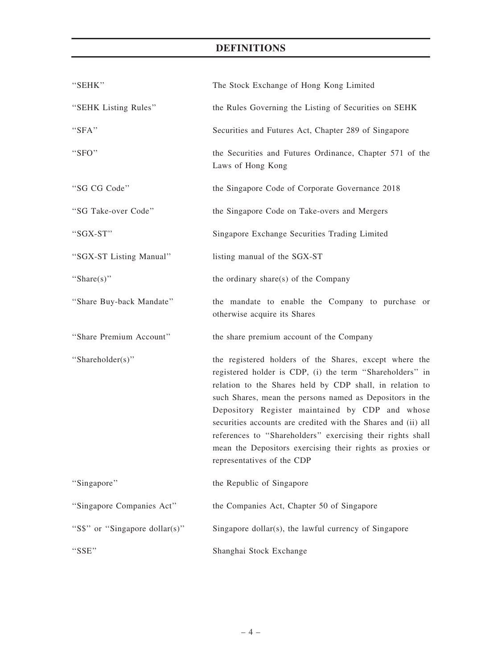# DEFINITIONS

| "SEHK"                         | The Stock Exchange of Hong Kong Limited                                                                                                                                                                                                                                                                                                                                                                                                                                                                                 |
|--------------------------------|-------------------------------------------------------------------------------------------------------------------------------------------------------------------------------------------------------------------------------------------------------------------------------------------------------------------------------------------------------------------------------------------------------------------------------------------------------------------------------------------------------------------------|
| "SEHK Listing Rules"           | the Rules Governing the Listing of Securities on SEHK                                                                                                                                                                                                                                                                                                                                                                                                                                                                   |
| "SFA"                          | Securities and Futures Act, Chapter 289 of Singapore                                                                                                                                                                                                                                                                                                                                                                                                                                                                    |
| "SFO"                          | the Securities and Futures Ordinance, Chapter 571 of the<br>Laws of Hong Kong                                                                                                                                                                                                                                                                                                                                                                                                                                           |
| "SG CG Code"                   | the Singapore Code of Corporate Governance 2018                                                                                                                                                                                                                                                                                                                                                                                                                                                                         |
| "SG Take-over Code"            | the Singapore Code on Take-overs and Mergers                                                                                                                                                                                                                                                                                                                                                                                                                                                                            |
| "SGX-ST"                       | Singapore Exchange Securities Trading Limited                                                                                                                                                                                                                                                                                                                                                                                                                                                                           |
| "SGX-ST Listing Manual"        | listing manual of the SGX-ST                                                                                                                                                                                                                                                                                                                                                                                                                                                                                            |
| "Share $(s)$ "                 | the ordinary share(s) of the Company                                                                                                                                                                                                                                                                                                                                                                                                                                                                                    |
| "Share Buy-back Mandate"       | the mandate to enable the Company to purchase or<br>otherwise acquire its Shares                                                                                                                                                                                                                                                                                                                                                                                                                                        |
| "Share Premium Account"        | the share premium account of the Company                                                                                                                                                                                                                                                                                                                                                                                                                                                                                |
| "Shareholder(s)"               | the registered holders of the Shares, except where the<br>registered holder is CDP, (i) the term "Shareholders" in<br>relation to the Shares held by CDP shall, in relation to<br>such Shares, mean the persons named as Depositors in the<br>Depository Register maintained by CDP and whose<br>securities accounts are credited with the Shares and (ii) all<br>references to "Shareholders" exercising their rights shall<br>mean the Depositors exercising their rights as proxies or<br>representatives of the CDP |
| "Singapore"                    | the Republic of Singapore                                                                                                                                                                                                                                                                                                                                                                                                                                                                                               |
| "Singapore Companies Act"      | the Companies Act, Chapter 50 of Singapore                                                                                                                                                                                                                                                                                                                                                                                                                                                                              |
| "S\$" or "Singapore dollar(s)" | Singapore dollar(s), the lawful currency of Singapore                                                                                                                                                                                                                                                                                                                                                                                                                                                                   |
| "SSE"                          | Shanghai Stock Exchange                                                                                                                                                                                                                                                                                                                                                                                                                                                                                                 |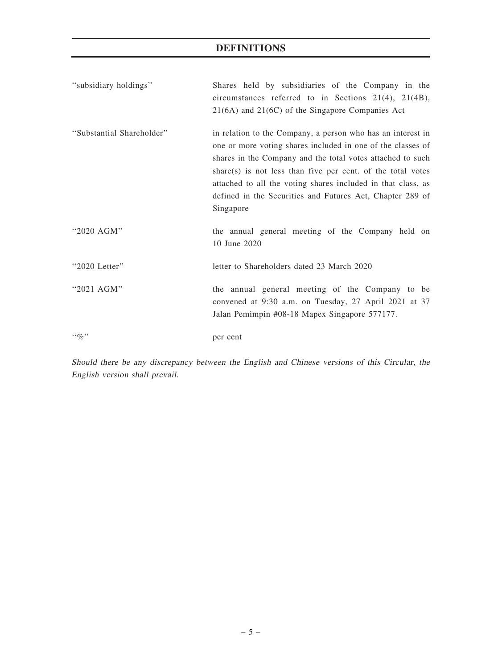| "subsidiary holdings"     | Shares held by subsidiaries of the Company in the<br>circumstances referred to in Sections $21(4)$ , $21(4B)$ ,<br>$21(6A)$ and $21(6C)$ of the Singapore Companies Act                                                                                                                                                                                                                           |
|---------------------------|---------------------------------------------------------------------------------------------------------------------------------------------------------------------------------------------------------------------------------------------------------------------------------------------------------------------------------------------------------------------------------------------------|
| "Substantial Shareholder" | in relation to the Company, a person who has an interest in<br>one or more voting shares included in one of the classes of<br>shares in the Company and the total votes attached to such<br>share(s) is not less than five per cent. of the total votes<br>attached to all the voting shares included in that class, as<br>defined in the Securities and Futures Act, Chapter 289 of<br>Singapore |
| "2020 AGM"                | the annual general meeting of the Company held on<br>10 June 2020                                                                                                                                                                                                                                                                                                                                 |
| "2020 Letter"             | letter to Shareholders dated 23 March 2020                                                                                                                                                                                                                                                                                                                                                        |
| " $2021$ AGM"             | the annual general meeting of the Company to be<br>convened at 9:30 a.m. on Tuesday, 27 April 2021 at 37<br>Jalan Pemimpin #08-18 Mapex Singapore 577177.                                                                                                                                                                                                                                         |
| $\lq\lq q_0$ "            | per cent                                                                                                                                                                                                                                                                                                                                                                                          |

Should there be any discrepancy between the English and Chinese versions of this Circular, the English version shall prevail.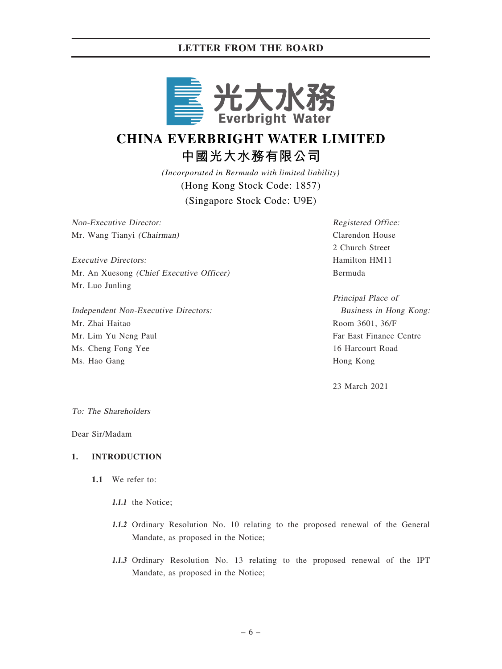

# **CHINA EVERBRIGHT WATER LIMITED 中國光大水務有限公司**

*(Incorporated in Bermuda with limited liability)* (Hong Kong Stock Code: 1857) (Singapore Stock Code: U9E)

Non-Executive Director: Mr. Wang Tianyi (Chairman)

Executive Directors: Mr. An Xuesong (Chief Executive Officer) Mr. Luo Junling

Independent Non-Executive Directors: Mr. Zhai Haitao Mr. Lim Yu Neng Paul Ms. Cheng Fong Yee Ms. Hao Gang

Registered Office: Clarendon House 2 Church Street Hamilton HM11 Bermuda

Principal Place of Business in Hong Kong: Room 3601, 36/F Far East Finance Centre 16 Harcourt Road Hong Kong

23 March 2021

#### To: The Shareholders

Dear Sir/Madam

### 1. INTRODUCTION

- 1.1 We refer to:
	- 1.1.1 the Notice;
	- 1.1.2 Ordinary Resolution No. 10 relating to the proposed renewal of the General Mandate, as proposed in the Notice;
	- 1.1.3 Ordinary Resolution No. 13 relating to the proposed renewal of the IPT Mandate, as proposed in the Notice;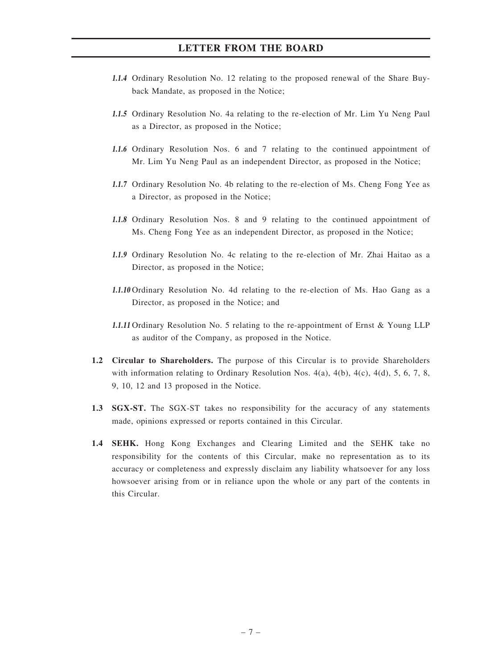- 1.1.4 Ordinary Resolution No. 12 relating to the proposed renewal of the Share Buyback Mandate, as proposed in the Notice;
- 1.1.5 Ordinary Resolution No. 4a relating to the re-election of Mr. Lim Yu Neng Paul as a Director, as proposed in the Notice;
- 1.1.6 Ordinary Resolution Nos. 6 and 7 relating to the continued appointment of Mr. Lim Yu Neng Paul as an independent Director, as proposed in the Notice;
- 1.1.7 Ordinary Resolution No. 4b relating to the re-election of Ms. Cheng Fong Yee as a Director, as proposed in the Notice;
- 1.1.8 Ordinary Resolution Nos. 8 and 9 relating to the continued appointment of Ms. Cheng Fong Yee as an independent Director, as proposed in the Notice;
- 1.1.9 Ordinary Resolution No. 4c relating to the re-election of Mr. Zhai Haitao as a Director, as proposed in the Notice;
- 1.1.10 Ordinary Resolution No. 4d relating to the re-election of Ms. Hao Gang as a Director, as proposed in the Notice; and
- 1.1.11 Ordinary Resolution No. 5 relating to the re-appointment of Ernst & Young LLP as auditor of the Company, as proposed in the Notice.
- 1.2 Circular to Shareholders. The purpose of this Circular is to provide Shareholders with information relating to Ordinary Resolution Nos.  $4(a)$ ,  $4(b)$ ,  $4(c)$ ,  $4(d)$ ,  $5$ ,  $6$ ,  $7$ ,  $8$ , 9, 10, 12 and 13 proposed in the Notice.
- 1.3 SGX-ST. The SGX-ST takes no responsibility for the accuracy of any statements made, opinions expressed or reports contained in this Circular.
- 1.4 SEHK. Hong Kong Exchanges and Clearing Limited and the SEHK take no responsibility for the contents of this Circular, make no representation as to its accuracy or completeness and expressly disclaim any liability whatsoever for any loss howsoever arising from or in reliance upon the whole or any part of the contents in this Circular.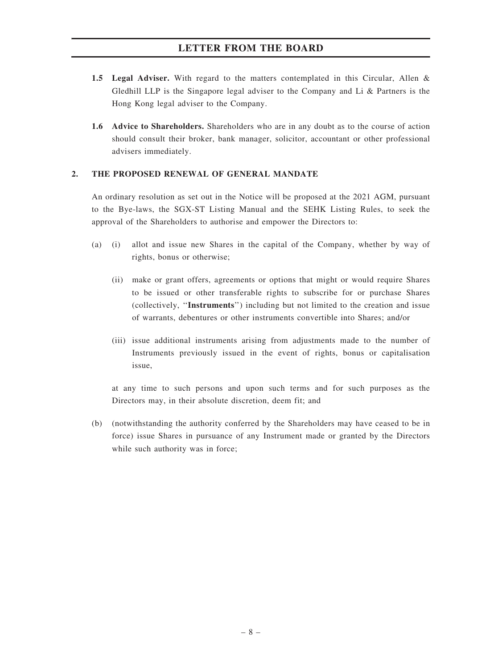- 1.5 Legal Adviser. With regard to the matters contemplated in this Circular, Allen & Gledhill LLP is the Singapore legal adviser to the Company and Li  $\&$  Partners is the Hong Kong legal adviser to the Company.
- 1.6 Advice to Shareholders. Shareholders who are in any doubt as to the course of action should consult their broker, bank manager, solicitor, accountant or other professional advisers immediately.

### 2. THE PROPOSED RENEWAL OF GENERAL MANDATE

An ordinary resolution as set out in the Notice will be proposed at the 2021 AGM, pursuant to the Bye-laws, the SGX-ST Listing Manual and the SEHK Listing Rules, to seek the approval of the Shareholders to authorise and empower the Directors to:

- (a) (i) allot and issue new Shares in the capital of the Company, whether by way of rights, bonus or otherwise;
	- (ii) make or grant offers, agreements or options that might or would require Shares to be issued or other transferable rights to subscribe for or purchase Shares (collectively, ''Instruments'') including but not limited to the creation and issue of warrants, debentures or other instruments convertible into Shares; and/or
	- (iii) issue additional instruments arising from adjustments made to the number of Instruments previously issued in the event of rights, bonus or capitalisation issue,

at any time to such persons and upon such terms and for such purposes as the Directors may, in their absolute discretion, deem fit; and

(b) (notwithstanding the authority conferred by the Shareholders may have ceased to be in force) issue Shares in pursuance of any Instrument made or granted by the Directors while such authority was in force;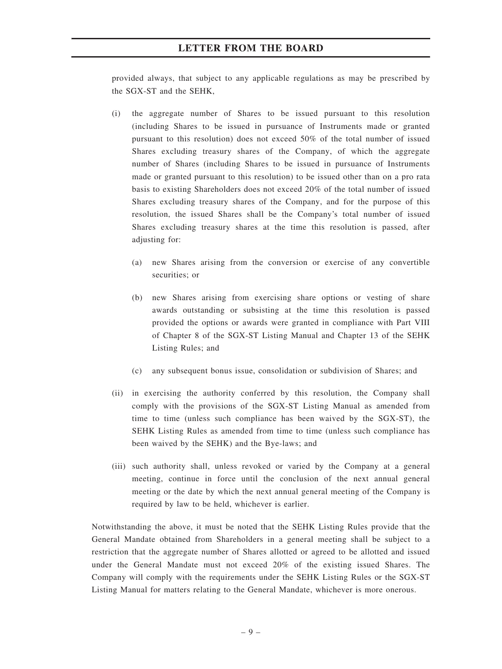provided always, that subject to any applicable regulations as may be prescribed by the SGX-ST and the SEHK,

- (i) the aggregate number of Shares to be issued pursuant to this resolution (including Shares to be issued in pursuance of Instruments made or granted pursuant to this resolution) does not exceed 50% of the total number of issued Shares excluding treasury shares of the Company, of which the aggregate number of Shares (including Shares to be issued in pursuance of Instruments made or granted pursuant to this resolution) to be issued other than on a pro rata basis to existing Shareholders does not exceed 20% of the total number of issued Shares excluding treasury shares of the Company, and for the purpose of this resolution, the issued Shares shall be the Company's total number of issued Shares excluding treasury shares at the time this resolution is passed, after adjusting for:
	- (a) new Shares arising from the conversion or exercise of any convertible securities: or
	- (b) new Shares arising from exercising share options or vesting of share awards outstanding or subsisting at the time this resolution is passed provided the options or awards were granted in compliance with Part VIII of Chapter 8 of the SGX-ST Listing Manual and Chapter 13 of the SEHK Listing Rules; and
	- (c) any subsequent bonus issue, consolidation or subdivision of Shares; and
- (ii) in exercising the authority conferred by this resolution, the Company shall comply with the provisions of the SGX-ST Listing Manual as amended from time to time (unless such compliance has been waived by the SGX-ST), the SEHK Listing Rules as amended from time to time (unless such compliance has been waived by the SEHK) and the Bye-laws; and
- (iii) such authority shall, unless revoked or varied by the Company at a general meeting, continue in force until the conclusion of the next annual general meeting or the date by which the next annual general meeting of the Company is required by law to be held, whichever is earlier.

Notwithstanding the above, it must be noted that the SEHK Listing Rules provide that the General Mandate obtained from Shareholders in a general meeting shall be subject to a restriction that the aggregate number of Shares allotted or agreed to be allotted and issued under the General Mandate must not exceed 20% of the existing issued Shares. The Company will comply with the requirements under the SEHK Listing Rules or the SGX-ST Listing Manual for matters relating to the General Mandate, whichever is more onerous.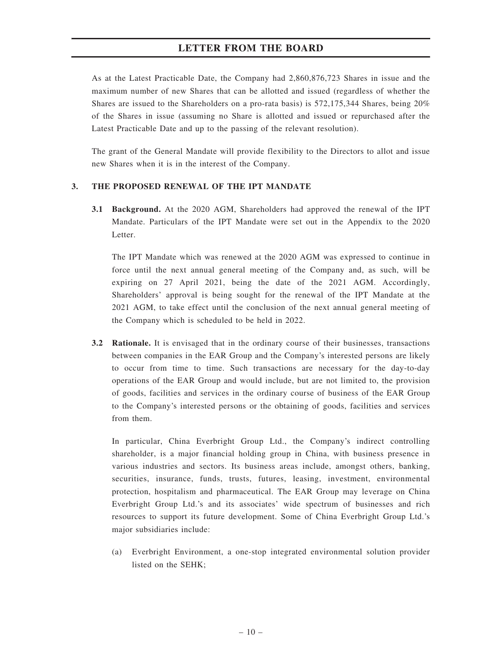As at the Latest Practicable Date, the Company had 2,860,876,723 Shares in issue and the maximum number of new Shares that can be allotted and issued (regardless of whether the Shares are issued to the Shareholders on a pro-rata basis) is 572,175,344 Shares, being 20% of the Shares in issue (assuming no Share is allotted and issued or repurchased after the Latest Practicable Date and up to the passing of the relevant resolution).

The grant of the General Mandate will provide flexibility to the Directors to allot and issue new Shares when it is in the interest of the Company.

### 3. THE PROPOSED RENEWAL OF THE IPT MANDATE

3.1 Background. At the 2020 AGM, Shareholders had approved the renewal of the IPT Mandate. Particulars of the IPT Mandate were set out in the Appendix to the 2020 Letter.

The IPT Mandate which was renewed at the 2020 AGM was expressed to continue in force until the next annual general meeting of the Company and, as such, will be expiring on 27 April 2021, being the date of the 2021 AGM. Accordingly, Shareholders' approval is being sought for the renewal of the IPT Mandate at the 2021 AGM, to take effect until the conclusion of the next annual general meeting of the Company which is scheduled to be held in 2022.

3.2 Rationale. It is envisaged that in the ordinary course of their businesses, transactions between companies in the EAR Group and the Company's interested persons are likely to occur from time to time. Such transactions are necessary for the day-to-day operations of the EAR Group and would include, but are not limited to, the provision of goods, facilities and services in the ordinary course of business of the EAR Group to the Company's interested persons or the obtaining of goods, facilities and services from them.

In particular, China Everbright Group Ltd., the Company's indirect controlling shareholder, is a major financial holding group in China, with business presence in various industries and sectors. Its business areas include, amongst others, banking, securities, insurance, funds, trusts, futures, leasing, investment, environmental protection, hospitalism and pharmaceutical. The EAR Group may leverage on China Everbright Group Ltd.'s and its associates' wide spectrum of businesses and rich resources to support its future development. Some of China Everbright Group Ltd.'s major subsidiaries include:

(a) Everbright Environment, a one-stop integrated environmental solution provider listed on the SEHK;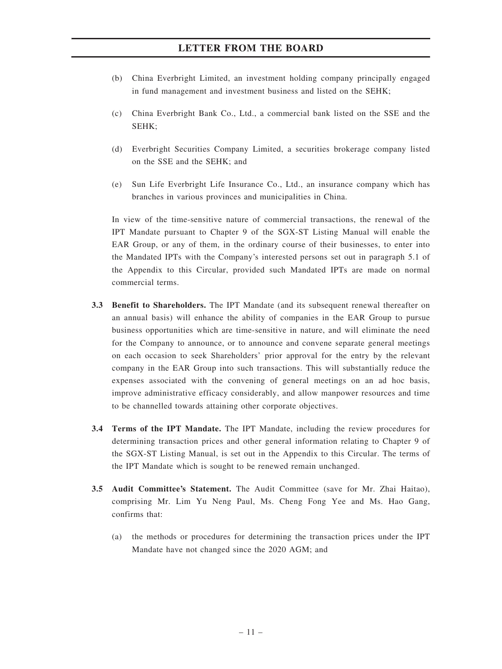- (b) China Everbright Limited, an investment holding company principally engaged in fund management and investment business and listed on the SEHK;
- (c) China Everbright Bank Co., Ltd., a commercial bank listed on the SSE and the SEHK;
- (d) Everbright Securities Company Limited, a securities brokerage company listed on the SSE and the SEHK; and
- (e) Sun Life Everbright Life Insurance Co., Ltd., an insurance company which has branches in various provinces and municipalities in China.

In view of the time-sensitive nature of commercial transactions, the renewal of the IPT Mandate pursuant to Chapter 9 of the SGX-ST Listing Manual will enable the EAR Group, or any of them, in the ordinary course of their businesses, to enter into the Mandated IPTs with the Company's interested persons set out in paragraph 5.1 of the Appendix to this Circular, provided such Mandated IPTs are made on normal commercial terms.

- 3.3 Benefit to Shareholders. The IPT Mandate (and its subsequent renewal thereafter on an annual basis) will enhance the ability of companies in the EAR Group to pursue business opportunities which are time-sensitive in nature, and will eliminate the need for the Company to announce, or to announce and convene separate general meetings on each occasion to seek Shareholders' prior approval for the entry by the relevant company in the EAR Group into such transactions. This will substantially reduce the expenses associated with the convening of general meetings on an ad hoc basis, improve administrative efficacy considerably, and allow manpower resources and time to be channelled towards attaining other corporate objectives.
- 3.4 Terms of the IPT Mandate. The IPT Mandate, including the review procedures for determining transaction prices and other general information relating to Chapter 9 of the SGX-ST Listing Manual, is set out in the Appendix to this Circular. The terms of the IPT Mandate which is sought to be renewed remain unchanged.
- 3.5 Audit Committee's Statement. The Audit Committee (save for Mr. Zhai Haitao), comprising Mr. Lim Yu Neng Paul, Ms. Cheng Fong Yee and Ms. Hao Gang, confirms that:
	- (a) the methods or procedures for determining the transaction prices under the IPT Mandate have not changed since the 2020 AGM; and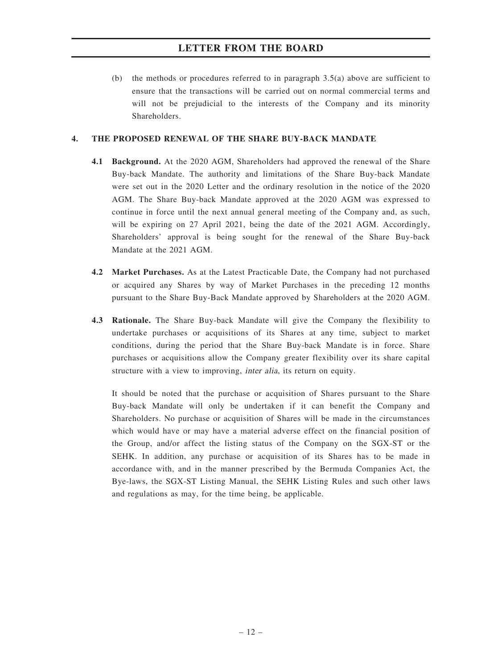(b) the methods or procedures referred to in paragraph  $3.5(a)$  above are sufficient to ensure that the transactions will be carried out on normal commercial terms and will not be prejudicial to the interests of the Company and its minority Shareholders.

### 4. THE PROPOSED RENEWAL OF THE SHARE BUY-BACK MANDATE

- 4.1 Background. At the 2020 AGM, Shareholders had approved the renewal of the Share Buy-back Mandate. The authority and limitations of the Share Buy-back Mandate were set out in the 2020 Letter and the ordinary resolution in the notice of the 2020 AGM. The Share Buy-back Mandate approved at the 2020 AGM was expressed to continue in force until the next annual general meeting of the Company and, as such, will be expiring on 27 April 2021, being the date of the 2021 AGM. Accordingly, Shareholders' approval is being sought for the renewal of the Share Buy-back Mandate at the 2021 AGM.
- 4.2 Market Purchases. As at the Latest Practicable Date, the Company had not purchased or acquired any Shares by way of Market Purchases in the preceding 12 months pursuant to the Share Buy-Back Mandate approved by Shareholders at the 2020 AGM.
- 4.3 Rationale. The Share Buy-back Mandate will give the Company the flexibility to undertake purchases or acquisitions of its Shares at any time, subject to market conditions, during the period that the Share Buy-back Mandate is in force. Share purchases or acquisitions allow the Company greater flexibility over its share capital structure with a view to improving, inter alia, its return on equity.

It should be noted that the purchase or acquisition of Shares pursuant to the Share Buy-back Mandate will only be undertaken if it can benefit the Company and Shareholders. No purchase or acquisition of Shares will be made in the circumstances which would have or may have a material adverse effect on the financial position of the Group, and/or affect the listing status of the Company on the SGX-ST or the SEHK. In addition, any purchase or acquisition of its Shares has to be made in accordance with, and in the manner prescribed by the Bermuda Companies Act, the Bye-laws, the SGX-ST Listing Manual, the SEHK Listing Rules and such other laws and regulations as may, for the time being, be applicable.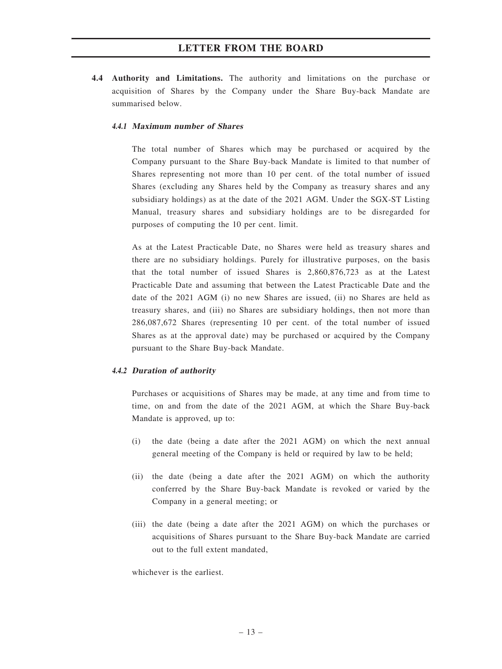4.4 Authority and Limitations. The authority and limitations on the purchase or acquisition of Shares by the Company under the Share Buy-back Mandate are summarised below.

### 4.4.1 Maximum number of Shares

The total number of Shares which may be purchased or acquired by the Company pursuant to the Share Buy-back Mandate is limited to that number of Shares representing not more than 10 per cent. of the total number of issued Shares (excluding any Shares held by the Company as treasury shares and any subsidiary holdings) as at the date of the 2021 AGM. Under the SGX-ST Listing Manual, treasury shares and subsidiary holdings are to be disregarded for purposes of computing the 10 per cent. limit.

As at the Latest Practicable Date, no Shares were held as treasury shares and there are no subsidiary holdings. Purely for illustrative purposes, on the basis that the total number of issued Shares is 2,860,876,723 as at the Latest Practicable Date and assuming that between the Latest Practicable Date and the date of the 2021 AGM (i) no new Shares are issued, (ii) no Shares are held as treasury shares, and (iii) no Shares are subsidiary holdings, then not more than 286,087,672 Shares (representing 10 per cent. of the total number of issued Shares as at the approval date) may be purchased or acquired by the Company pursuant to the Share Buy-back Mandate.

### 4.4.2 Duration of authority

Purchases or acquisitions of Shares may be made, at any time and from time to time, on and from the date of the 2021 AGM, at which the Share Buy-back Mandate is approved, up to:

- (i) the date (being a date after the 2021 AGM) on which the next annual general meeting of the Company is held or required by law to be held;
- (ii) the date (being a date after the 2021 AGM) on which the authority conferred by the Share Buy-back Mandate is revoked or varied by the Company in a general meeting; or
- (iii) the date (being a date after the 2021 AGM) on which the purchases or acquisitions of Shares pursuant to the Share Buy-back Mandate are carried out to the full extent mandated,

whichever is the earliest.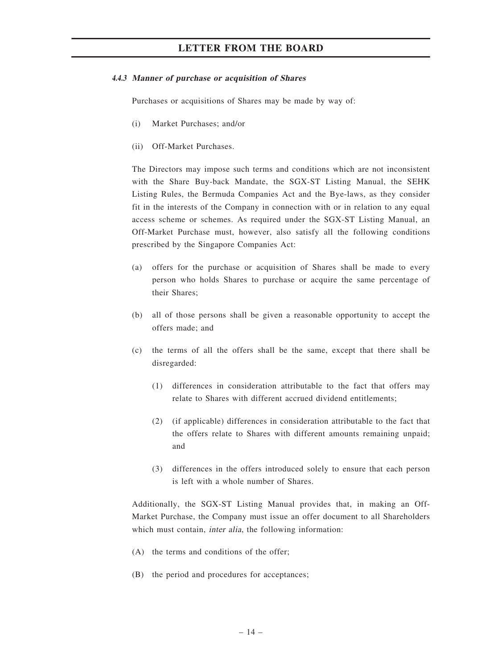#### 4.4.3 Manner of purchase or acquisition of Shares

Purchases or acquisitions of Shares may be made by way of:

- (i) Market Purchases; and/or
- (ii) Off-Market Purchases.

The Directors may impose such terms and conditions which are not inconsistent with the Share Buy-back Mandate, the SGX-ST Listing Manual, the SEHK Listing Rules, the Bermuda Companies Act and the Bye-laws, as they consider fit in the interests of the Company in connection with or in relation to any equal access scheme or schemes. As required under the SGX-ST Listing Manual, an Off-Market Purchase must, however, also satisfy all the following conditions prescribed by the Singapore Companies Act:

- (a) offers for the purchase or acquisition of Shares shall be made to every person who holds Shares to purchase or acquire the same percentage of their Shares;
- (b) all of those persons shall be given a reasonable opportunity to accept the offers made; and
- (c) the terms of all the offers shall be the same, except that there shall be disregarded:
	- (1) differences in consideration attributable to the fact that offers may relate to Shares with different accrued dividend entitlements;
	- (2) (if applicable) differences in consideration attributable to the fact that the offers relate to Shares with different amounts remaining unpaid; and
	- (3) differences in the offers introduced solely to ensure that each person is left with a whole number of Shares.

Additionally, the SGX-ST Listing Manual provides that, in making an Off-Market Purchase, the Company must issue an offer document to all Shareholders which must contain, *inter alia*, the following information:

- (A) the terms and conditions of the offer;
- (B) the period and procedures for acceptances;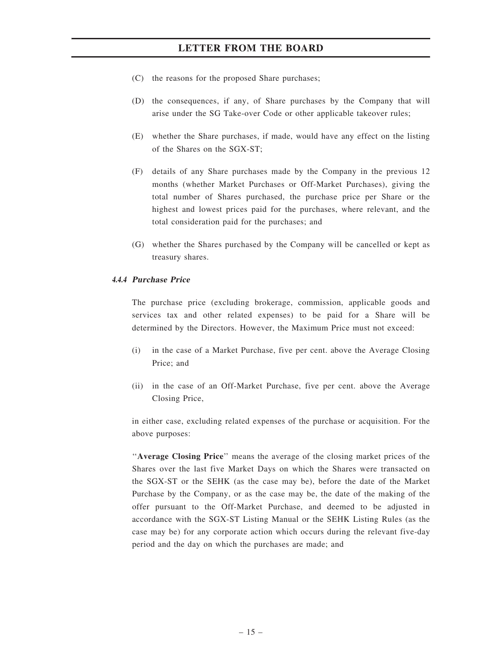- (C) the reasons for the proposed Share purchases;
- (D) the consequences, if any, of Share purchases by the Company that will arise under the SG Take-over Code or other applicable takeover rules;
- (E) whether the Share purchases, if made, would have any effect on the listing of the Shares on the SGX-ST;
- (F) details of any Share purchases made by the Company in the previous 12 months (whether Market Purchases or Off-Market Purchases), giving the total number of Shares purchased, the purchase price per Share or the highest and lowest prices paid for the purchases, where relevant, and the total consideration paid for the purchases; and
- (G) whether the Shares purchased by the Company will be cancelled or kept as treasury shares.

### 4.4.4 Purchase Price

The purchase price (excluding brokerage, commission, applicable goods and services tax and other related expenses) to be paid for a Share will be determined by the Directors. However, the Maximum Price must not exceed:

- (i) in the case of a Market Purchase, five per cent. above the Average Closing Price; and
- (ii) in the case of an Off-Market Purchase, five per cent. above the Average Closing Price,

in either case, excluding related expenses of the purchase or acquisition. For the above purposes:

''Average Closing Price'' means the average of the closing market prices of the Shares over the last five Market Days on which the Shares were transacted on the SGX-ST or the SEHK (as the case may be), before the date of the Market Purchase by the Company, or as the case may be, the date of the making of the offer pursuant to the Off-Market Purchase, and deemed to be adjusted in accordance with the SGX-ST Listing Manual or the SEHK Listing Rules (as the case may be) for any corporate action which occurs during the relevant five-day period and the day on which the purchases are made; and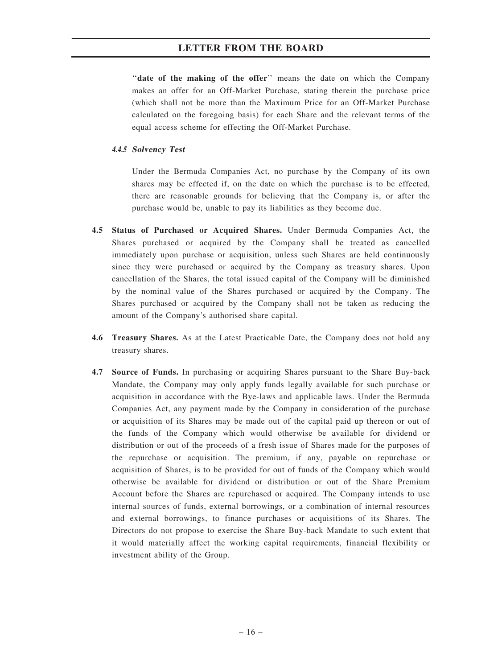''date of the making of the offer'' means the date on which the Company makes an offer for an Off-Market Purchase, stating therein the purchase price (which shall not be more than the Maximum Price for an Off-Market Purchase calculated on the foregoing basis) for each Share and the relevant terms of the equal access scheme for effecting the Off-Market Purchase.

### 4.4.5 Solvency Test

Under the Bermuda Companies Act, no purchase by the Company of its own shares may be effected if, on the date on which the purchase is to be effected, there are reasonable grounds for believing that the Company is, or after the purchase would be, unable to pay its liabilities as they become due.

- 4.5 Status of Purchased or Acquired Shares. Under Bermuda Companies Act, the Shares purchased or acquired by the Company shall be treated as cancelled immediately upon purchase or acquisition, unless such Shares are held continuously since they were purchased or acquired by the Company as treasury shares. Upon cancellation of the Shares, the total issued capital of the Company will be diminished by the nominal value of the Shares purchased or acquired by the Company. The Shares purchased or acquired by the Company shall not be taken as reducing the amount of the Company's authorised share capital.
- 4.6 Treasury Shares. As at the Latest Practicable Date, the Company does not hold any treasury shares.
- 4.7 Source of Funds. In purchasing or acquiring Shares pursuant to the Share Buy-back Mandate, the Company may only apply funds legally available for such purchase or acquisition in accordance with the Bye-laws and applicable laws. Under the Bermuda Companies Act, any payment made by the Company in consideration of the purchase or acquisition of its Shares may be made out of the capital paid up thereon or out of the funds of the Company which would otherwise be available for dividend or distribution or out of the proceeds of a fresh issue of Shares made for the purposes of the repurchase or acquisition. The premium, if any, payable on repurchase or acquisition of Shares, is to be provided for out of funds of the Company which would otherwise be available for dividend or distribution or out of the Share Premium Account before the Shares are repurchased or acquired. The Company intends to use internal sources of funds, external borrowings, or a combination of internal resources and external borrowings, to finance purchases or acquisitions of its Shares. The Directors do not propose to exercise the Share Buy-back Mandate to such extent that it would materially affect the working capital requirements, financial flexibility or investment ability of the Group.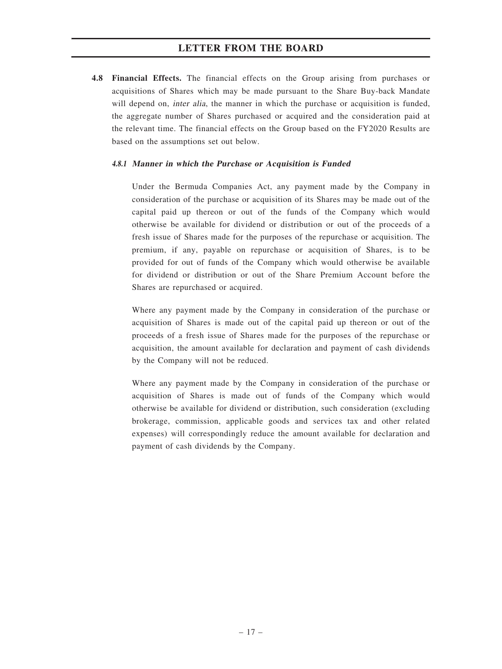4.8 Financial Effects. The financial effects on the Group arising from purchases or acquisitions of Shares which may be made pursuant to the Share Buy-back Mandate will depend on, *inter alia*, the manner in which the purchase or acquisition is funded, the aggregate number of Shares purchased or acquired and the consideration paid at the relevant time. The financial effects on the Group based on the FY2020 Results are based on the assumptions set out below.

### 4.8.1 Manner in which the Purchase or Acquisition is Funded

Under the Bermuda Companies Act, any payment made by the Company in consideration of the purchase or acquisition of its Shares may be made out of the capital paid up thereon or out of the funds of the Company which would otherwise be available for dividend or distribution or out of the proceeds of a fresh issue of Shares made for the purposes of the repurchase or acquisition. The premium, if any, payable on repurchase or acquisition of Shares, is to be provided for out of funds of the Company which would otherwise be available for dividend or distribution or out of the Share Premium Account before the Shares are repurchased or acquired.

Where any payment made by the Company in consideration of the purchase or acquisition of Shares is made out of the capital paid up thereon or out of the proceeds of a fresh issue of Shares made for the purposes of the repurchase or acquisition, the amount available for declaration and payment of cash dividends by the Company will not be reduced.

Where any payment made by the Company in consideration of the purchase or acquisition of Shares is made out of funds of the Company which would otherwise be available for dividend or distribution, such consideration (excluding brokerage, commission, applicable goods and services tax and other related expenses) will correspondingly reduce the amount available for declaration and payment of cash dividends by the Company.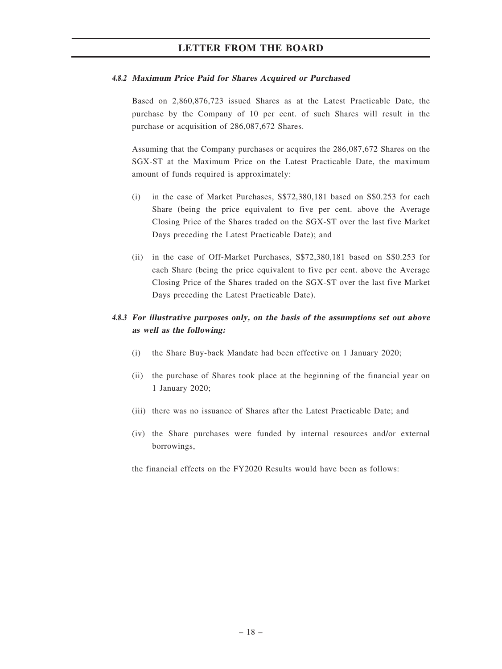### 4.8.2 Maximum Price Paid for Shares Acquired or Purchased

Based on 2,860,876,723 issued Shares as at the Latest Practicable Date, the purchase by the Company of 10 per cent. of such Shares will result in the purchase or acquisition of 286,087,672 Shares.

Assuming that the Company purchases or acquires the 286,087,672 Shares on the SGX-ST at the Maximum Price on the Latest Practicable Date, the maximum amount of funds required is approximately:

- (i) in the case of Market Purchases, S\$72,380,181 based on S\$0.253 for each Share (being the price equivalent to five per cent. above the Average Closing Price of the Shares traded on the SGX-ST over the last five Market Days preceding the Latest Practicable Date); and
- (ii) in the case of Off-Market Purchases, S\$72,380,181 based on S\$0.253 for each Share (being the price equivalent to five per cent. above the Average Closing Price of the Shares traded on the SGX-ST over the last five Market Days preceding the Latest Practicable Date).

# 4.8.3 For illustrative purposes only, on the basis of the assumptions set out above as well as the following:

- (i) the Share Buy-back Mandate had been effective on 1 January 2020;
- (ii) the purchase of Shares took place at the beginning of the financial year on 1 January 2020;
- (iii) there was no issuance of Shares after the Latest Practicable Date; and
- (iv) the Share purchases were funded by internal resources and/or external borrowings,

the financial effects on the FY2020 Results would have been as follows: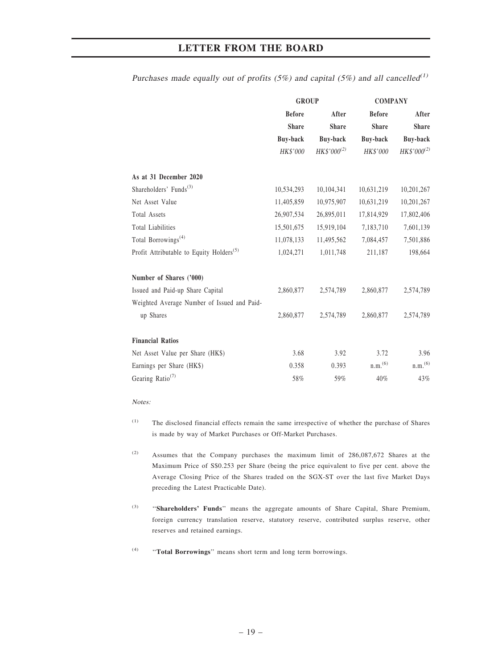Purchases made equally out of profits (5%) and capital (5%) and all cancelled<sup>(1)</sup>

|                                                      | <b>GROUP</b>           |                         | <b>COMPANY</b>  |                         |
|------------------------------------------------------|------------------------|-------------------------|-----------------|-------------------------|
|                                                      | <b>Before</b><br>After |                         | <b>Before</b>   | After                   |
|                                                      | <b>Share</b>           | <b>Share</b>            | <b>Share</b>    | <b>Share</b>            |
|                                                      | <b>Buy-back</b>        | <b>Buy-back</b>         | <b>Buy-back</b> | <b>Buy-back</b>         |
|                                                      | HK\$'000               | $HK$^{\prime}000^{(2)}$ | HK\$'000        | $HK$^{\prime}000^{(2)}$ |
| As at 31 December 2020                               |                        |                         |                 |                         |
| Shareholders' Funds <sup>(3)</sup>                   | 10,534,293             | 10,104,341              | 10,631,219      | 10,201,267              |
| Net Asset Value                                      | 11,405,859             | 10,975,907              | 10,631,219      | 10,201,267              |
| <b>Total Assets</b>                                  | 26,907,534             | 26,895,011              | 17,814,929      | 17,802,406              |
| <b>Total Liabilities</b>                             | 15,501,675             | 15,919,104              | 7,183,710       | 7,601,139               |
| Total Borrowings <sup>(4)</sup>                      | 11,078,133             | 11,495,562              | 7,084,457       | 7,501,886               |
| Profit Attributable to Equity Holders <sup>(5)</sup> | 1,024,271              | 1,011,748               | 211,187         | 198,664                 |
| Number of Shares ('000)                              |                        |                         |                 |                         |
| Issued and Paid-up Share Capital                     | 2,860,877              | 2,574,789               | 2,860,877       | 2,574,789               |
| Weighted Average Number of Issued and Paid-          |                        |                         |                 |                         |
| up Shares                                            | 2,860,877              | 2,574,789               | 2,860,877       | 2,574,789               |
| <b>Financial Ratios</b>                              |                        |                         |                 |                         |
| Net Asset Value per Share (HK\$)                     | 3.68                   | 3.92                    | 3.72            | 3.96                    |
| Earnings per Share (HK\$)                            | 0.358                  | 0.393                   | $n.m.(6)$       | $n.m.$ <sup>(6)</sup>   |
| Gearing Ratio <sup>(7)</sup>                         | 58%                    | 59%                     | 40%             | 43%                     |

#### Notes:

- (1) The disclosed financial effects remain the same irrespective of whether the purchase of Shares is made by way of Market Purchases or Off-Market Purchases.
- (2) Assumes that the Company purchases the maximum limit of 286,087,672 Shares at the Maximum Price of S\$0.253 per Share (being the price equivalent to five per cent. above the Average Closing Price of the Shares traded on the SGX-ST over the last five Market Days preceding the Latest Practicable Date).
- (3) ''Shareholders' Funds'' means the aggregate amounts of Share Capital, Share Premium, foreign currency translation reserve, statutory reserve, contributed surplus reserve, other reserves and retained earnings.
- (4) "Total Borrowings" means short term and long term borrowings.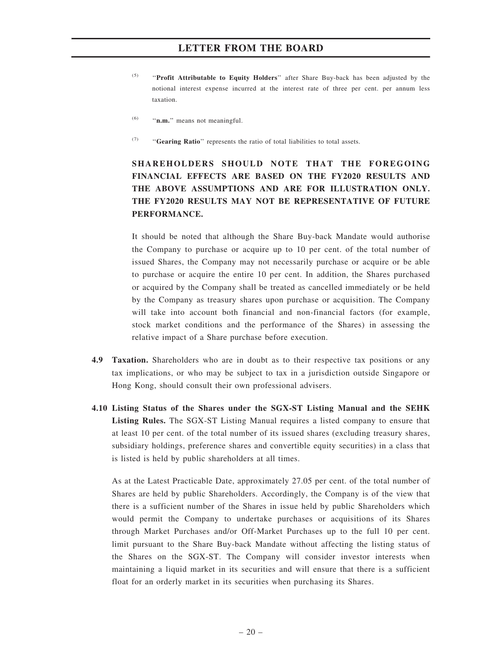- $(5)$  "Profit Attributable to Equity Holders" after Share Buy-back has been adjusted by the notional interest expense incurred at the interest rate of three per cent. per annum less taxation.
- $(6)$  "n.m." means not meaningful.
- $(7)$  ''Gearing Ratio'' represents the ratio of total liabilities to total assets.

# SHAREHOLDERS SHOULD NOTE THAT THE FOREGOING FINANCIAL EFFECTS ARE BASED ON THE FY2020 RESULTS AND THE ABOVE ASSUMPTIONS AND ARE FOR ILLUSTRATION ONLY. THE FY2020 RESULTS MAY NOT BE REPRESENTATIVE OF FUTURE PERFORMANCE.

It should be noted that although the Share Buy-back Mandate would authorise the Company to purchase or acquire up to 10 per cent. of the total number of issued Shares, the Company may not necessarily purchase or acquire or be able to purchase or acquire the entire 10 per cent. In addition, the Shares purchased or acquired by the Company shall be treated as cancelled immediately or be held by the Company as treasury shares upon purchase or acquisition. The Company will take into account both financial and non-financial factors (for example, stock market conditions and the performance of the Shares) in assessing the relative impact of a Share purchase before execution.

- 4.9 Taxation. Shareholders who are in doubt as to their respective tax positions or any tax implications, or who may be subject to tax in a jurisdiction outside Singapore or Hong Kong, should consult their own professional advisers.
- 4.10 Listing Status of the Shares under the SGX-ST Listing Manual and the SEHK Listing Rules. The SGX-ST Listing Manual requires a listed company to ensure that at least 10 per cent. of the total number of its issued shares (excluding treasury shares, subsidiary holdings, preference shares and convertible equity securities) in a class that is listed is held by public shareholders at all times.

As at the Latest Practicable Date, approximately 27.05 per cent. of the total number of Shares are held by public Shareholders. Accordingly, the Company is of the view that there is a sufficient number of the Shares in issue held by public Shareholders which would permit the Company to undertake purchases or acquisitions of its Shares through Market Purchases and/or Off-Market Purchases up to the full 10 per cent. limit pursuant to the Share Buy-back Mandate without affecting the listing status of the Shares on the SGX-ST. The Company will consider investor interests when maintaining a liquid market in its securities and will ensure that there is a sufficient float for an orderly market in its securities when purchasing its Shares.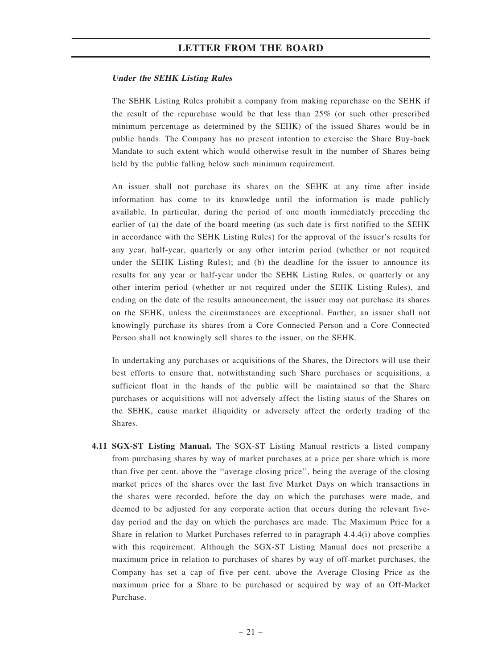### Under the SEHK Listing Rules

The SEHK Listing Rules prohibit a company from making repurchase on the SEHK if the result of the repurchase would be that less than 25% (or such other prescribed minimum percentage as determined by the SEHK) of the issued Shares would be in public hands. The Company has no present intention to exercise the Share Buy-back Mandate to such extent which would otherwise result in the number of Shares being held by the public falling below such minimum requirement.

An issuer shall not purchase its shares on the SEHK at any time after inside information has come to its knowledge until the information is made publicly available. In particular, during the period of one month immediately preceding the earlier of (a) the date of the board meeting (as such date is first notified to the SEHK in accordance with the SEHK Listing Rules) for the approval of the issuer's results for any year, half-year, quarterly or any other interim period (whether or not required under the SEHK Listing Rules); and (b) the deadline for the issuer to announce its results for any year or half-year under the SEHK Listing Rules, or quarterly or any other interim period (whether or not required under the SEHK Listing Rules), and ending on the date of the results announcement, the issuer may not purchase its shares on the SEHK, unless the circumstances are exceptional. Further, an issuer shall not knowingly purchase its shares from a Core Connected Person and a Core Connected Person shall not knowingly sell shares to the issuer, on the SEHK.

In undertaking any purchases or acquisitions of the Shares, the Directors will use their best efforts to ensure that, notwithstanding such Share purchases or acquisitions, a sufficient float in the hands of the public will be maintained so that the Share purchases or acquisitions will not adversely affect the listing status of the Shares on the SEHK, cause market illiquidity or adversely affect the orderly trading of the Shares.

4.11 SGX-ST Listing Manual. The SGX-ST Listing Manual restricts a listed company from purchasing shares by way of market purchases at a price per share which is more than five per cent. above the ''average closing price'', being the average of the closing market prices of the shares over the last five Market Days on which transactions in the shares were recorded, before the day on which the purchases were made, and deemed to be adjusted for any corporate action that occurs during the relevant fiveday period and the day on which the purchases are made. The Maximum Price for a Share in relation to Market Purchases referred to in paragraph 4.4.4(i) above complies with this requirement. Although the SGX-ST Listing Manual does not prescribe a maximum price in relation to purchases of shares by way of off-market purchases, the Company has set a cap of five per cent. above the Average Closing Price as the maximum price for a Share to be purchased or acquired by way of an Off-Market Purchase.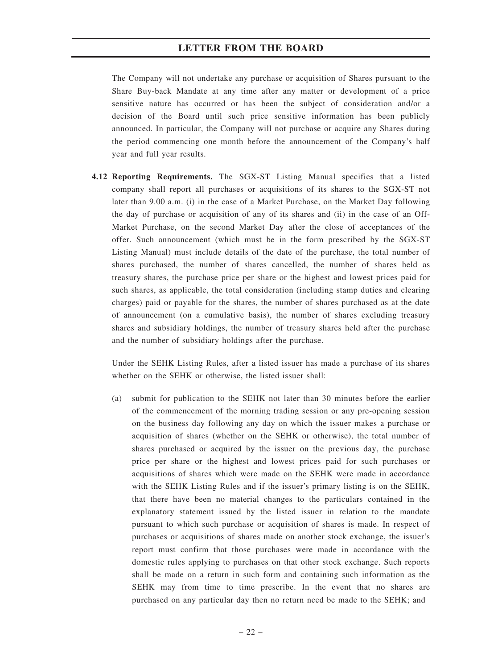The Company will not undertake any purchase or acquisition of Shares pursuant to the Share Buy-back Mandate at any time after any matter or development of a price sensitive nature has occurred or has been the subject of consideration and/or a decision of the Board until such price sensitive information has been publicly announced. In particular, the Company will not purchase or acquire any Shares during the period commencing one month before the announcement of the Company's half year and full year results.

4.12 Reporting Requirements. The SGX-ST Listing Manual specifies that a listed company shall report all purchases or acquisitions of its shares to the SGX-ST not later than 9.00 a.m. (i) in the case of a Market Purchase, on the Market Day following the day of purchase or acquisition of any of its shares and (ii) in the case of an Off-Market Purchase, on the second Market Day after the close of acceptances of the offer. Such announcement (which must be in the form prescribed by the SGX-ST Listing Manual) must include details of the date of the purchase, the total number of shares purchased, the number of shares cancelled, the number of shares held as treasury shares, the purchase price per share or the highest and lowest prices paid for such shares, as applicable, the total consideration (including stamp duties and clearing charges) paid or payable for the shares, the number of shares purchased as at the date of announcement (on a cumulative basis), the number of shares excluding treasury shares and subsidiary holdings, the number of treasury shares held after the purchase and the number of subsidiary holdings after the purchase.

Under the SEHK Listing Rules, after a listed issuer has made a purchase of its shares whether on the SEHK or otherwise, the listed issuer shall:

(a) submit for publication to the SEHK not later than 30 minutes before the earlier of the commencement of the morning trading session or any pre-opening session on the business day following any day on which the issuer makes a purchase or acquisition of shares (whether on the SEHK or otherwise), the total number of shares purchased or acquired by the issuer on the previous day, the purchase price per share or the highest and lowest prices paid for such purchases or acquisitions of shares which were made on the SEHK were made in accordance with the SEHK Listing Rules and if the issuer's primary listing is on the SEHK, that there have been no material changes to the particulars contained in the explanatory statement issued by the listed issuer in relation to the mandate pursuant to which such purchase or acquisition of shares is made. In respect of purchases or acquisitions of shares made on another stock exchange, the issuer's report must confirm that those purchases were made in accordance with the domestic rules applying to purchases on that other stock exchange. Such reports shall be made on a return in such form and containing such information as the SEHK may from time to time prescribe. In the event that no shares are purchased on any particular day then no return need be made to the SEHK; and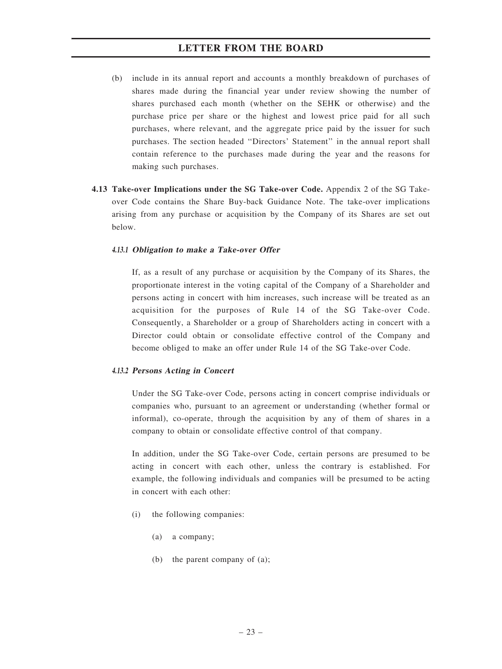- (b) include in its annual report and accounts a monthly breakdown of purchases of shares made during the financial year under review showing the number of shares purchased each month (whether on the SEHK or otherwise) and the purchase price per share or the highest and lowest price paid for all such purchases, where relevant, and the aggregate price paid by the issuer for such purchases. The section headed ''Directors' Statement'' in the annual report shall contain reference to the purchases made during the year and the reasons for making such purchases.
- 4.13 Take-over Implications under the SG Take-over Code. Appendix 2 of the SG Takeover Code contains the Share Buy-back Guidance Note. The take-over implications arising from any purchase or acquisition by the Company of its Shares are set out below.

#### 4.13.1 Obligation to make <sup>a</sup> Take-over Offer

If, as a result of any purchase or acquisition by the Company of its Shares, the proportionate interest in the voting capital of the Company of a Shareholder and persons acting in concert with him increases, such increase will be treated as an acquisition for the purposes of Rule 14 of the SG Take-over Code. Consequently, a Shareholder or a group of Shareholders acting in concert with a Director could obtain or consolidate effective control of the Company and become obliged to make an offer under Rule 14 of the SG Take-over Code.

#### 4.13.2 Persons Acting in Concert

Under the SG Take-over Code, persons acting in concert comprise individuals or companies who, pursuant to an agreement or understanding (whether formal or informal), co-operate, through the acquisition by any of them of shares in a company to obtain or consolidate effective control of that company.

In addition, under the SG Take-over Code, certain persons are presumed to be acting in concert with each other, unless the contrary is established. For example, the following individuals and companies will be presumed to be acting in concert with each other:

- (i) the following companies:
	- (a) a company;
	- (b) the parent company of (a);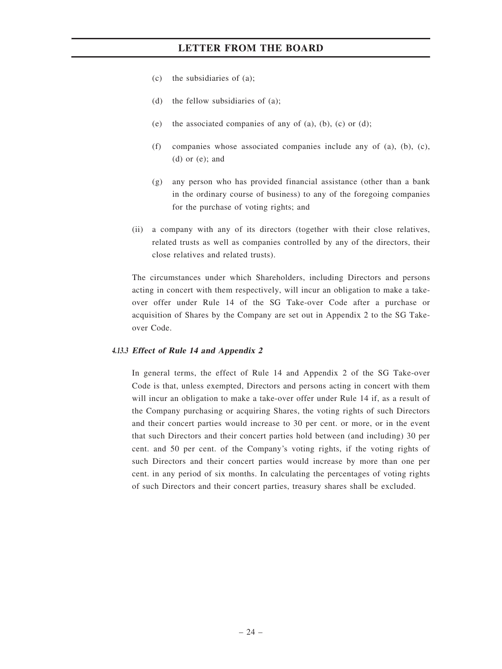- (c) the subsidiaries of (a);
- (d) the fellow subsidiaries of (a);
- (e) the associated companies of any of  $(a)$ ,  $(b)$ ,  $(c)$  or  $(d)$ ;
- (f) companies whose associated companies include any of (a), (b), (c), (d) or (e); and
- (g) any person who has provided financial assistance (other than a bank in the ordinary course of business) to any of the foregoing companies for the purchase of voting rights; and
- (ii) a company with any of its directors (together with their close relatives, related trusts as well as companies controlled by any of the directors, their close relatives and related trusts).

The circumstances under which Shareholders, including Directors and persons acting in concert with them respectively, will incur an obligation to make a takeover offer under Rule 14 of the SG Take-over Code after a purchase or acquisition of Shares by the Company are set out in Appendix 2 to the SG Takeover Code.

### 4.13.3 Effect of Rule 14 and Appendix 2

In general terms, the effect of Rule 14 and Appendix 2 of the SG Take-over Code is that, unless exempted, Directors and persons acting in concert with them will incur an obligation to make a take-over offer under Rule 14 if, as a result of the Company purchasing or acquiring Shares, the voting rights of such Directors and their concert parties would increase to 30 per cent. or more, or in the event that such Directors and their concert parties hold between (and including) 30 per cent. and 50 per cent. of the Company's voting rights, if the voting rights of such Directors and their concert parties would increase by more than one per cent. in any period of six months. In calculating the percentages of voting rights of such Directors and their concert parties, treasury shares shall be excluded.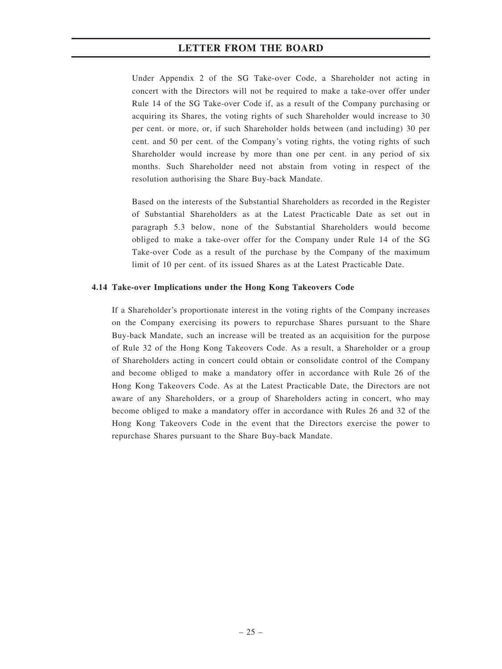Under Appendix 2 of the SG Take-over Code, a Shareholder not acting in concert with the Directors will not be required to make a take-over offer under Rule 14 of the SG Take-over Code if, as a result of the Company purchasing or acquiring its Shares, the voting rights of such Shareholder would increase to 30 per cent. or more, or, if such Shareholder holds between (and including) 30 per cent. and 50 per cent. of the Company's voting rights, the voting rights of such Shareholder would increase by more than one per cent. in any period of six months. Such Shareholder need not abstain from voting in respect of the resolution authorising the Share Buy-back Mandate.

Based on the interests of the Substantial Shareholders as recorded in the Register of Substantial Shareholders as at the Latest Practicable Date as set out in paragraph 5.3 below, none of the Substantial Shareholders would become obliged to make a take-over offer for the Company under Rule 14 of the SG Take-over Code as a result of the purchase by the Company of the maximum limit of 10 per cent. of its issued Shares as at the Latest Practicable Date.

### 4.14 Take-over Implications under the Hong Kong Takeovers Code

If a Shareholder's proportionate interest in the voting rights of the Company increases on the Company exercising its powers to repurchase Shares pursuant to the Share Buy-back Mandate, such an increase will be treated as an acquisition for the purpose of Rule 32 of the Hong Kong Takeovers Code. As a result, a Shareholder or a group of Shareholders acting in concert could obtain or consolidate control of the Company and become obliged to make a mandatory offer in accordance with Rule 26 of the Hong Kong Takeovers Code. As at the Latest Practicable Date, the Directors are not aware of any Shareholders, or a group of Shareholders acting in concert, who may become obliged to make a mandatory offer in accordance with Rules 26 and 32 of the Hong Kong Takeovers Code in the event that the Directors exercise the power to repurchase Shares pursuant to the Share Buy-back Mandate.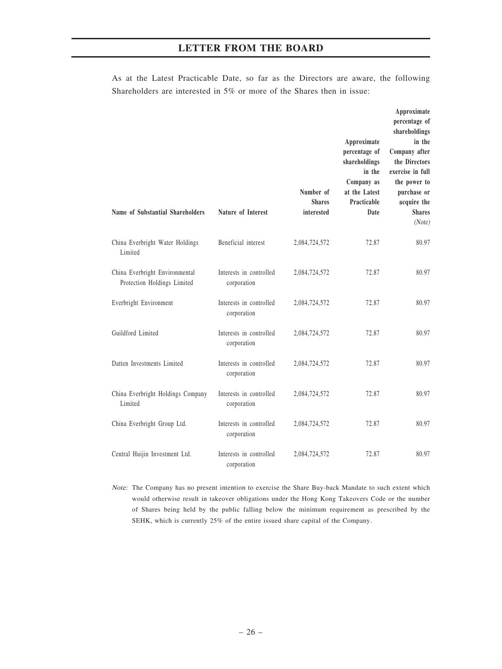|  |  | As at the Latest Practicable Date, so far as the Directors are aware, the following |  |  |  |  |  |  |
|--|--|-------------------------------------------------------------------------------------|--|--|--|--|--|--|
|  |  | Shareholders are interested in $5\%$ or more of the Shares then in issue:           |  |  |  |  |  |  |

|                                                               |                                        | Number of                   | Approximate<br>percentage of<br>shareholdings<br>in the<br>Company as<br>at the Latest | Approximate<br>percentage of<br>shareholdings<br>in the<br>Company after<br>the Directors<br>exercise in full<br>the power to<br>purchase or |
|---------------------------------------------------------------|----------------------------------------|-----------------------------|----------------------------------------------------------------------------------------|----------------------------------------------------------------------------------------------------------------------------------------------|
| Name of Substantial Shareholders                              | Nature of Interest                     | <b>Shares</b><br>interested | Practicable<br>Date                                                                    | acquire the<br><b>Shares</b><br>(Note)                                                                                                       |
| China Everbright Water Holdings<br>Limited                    | Beneficial interest                    | 2,084,724,572               | 72.87                                                                                  | 80.97                                                                                                                                        |
| China Everbright Environmental<br>Protection Holdings Limited | Interests in controlled<br>corporation | 2,084,724,572               | 72.87                                                                                  | 80.97                                                                                                                                        |
| Everbright Environment                                        | Interests in controlled<br>corporation | 2,084,724,572               | 72.87                                                                                  | 80.97                                                                                                                                        |
| Guildford Limited                                             | Interests in controlled<br>corporation | 2,084,724,572               | 72.87                                                                                  | 80.97                                                                                                                                        |
| Datten Investments Limited                                    | Interests in controlled<br>corporation | 2,084,724,572               | 72.87                                                                                  | 80.97                                                                                                                                        |
| China Everbright Holdings Company<br>Limited                  | Interests in controlled<br>corporation | 2,084,724,572               | 72.87                                                                                  | 80.97                                                                                                                                        |
| China Everbright Group Ltd.                                   | Interests in controlled<br>corporation | 2,084,724,572               | 72.87                                                                                  | 80.97                                                                                                                                        |
| Central Huijin Investment Ltd.                                | Interests in controlled<br>corporation | 2,084,724,572               | 72.87                                                                                  | 80.97                                                                                                                                        |

Note: The Company has no present intention to exercise the Share Buy-back Mandate to such extent which would otherwise result in takeover obligations under the Hong Kong Takeovers Code or the number of Shares being held by the public falling below the minimum requirement as prescribed by the SEHK, which is currently 25% of the entire issued share capital of the Company.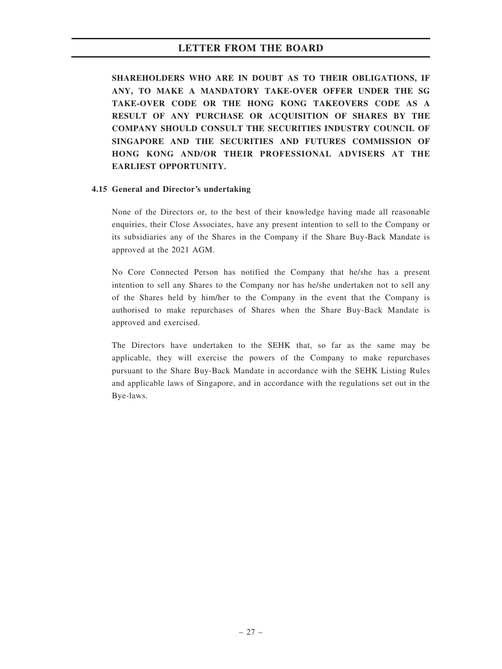SHAREHOLDERS WHO ARE IN DOUBT AS TO THEIR OBLIGATIONS, IF ANY, TO MAKE A MANDATORY TAKE-OVER OFFER UNDER THE SG TAKE-OVER CODE OR THE HONG KONG TAKEOVERS CODE AS A RESULT OF ANY PURCHASE OR ACQUISITION OF SHARES BY THE COMPANY SHOULD CONSULT THE SECURITIES INDUSTRY COUNCIL OF SINGAPORE AND THE SECURITIES AND FUTURES COMMISSION OF HONG KONG AND/OR THEIR PROFESSIONAL ADVISERS AT THE EARLIEST OPPORTUNITY.

#### 4.15 General and Director's undertaking

None of the Directors or, to the best of their knowledge having made all reasonable enquiries, their Close Associates, have any present intention to sell to the Company or its subsidiaries any of the Shares in the Company if the Share Buy-Back Mandate is approved at the 2021 AGM.

No Core Connected Person has notified the Company that he/she has a present intention to sell any Shares to the Company nor has he/she undertaken not to sell any of the Shares held by him/her to the Company in the event that the Company is authorised to make repurchases of Shares when the Share Buy-Back Mandate is approved and exercised.

The Directors have undertaken to the SEHK that, so far as the same may be applicable, they will exercise the powers of the Company to make repurchases pursuant to the Share Buy-Back Mandate in accordance with the SEHK Listing Rules and applicable laws of Singapore, and in accordance with the regulations set out in the Bye-laws.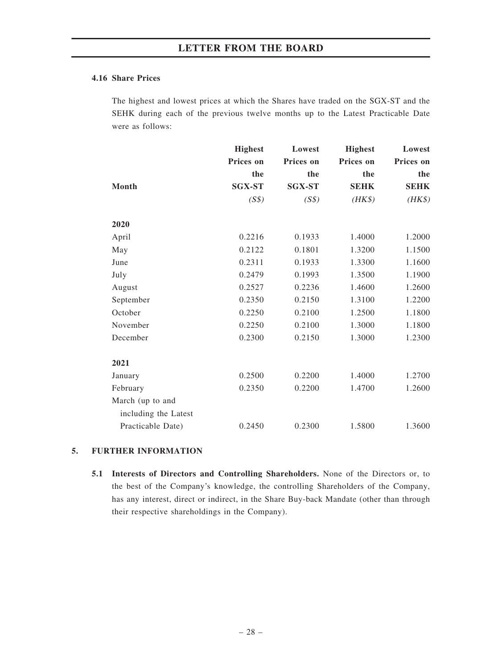### 4.16 Share Prices

The highest and lowest prices at which the Shares have traded on the SGX-ST and the SEHK during each of the previous twelve months up to the Latest Practicable Date were as follows:

|                      | <b>Highest</b> | Lowest        | <b>Highest</b> | Lowest      |
|----------------------|----------------|---------------|----------------|-------------|
|                      | Prices on      | Prices on     | Prices on      | Prices on   |
|                      | the            | the           | the            | the         |
| Month                | <b>SGX-ST</b>  | <b>SGX-ST</b> | <b>SEHK</b>    | <b>SEHK</b> |
|                      | (S\$)          | $(S\$ )       | $(HK\$         | $(HK\$      |
|                      |                |               |                |             |
| 2020                 |                |               |                |             |
| April                | 0.2216         | 0.1933        | 1.4000         | 1.2000      |
| May                  | 0.2122         | 0.1801        | 1.3200         | 1.1500      |
| June                 | 0.2311         | 0.1933        | 1.3300         | 1.1600      |
| July                 | 0.2479         | 0.1993        | 1.3500         | 1.1900      |
| August               | 0.2527         | 0.2236        | 1.4600         | 1.2600      |
| September            | 0.2350         | 0.2150        | 1.3100         | 1.2200      |
| October              | 0.2250         | 0.2100        | 1.2500         | 1.1800      |
| November             | 0.2250         | 0.2100        | 1.3000         | 1.1800      |
| December             | 0.2300         | 0.2150        | 1.3000         | 1.2300      |
| 2021                 |                |               |                |             |
| January              | 0.2500         | 0.2200        | 1.4000         | 1.2700      |
| February             | 0.2350         | 0.2200        | 1.4700         | 1.2600      |
| March (up to and     |                |               |                |             |
| including the Latest |                |               |                |             |
| Practicable Date)    | 0.2450         | 0.2300        | 1.5800         | 1.3600      |

### 5. FURTHER INFORMATION

5.1 Interests of Directors and Controlling Shareholders. None of the Directors or, to the best of the Company's knowledge, the controlling Shareholders of the Company, has any interest, direct or indirect, in the Share Buy-back Mandate (other than through their respective shareholdings in the Company).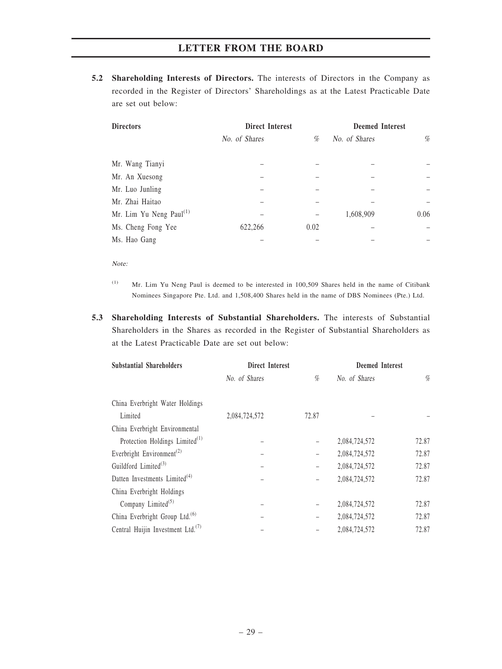5.2 Shareholding Interests of Directors. The interests of Directors in the Company as recorded in the Register of Directors' Shareholdings as at the Latest Practicable Date are set out below:

| <b>Directors</b>              | <b>Direct Interest</b> | <b>Deemed Interest</b> |               |      |
|-------------------------------|------------------------|------------------------|---------------|------|
|                               | No. of Shares          | %                      | No. of Shares | %    |
| Mr. Wang Tianyi               |                        |                        |               |      |
| Mr. An Xuesong                |                        |                        |               |      |
| Mr. Luo Junling               |                        |                        |               |      |
| Mr. Zhai Haitao               |                        |                        |               |      |
| Mr. Lim Yu Neng Paul $^{(1)}$ |                        |                        | 1,608,909     | 0.06 |
| Ms. Cheng Fong Yee            | 622,266                | 0.02                   |               |      |
| Ms. Hao Gang                  |                        |                        |               |      |

Note:

- (1) Mr. Lim Yu Neng Paul is deemed to be interested in 100,509 Shares held in the name of Citibank Nominees Singapore Pte. Ltd. and 1,508,400 Shares held in the name of DBS Nominees (Pte.) Ltd.
- 5.3 Shareholding Interests of Substantial Shareholders. The interests of Substantial Shareholders in the Shares as recorded in the Register of Substantial Shareholders as at the Latest Practicable Date are set out below:

| <b>Substantial Shareholders</b>               | Direct Interest |       | <b>Deemed Interest</b> |       |
|-----------------------------------------------|-----------------|-------|------------------------|-------|
|                                               | No. of Shares   | %     | No. of Shares          | $\%$  |
| China Everbright Water Holdings               |                 |       |                        |       |
| Limited                                       | 2,084,724,572   | 72.87 |                        |       |
| China Everbright Environmental                |                 |       |                        |       |
| Protection Holdings Limited $(1)$             |                 |       | 2,084,724,572          | 72.87 |
| Everbright Environment <sup>(2)</sup>         |                 |       | 2,084,724,572          | 72.87 |
| Guildford Limited $(3)$                       |                 |       | 2,084,724,572          | 72.87 |
| Datten Investments Limited <sup>(4)</sup>     |                 |       | 2,084,724,572          | 72.87 |
| China Everbright Holdings                     |                 |       |                        |       |
| Company Limited <sup>(5)</sup>                |                 |       | 2,084,724,572          | 72.87 |
| China Everbright Group Ltd. <sup>(6)</sup>    |                 | -     | 2,084,724,572          | 72.87 |
| Central Huijin Investment Ltd. <sup>(7)</sup> |                 |       | 2,084,724,572          | 72.87 |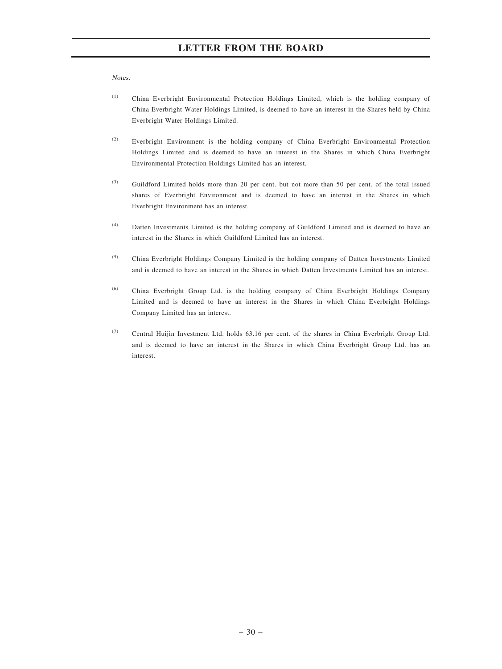#### Notes:

- (1) China Everbright Environmental Protection Holdings Limited, which is the holding company of China Everbright Water Holdings Limited, is deemed to have an interest in the Shares held by China Everbright Water Holdings Limited.
- (2) Everbright Environment is the holding company of China Everbright Environmental Protection Holdings Limited and is deemed to have an interest in the Shares in which China Everbright Environmental Protection Holdings Limited has an interest.
- (3) Guildford Limited holds more than 20 per cent. but not more than 50 per cent. of the total issued shares of Everbright Environment and is deemed to have an interest in the Shares in which Everbright Environment has an interest.
- (4) Datten Investments Limited is the holding company of Guildford Limited and is deemed to have an interest in the Shares in which Guildford Limited has an interest.
- (5) China Everbright Holdings Company Limited is the holding company of Datten Investments Limited and is deemed to have an interest in the Shares in which Datten Investments Limited has an interest.
- (6) China Everbright Group Ltd. is the holding company of China Everbright Holdings Company Limited and is deemed to have an interest in the Shares in which China Everbright Holdings Company Limited has an interest.
- (7) Central Huijin Investment Ltd. holds 63.16 per cent. of the shares in China Everbright Group Ltd. and is deemed to have an interest in the Shares in which China Everbright Group Ltd. has an interest.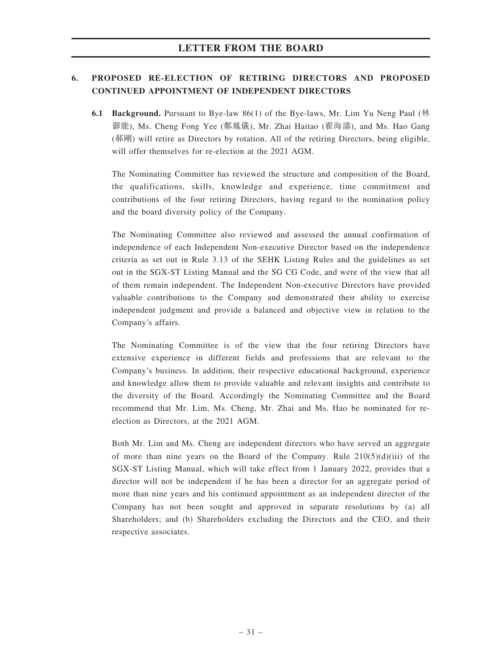# 6. PROPOSED RE-ELECTION OF RETIRING DIRECTORS AND PROPOSED CONTINUED APPOINTMENT OF INDEPENDENT DIRECTORS

6.1 Background. Pursuant to Bye-law 86(1) of the Bye-laws, Mr. Lim Yu Neng Paul (林 御能), Ms. Cheng Fong Yee (鄭鳳儀), Mr. Zhai Haitao (翟海濤), and Ms. Hao Gang (郝剛) will retire as Directors by rotation. All of the retiring Directors, being eligible, will offer themselves for re-election at the 2021 AGM.

The Nominating Committee has reviewed the structure and composition of the Board, the qualifications, skills, knowledge and experience, time commitment and contributions of the four retiring Directors, having regard to the nomination policy and the board diversity policy of the Company.

The Nominating Committee also reviewed and assessed the annual confirmation of independence of each Independent Non-executive Director based on the independence criteria as set out in Rule 3.13 of the SEHK Listing Rules and the guidelines as set out in the SGX-ST Listing Manual and the SG CG Code, and were of the view that all of them remain independent. The Independent Non-executive Directors have provided valuable contributions to the Company and demonstrated their ability to exercise independent judgment and provide a balanced and objective view in relation to the Company's affairs.

The Nominating Committee is of the view that the four retiring Directors have extensive experience in different fields and professions that are relevant to the Company's business. In addition, their respective educational background, experience and knowledge allow them to provide valuable and relevant insights and contribute to the diversity of the Board. Accordingly the Nominating Committee and the Board recommend that Mr. Lim, Ms. Cheng, Mr. Zhai and Ms. Hao be nominated for reelection as Directors, at the 2021 AGM.

Both Mr. Lim and Ms. Cheng are independent directors who have served an aggregate of more than nine years on the Board of the Company. Rule  $210(5)(d)(iii)$  of the SGX-ST Listing Manual, which will take effect from 1 January 2022, provides that a director will not be independent if he has been a director for an aggregate period of more than nine years and his continued appointment as an independent director of the Company has not been sought and approved in separate resolutions by (a) all Shareholders; and (b) Shareholders excluding the Directors and the CEO, and their respective associates.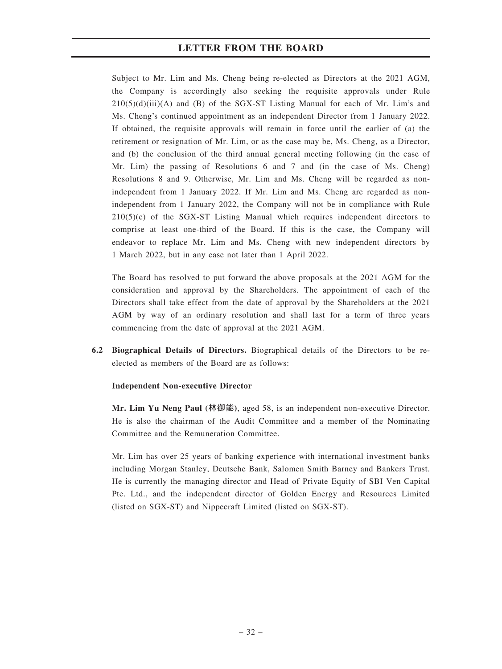Subject to Mr. Lim and Ms. Cheng being re-elected as Directors at the 2021 AGM, the Company is accordingly also seeking the requisite approvals under Rule  $210(5)(d)(iii)(A)$  and (B) of the SGX-ST Listing Manual for each of Mr. Lim's and Ms. Cheng's continued appointment as an independent Director from 1 January 2022. If obtained, the requisite approvals will remain in force until the earlier of (a) the retirement or resignation of Mr. Lim, or as the case may be, Ms. Cheng, as a Director, and (b) the conclusion of the third annual general meeting following (in the case of Mr. Lim) the passing of Resolutions 6 and 7 and (in the case of Ms. Cheng) Resolutions 8 and 9. Otherwise, Mr. Lim and Ms. Cheng will be regarded as nonindependent from 1 January 2022. If Mr. Lim and Ms. Cheng are regarded as nonindependent from 1 January 2022, the Company will not be in compliance with Rule  $210(5)(c)$  of the SGX-ST Listing Manual which requires independent directors to comprise at least one-third of the Board. If this is the case, the Company will endeavor to replace Mr. Lim and Ms. Cheng with new independent directors by 1 March 2022, but in any case not later than 1 April 2022.

The Board has resolved to put forward the above proposals at the 2021 AGM for the consideration and approval by the Shareholders. The appointment of each of the Directors shall take effect from the date of approval by the Shareholders at the 2021 AGM by way of an ordinary resolution and shall last for a term of three years commencing from the date of approval at the 2021 AGM.

6.2 Biographical Details of Directors. Biographical details of the Directors to be reelected as members of the Board are as follows:

#### Independent Non-executive Director

Mr. Lim Yu Neng Paul (林御能), aged 58, is an independent non-executive Director. He is also the chairman of the Audit Committee and a member of the Nominating Committee and the Remuneration Committee.

Mr. Lim has over 25 years of banking experience with international investment banks including Morgan Stanley, Deutsche Bank, Salomen Smith Barney and Bankers Trust. He is currently the managing director and Head of Private Equity of SBI Ven Capital Pte. Ltd., and the independent director of Golden Energy and Resources Limited (listed on SGX-ST) and Nippecraft Limited (listed on SGX-ST).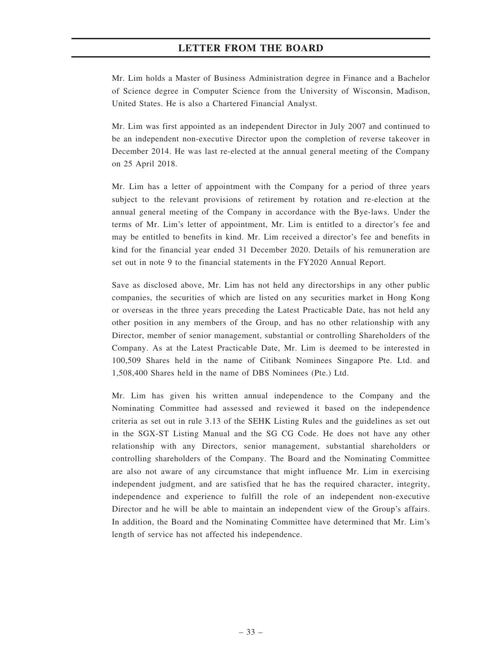Mr. Lim holds a Master of Business Administration degree in Finance and a Bachelor of Science degree in Computer Science from the University of Wisconsin, Madison, United States. He is also a Chartered Financial Analyst.

Mr. Lim was first appointed as an independent Director in July 2007 and continued to be an independent non-executive Director upon the completion of reverse takeover in December 2014. He was last re-elected at the annual general meeting of the Company on 25 April 2018.

Mr. Lim has a letter of appointment with the Company for a period of three years subject to the relevant provisions of retirement by rotation and re-election at the annual general meeting of the Company in accordance with the Bye-laws. Under the terms of Mr. Lim's letter of appointment, Mr. Lim is entitled to a director's fee and may be entitled to benefits in kind. Mr. Lim received a director's fee and benefits in kind for the financial year ended 31 December 2020. Details of his remuneration are set out in note 9 to the financial statements in the FY2020 Annual Report.

Save as disclosed above, Mr. Lim has not held any directorships in any other public companies, the securities of which are listed on any securities market in Hong Kong or overseas in the three years preceding the Latest Practicable Date, has not held any other position in any members of the Group, and has no other relationship with any Director, member of senior management, substantial or controlling Shareholders of the Company. As at the Latest Practicable Date, Mr. Lim is deemed to be interested in 100,509 Shares held in the name of Citibank Nominees Singapore Pte. Ltd. and 1,508,400 Shares held in the name of DBS Nominees (Pte.) Ltd.

Mr. Lim has given his written annual independence to the Company and the Nominating Committee had assessed and reviewed it based on the independence criteria as set out in rule 3.13 of the SEHK Listing Rules and the guidelines as set out in the SGX-ST Listing Manual and the SG CG Code. He does not have any other relationship with any Directors, senior management, substantial shareholders or controlling shareholders of the Company. The Board and the Nominating Committee are also not aware of any circumstance that might influence Mr. Lim in exercising independent judgment, and are satisfied that he has the required character, integrity, independence and experience to fulfill the role of an independent non-executive Director and he will be able to maintain an independent view of the Group's affairs. In addition, the Board and the Nominating Committee have determined that Mr. Lim's length of service has not affected his independence.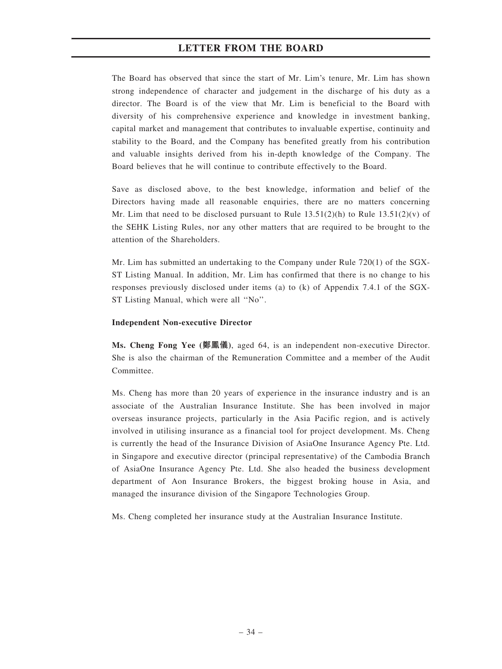The Board has observed that since the start of Mr. Lim's tenure, Mr. Lim has shown strong independence of character and judgement in the discharge of his duty as a director. The Board is of the view that Mr. Lim is beneficial to the Board with diversity of his comprehensive experience and knowledge in investment banking, capital market and management that contributes to invaluable expertise, continuity and stability to the Board, and the Company has benefited greatly from his contribution and valuable insights derived from his in-depth knowledge of the Company. The Board believes that he will continue to contribute effectively to the Board.

Save as disclosed above, to the best knowledge, information and belief of the Directors having made all reasonable enquiries, there are no matters concerning Mr. Lim that need to be disclosed pursuant to Rule  $13.51(2)(h)$  to Rule  $13.51(2)(v)$  of the SEHK Listing Rules, nor any other matters that are required to be brought to the attention of the Shareholders.

Mr. Lim has submitted an undertaking to the Company under Rule 720(1) of the SGX-ST Listing Manual. In addition, Mr. Lim has confirmed that there is no change to his responses previously disclosed under items (a) to (k) of Appendix 7.4.1 of the SGX-ST Listing Manual, which were all ''No''.

### Independent Non-executive Director

Ms. Cheng Fong Yee (鄭鳳儀), aged 64, is an independent non-executive Director. She is also the chairman of the Remuneration Committee and a member of the Audit Committee.

Ms. Cheng has more than 20 years of experience in the insurance industry and is an associate of the Australian Insurance Institute. She has been involved in major overseas insurance projects, particularly in the Asia Pacific region, and is actively involved in utilising insurance as a financial tool for project development. Ms. Cheng is currently the head of the Insurance Division of AsiaOne Insurance Agency Pte. Ltd. in Singapore and executive director (principal representative) of the Cambodia Branch of AsiaOne Insurance Agency Pte. Ltd. She also headed the business development department of Aon Insurance Brokers, the biggest broking house in Asia, and managed the insurance division of the Singapore Technologies Group.

Ms. Cheng completed her insurance study at the Australian Insurance Institute.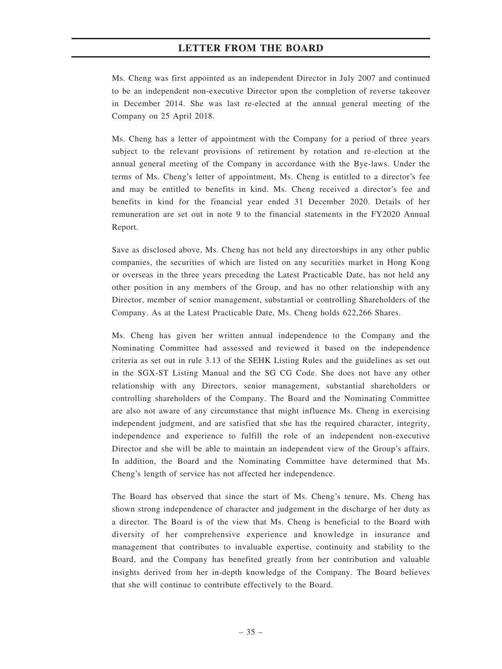Ms. Cheng was first appointed as an independent Director in July 2007 and continued to be an independent non-executive Director upon the completion of reverse takeover in December 2014. She was last re-elected at the annual general meeting of the Company on 25 April 2018.

Ms. Cheng has a letter of appointment with the Company for a period of three years subject to the relevant provisions of retirement by rotation and re-election at the annual general meeting of the Company in accordance with the Bye-laws. Under the terms of Ms. Cheng's letter of appointment, Ms. Cheng is entitled to a director's fee and may be entitled to benefits in kind. Ms. Cheng received a director's fee and benefits in kind for the financial year ended 31 December 2020. Details of her remuneration are set out in note 9 to the financial statements in the FY2020 Annual Report.

Save as disclosed above, Ms. Cheng has not held any directorships in any other public companies, the securities of which are listed on any securities market in Hong Kong or overseas in the three years preceding the Latest Practicable Date, has not held any other position in any members of the Group, and has no other relationship with any Director, member of senior management, substantial or controlling Shareholders of the Company. As at the Latest Practicable Date, Ms. Cheng holds 622,266 Shares.

Ms. Cheng has given her written annual independence to the Company and the Nominating Committee had assessed and reviewed it based on the independence criteria as set out in rule 3.13 of the SEHK Listing Rules and the guidelines as set out in the SGX-ST Listing Manual and the SG CG Code. She does not have any other relationship with any Directors, senior management, substantial shareholders or controlling shareholders of the Company. The Board and the Nominating Committee are also not aware of any circumstance that might influence Ms. Cheng in exercising independent judgment, and are satisfied that she has the required character, integrity, independence and experience to fulfill the role of an independent non-executive Director and she will be able to maintain an independent view of the Group's affairs. In addition, the Board and the Nominating Committee have determined that Ms. Cheng's length of service has not affected her independence.

The Board has observed that since the start of Ms. Cheng's tenure, Ms. Cheng has shown strong independence of character and judgement in the discharge of her duty as a director. The Board is of the view that Ms. Cheng is beneficial to the Board with diversity of her comprehensive experience and knowledge in insurance and management that contributes to invaluable expertise, continuity and stability to the Board, and the Company has benefited greatly from her contribution and valuable insights derived from her in-depth knowledge of the Company. The Board believes that she will continue to contribute effectively to the Board.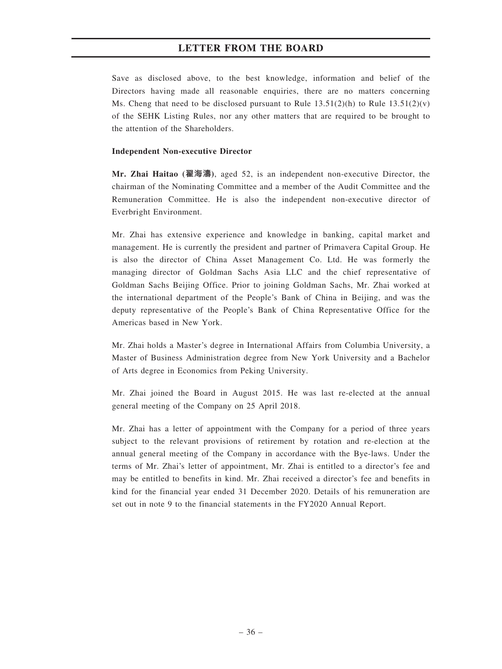Save as disclosed above, to the best knowledge, information and belief of the Directors having made all reasonable enquiries, there are no matters concerning Ms. Cheng that need to be disclosed pursuant to Rule  $13.51(2)(h)$  to Rule  $13.51(2)(v)$ of the SEHK Listing Rules, nor any other matters that are required to be brought to the attention of the Shareholders.

#### Independent Non-executive Director

Mr. Zhai Haitao (翟海濤), aged 52, is an independent non-executive Director, the chairman of the Nominating Committee and a member of the Audit Committee and the Remuneration Committee. He is also the independent non-executive director of Everbright Environment.

Mr. Zhai has extensive experience and knowledge in banking, capital market and management. He is currently the president and partner of Primavera Capital Group. He is also the director of China Asset Management Co. Ltd. He was formerly the managing director of Goldman Sachs Asia LLC and the chief representative of Goldman Sachs Beijing Office. Prior to joining Goldman Sachs, Mr. Zhai worked at the international department of the People's Bank of China in Beijing, and was the deputy representative of the People's Bank of China Representative Office for the Americas based in New York.

Mr. Zhai holds a Master's degree in International Affairs from Columbia University, a Master of Business Administration degree from New York University and a Bachelor of Arts degree in Economics from Peking University.

Mr. Zhai joined the Board in August 2015. He was last re-elected at the annual general meeting of the Company on 25 April 2018.

Mr. Zhai has a letter of appointment with the Company for a period of three years subject to the relevant provisions of retirement by rotation and re-election at the annual general meeting of the Company in accordance with the Bye-laws. Under the terms of Mr. Zhai's letter of appointment, Mr. Zhai is entitled to a director's fee and may be entitled to benefits in kind. Mr. Zhai received a director's fee and benefits in kind for the financial year ended 31 December 2020. Details of his remuneration are set out in note 9 to the financial statements in the FY2020 Annual Report.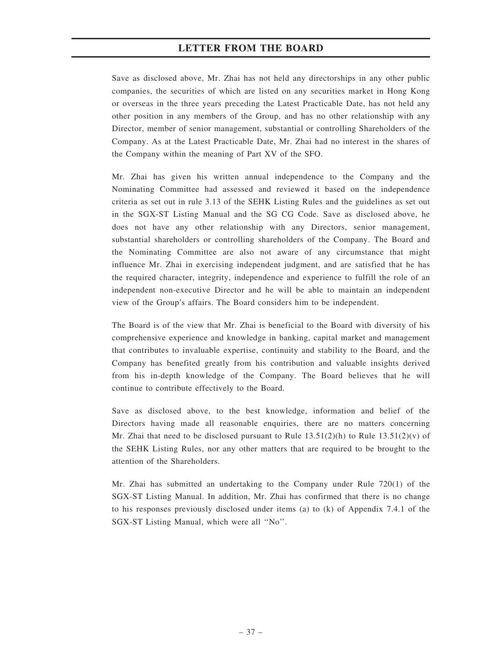Save as disclosed above, Mr. Zhai has not held any directorships in any other public companies, the securities of which are listed on any securities market in Hong Kong or overseas in the three years preceding the Latest Practicable Date, has not held any other position in any members of the Group, and has no other relationship with any Director, member of senior management, substantial or controlling Shareholders of the Company. As at the Latest Practicable Date, Mr. Zhai had no interest in the shares of the Company within the meaning of Part XV of the SFO.

Mr. Zhai has given his written annual independence to the Company and the Nominating Committee had assessed and reviewed it based on the independence criteria as set out in rule 3.13 of the SEHK Listing Rules and the guidelines as set out in the SGX-ST Listing Manual and the SG CG Code. Save as disclosed above, he does not have any other relationship with any Directors, senior management, substantial shareholders or controlling shareholders of the Company. The Board and the Nominating Committee are also not aware of any circumstance that might influence Mr. Zhai in exercising independent judgment, and are satisfied that he has the required character, integrity, independence and experience to fulfill the role of an independent non-executive Director and he will be able to maintain an independent view of the Group's affairs. The Board considers him to be independent.

The Board is of the view that Mr. Zhai is beneficial to the Board with diversity of his comprehensive experience and knowledge in banking, capital market and management that contributes to invaluable expertise, continuity and stability to the Board, and the Company has benefited greatly from his contribution and valuable insights derived from his in-depth knowledge of the Company. The Board believes that he will continue to contribute effectively to the Board.

Save as disclosed above, to the best knowledge, information and belief of the Directors having made all reasonable enquiries, there are no matters concerning Mr. Zhai that need to be disclosed pursuant to Rule  $13.51(2)(h)$  to Rule  $13.51(2)(v)$  of the SEHK Listing Rules, nor any other matters that are required to be brought to the attention of the Shareholders.

Mr. Zhai has submitted an undertaking to the Company under Rule 720(1) of the SGX-ST Listing Manual. In addition, Mr. Zhai has confirmed that there is no change to his responses previously disclosed under items (a) to (k) of Appendix 7.4.1 of the SGX-ST Listing Manual, which were all ''No''.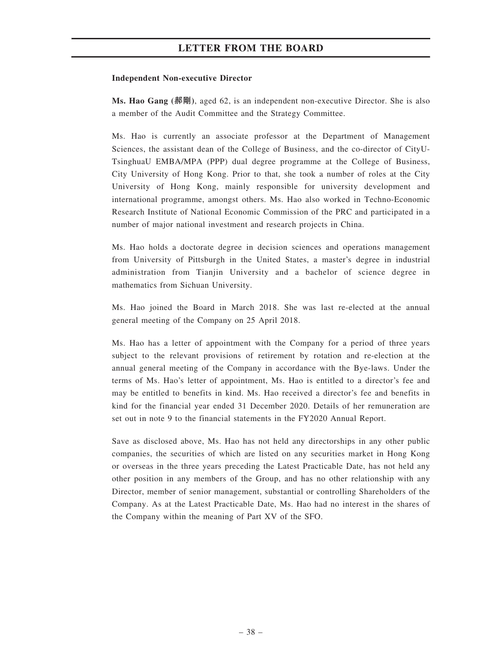#### Independent Non-executive Director

Ms. Hao Gang (郝剛), aged 62, is an independent non-executive Director. She is also a member of the Audit Committee and the Strategy Committee.

Ms. Hao is currently an associate professor at the Department of Management Sciences, the assistant dean of the College of Business, and the co-director of CityU-TsinghuaU EMBA/MPA (PPP) dual degree programme at the College of Business, City University of Hong Kong. Prior to that, she took a number of roles at the City University of Hong Kong, mainly responsible for university development and international programme, amongst others. Ms. Hao also worked in Techno-Economic Research Institute of National Economic Commission of the PRC and participated in a number of major national investment and research projects in China.

Ms. Hao holds a doctorate degree in decision sciences and operations management from University of Pittsburgh in the United States, a master's degree in industrial administration from Tianjin University and a bachelor of science degree in mathematics from Sichuan University.

Ms. Hao joined the Board in March 2018. She was last re-elected at the annual general meeting of the Company on 25 April 2018.

Ms. Hao has a letter of appointment with the Company for a period of three years subject to the relevant provisions of retirement by rotation and re-election at the annual general meeting of the Company in accordance with the Bye-laws. Under the terms of Ms. Hao's letter of appointment, Ms. Hao is entitled to a director's fee and may be entitled to benefits in kind. Ms. Hao received a director's fee and benefits in kind for the financial year ended 31 December 2020. Details of her remuneration are set out in note 9 to the financial statements in the FY2020 Annual Report.

Save as disclosed above, Ms. Hao has not held any directorships in any other public companies, the securities of which are listed on any securities market in Hong Kong or overseas in the three years preceding the Latest Practicable Date, has not held any other position in any members of the Group, and has no other relationship with any Director, member of senior management, substantial or controlling Shareholders of the Company. As at the Latest Practicable Date, Ms. Hao had no interest in the shares of the Company within the meaning of Part XV of the SFO.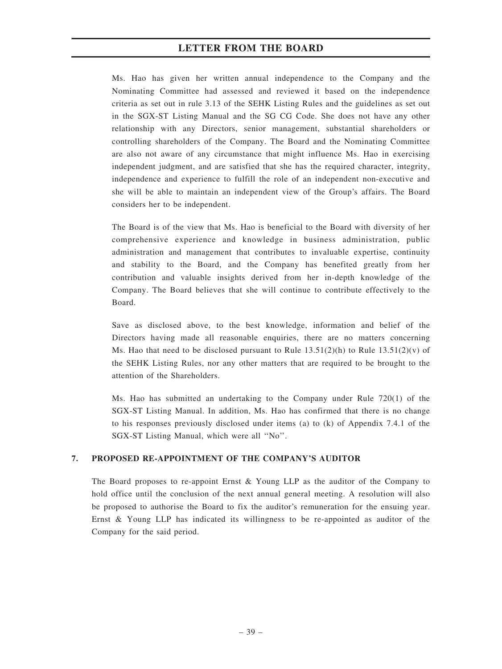Ms. Hao has given her written annual independence to the Company and the Nominating Committee had assessed and reviewed it based on the independence criteria as set out in rule 3.13 of the SEHK Listing Rules and the guidelines as set out in the SGX-ST Listing Manual and the SG CG Code. She does not have any other relationship with any Directors, senior management, substantial shareholders or controlling shareholders of the Company. The Board and the Nominating Committee are also not aware of any circumstance that might influence Ms. Hao in exercising independent judgment, and are satisfied that she has the required character, integrity, independence and experience to fulfill the role of an independent non-executive and she will be able to maintain an independent view of the Group's affairs. The Board considers her to be independent.

The Board is of the view that Ms. Hao is beneficial to the Board with diversity of her comprehensive experience and knowledge in business administration, public administration and management that contributes to invaluable expertise, continuity and stability to the Board, and the Company has benefited greatly from her contribution and valuable insights derived from her in-depth knowledge of the Company. The Board believes that she will continue to contribute effectively to the Board.

Save as disclosed above, to the best knowledge, information and belief of the Directors having made all reasonable enquiries, there are no matters concerning Ms. Hao that need to be disclosed pursuant to Rule  $13.51(2)(h)$  to Rule  $13.51(2)(v)$  of the SEHK Listing Rules, nor any other matters that are required to be brought to the attention of the Shareholders.

Ms. Hao has submitted an undertaking to the Company under Rule 720(1) of the SGX-ST Listing Manual. In addition, Ms. Hao has confirmed that there is no change to his responses previously disclosed under items (a) to (k) of Appendix 7.4.1 of the SGX-ST Listing Manual, which were all ''No''.

### 7. PROPOSED RE-APPOINTMENT OF THE COMPANY'S AUDITOR

The Board proposes to re-appoint Ernst  $\&$  Young LLP as the auditor of the Company to hold office until the conclusion of the next annual general meeting. A resolution will also be proposed to authorise the Board to fix the auditor's remuneration for the ensuing year. Ernst & Young LLP has indicated its willingness to be re-appointed as auditor of the Company for the said period.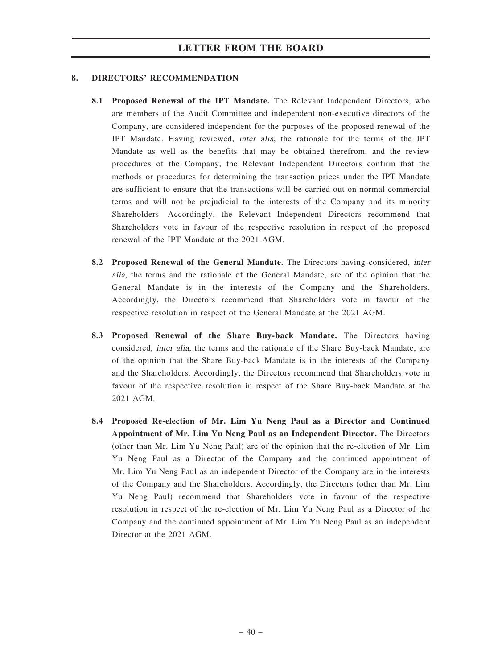#### 8. DIRECTORS' RECOMMENDATION

- 8.1 Proposed Renewal of the IPT Mandate. The Relevant Independent Directors, who are members of the Audit Committee and independent non-executive directors of the Company, are considered independent for the purposes of the proposed renewal of the IPT Mandate. Having reviewed, inter alia, the rationale for the terms of the IPT Mandate as well as the benefits that may be obtained therefrom, and the review procedures of the Company, the Relevant Independent Directors confirm that the methods or procedures for determining the transaction prices under the IPT Mandate are sufficient to ensure that the transactions will be carried out on normal commercial terms and will not be prejudicial to the interests of the Company and its minority Shareholders. Accordingly, the Relevant Independent Directors recommend that Shareholders vote in favour of the respective resolution in respect of the proposed renewal of the IPT Mandate at the 2021 AGM.
- 8.2 Proposed Renewal of the General Mandate. The Directors having considered, inter alia, the terms and the rationale of the General Mandate, are of the opinion that the General Mandate is in the interests of the Company and the Shareholders. Accordingly, the Directors recommend that Shareholders vote in favour of the respective resolution in respect of the General Mandate at the 2021 AGM.
- 8.3 Proposed Renewal of the Share Buy-back Mandate. The Directors having considered, inter alia, the terms and the rationale of the Share Buy-back Mandate, are of the opinion that the Share Buy-back Mandate is in the interests of the Company and the Shareholders. Accordingly, the Directors recommend that Shareholders vote in favour of the respective resolution in respect of the Share Buy-back Mandate at the 2021 AGM.
- 8.4 Proposed Re-election of Mr. Lim Yu Neng Paul as a Director and Continued Appointment of Mr. Lim Yu Neng Paul as an Independent Director. The Directors (other than Mr. Lim Yu Neng Paul) are of the opinion that the re-election of Mr. Lim Yu Neng Paul as a Director of the Company and the continued appointment of Mr. Lim Yu Neng Paul as an independent Director of the Company are in the interests of the Company and the Shareholders. Accordingly, the Directors (other than Mr. Lim Yu Neng Paul) recommend that Shareholders vote in favour of the respective resolution in respect of the re-election of Mr. Lim Yu Neng Paul as a Director of the Company and the continued appointment of Mr. Lim Yu Neng Paul as an independent Director at the 2021 AGM.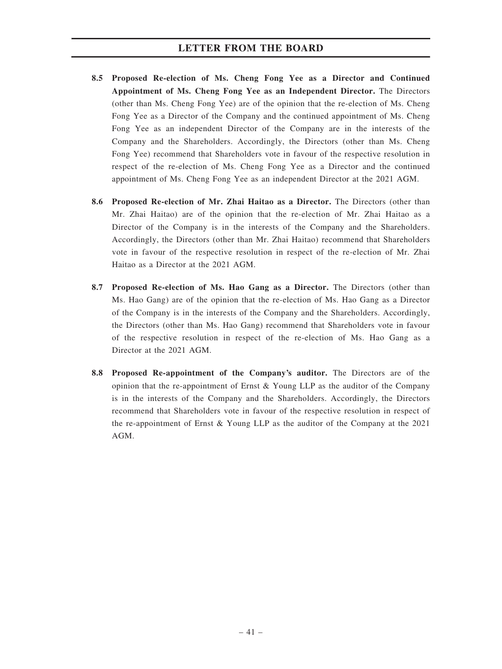- 8.5 Proposed Re-election of Ms. Cheng Fong Yee as a Director and Continued Appointment of Ms. Cheng Fong Yee as an Independent Director. The Directors (other than Ms. Cheng Fong Yee) are of the opinion that the re-election of Ms. Cheng Fong Yee as a Director of the Company and the continued appointment of Ms. Cheng Fong Yee as an independent Director of the Company are in the interests of the Company and the Shareholders. Accordingly, the Directors (other than Ms. Cheng Fong Yee) recommend that Shareholders vote in favour of the respective resolution in respect of the re-election of Ms. Cheng Fong Yee as a Director and the continued appointment of Ms. Cheng Fong Yee as an independent Director at the 2021 AGM.
- 8.6 Proposed Re-election of Mr. Zhai Haitao as a Director. The Directors (other than Mr. Zhai Haitao) are of the opinion that the re-election of Mr. Zhai Haitao as a Director of the Company is in the interests of the Company and the Shareholders. Accordingly, the Directors (other than Mr. Zhai Haitao) recommend that Shareholders vote in favour of the respective resolution in respect of the re-election of Mr. Zhai Haitao as a Director at the 2021 AGM.
- 8.7 Proposed Re-election of Ms. Hao Gang as a Director. The Directors (other than Ms. Hao Gang) are of the opinion that the re-election of Ms. Hao Gang as a Director of the Company is in the interests of the Company and the Shareholders. Accordingly, the Directors (other than Ms. Hao Gang) recommend that Shareholders vote in favour of the respective resolution in respect of the re-election of Ms. Hao Gang as a Director at the 2021 AGM.
- 8.8 Proposed Re-appointment of the Company's auditor. The Directors are of the opinion that the re-appointment of Ernst  $\&$  Young LLP as the auditor of the Company is in the interests of the Company and the Shareholders. Accordingly, the Directors recommend that Shareholders vote in favour of the respective resolution in respect of the re-appointment of Ernst & Young LLP as the auditor of the Company at the 2021 AGM.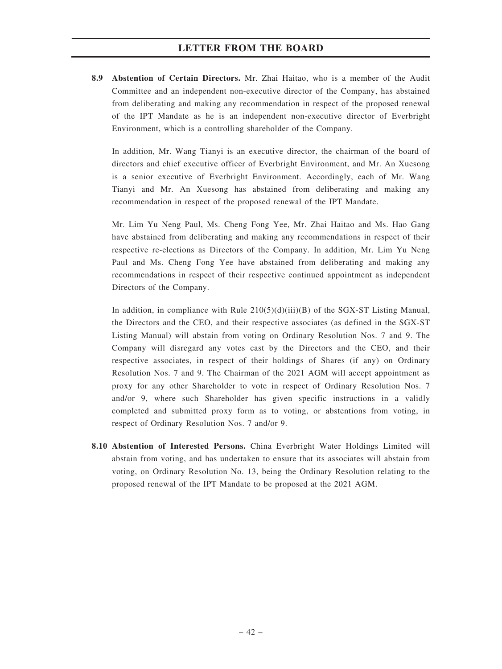8.9 Abstention of Certain Directors. Mr. Zhai Haitao, who is a member of the Audit Committee and an independent non-executive director of the Company, has abstained from deliberating and making any recommendation in respect of the proposed renewal of the IPT Mandate as he is an independent non-executive director of Everbright Environment, which is a controlling shareholder of the Company.

In addition, Mr. Wang Tianyi is an executive director, the chairman of the board of directors and chief executive officer of Everbright Environment, and Mr. An Xuesong is a senior executive of Everbright Environment. Accordingly, each of Mr. Wang Tianyi and Mr. An Xuesong has abstained from deliberating and making any recommendation in respect of the proposed renewal of the IPT Mandate.

Mr. Lim Yu Neng Paul, Ms. Cheng Fong Yee, Mr. Zhai Haitao and Ms. Hao Gang have abstained from deliberating and making any recommendations in respect of their respective re-elections as Directors of the Company. In addition, Mr. Lim Yu Neng Paul and Ms. Cheng Fong Yee have abstained from deliberating and making any recommendations in respect of their respective continued appointment as independent Directors of the Company.

In addition, in compliance with Rule  $210(5)(d)(iii)(B)$  of the SGX-ST Listing Manual, the Directors and the CEO, and their respective associates (as defined in the SGX-ST Listing Manual) will abstain from voting on Ordinary Resolution Nos. 7 and 9. The Company will disregard any votes cast by the Directors and the CEO, and their respective associates, in respect of their holdings of Shares (if any) on Ordinary Resolution Nos. 7 and 9. The Chairman of the 2021 AGM will accept appointment as proxy for any other Shareholder to vote in respect of Ordinary Resolution Nos. 7 and/or 9, where such Shareholder has given specific instructions in a validly completed and submitted proxy form as to voting, or abstentions from voting, in respect of Ordinary Resolution Nos. 7 and/or 9.

8.10 Abstention of Interested Persons. China Everbright Water Holdings Limited will abstain from voting, and has undertaken to ensure that its associates will abstain from voting, on Ordinary Resolution No. 13, being the Ordinary Resolution relating to the proposed renewal of the IPT Mandate to be proposed at the 2021 AGM.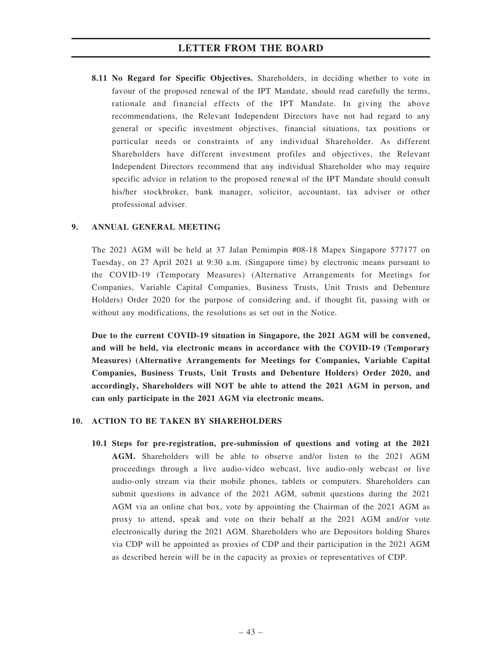8.11 No Regard for Specific Objectives. Shareholders, in deciding whether to vote in favour of the proposed renewal of the IPT Mandate, should read carefully the terms, rationale and financial effects of the IPT Mandate. In giving the above recommendations, the Relevant Independent Directors have not had regard to any general or specific investment objectives, financial situations, tax positions or particular needs or constraints of any individual Shareholder. As different Shareholders have different investment profiles and objectives, the Relevant Independent Directors recommend that any individual Shareholder who may require specific advice in relation to the proposed renewal of the IPT Mandate should consult his/her stockbroker, bank manager, solicitor, accountant, tax adviser or other professional adviser.

#### 9. ANNUAL GENERAL MEETING

The 2021 AGM will be held at 37 Jalan Pemimpin #08-18 Mapex Singapore 577177 on Tuesday, on 27 April 2021 at 9:30 a.m. (Singapore time) by electronic means pursuant to the COVID-19 (Temporary Measures) (Alternative Arrangements for Meetings for Companies, Variable Capital Companies, Business Trusts, Unit Trusts and Debenture Holders) Order 2020 for the purpose of considering and, if thought fit, passing with or without any modifications, the resolutions as set out in the Notice.

Due to the current COVID-19 situation in Singapore, the 2021 AGM will be convened, and will be held, via electronic means in accordance with the COVID-19 (Temporary Measures) (Alternative Arrangements for Meetings for Companies, Variable Capital Companies, Business Trusts, Unit Trusts and Debenture Holders) Order 2020, and accordingly, Shareholders will NOT be able to attend the 2021 AGM in person, and can only participate in the 2021 AGM via electronic means.

#### 10. ACTION TO BE TAKEN BY SHAREHOLDERS

10.1 Steps for pre-registration, pre-submission of questions and voting at the 2021 AGM. Shareholders will be able to observe and/or listen to the 2021 AGM proceedings through a live audio-video webcast, live audio-only webcast or live audio-only stream via their mobile phones, tablets or computers. Shareholders can submit questions in advance of the 2021 AGM, submit questions during the 2021 AGM via an online chat box, vote by appointing the Chairman of the 2021 AGM as proxy to attend, speak and vote on their behalf at the 2021 AGM and/or vote electronically during the 2021 AGM. Shareholders who are Depositors holding Shares via CDP will be appointed as proxies of CDP and their participation in the 2021 AGM as described herein will be in the capacity as proxies or representatives of CDP.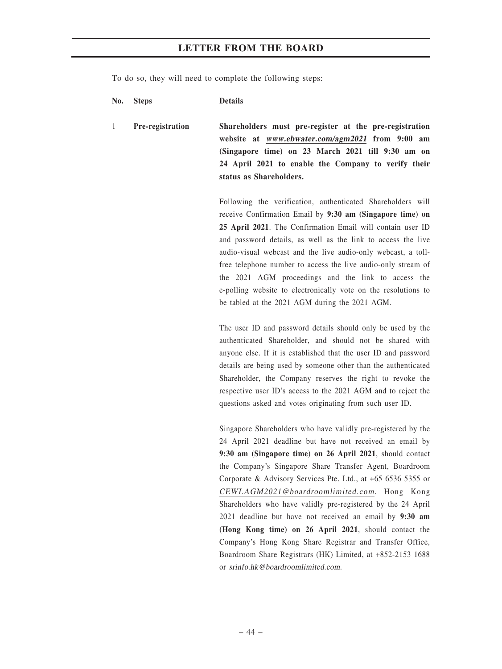To do so, they will need to complete the following steps:

No. Steps Details

1 Pre-registration Shareholders must pre-register at the pre-registration website at www.ebwater.com/agm2021 from 9:00 am (Singapore time) on 23 March 2021 till 9:30 am on 24 April 2021 to enable the Company to verify their status as Shareholders.

> Following the verification, authenticated Shareholders will receive Confirmation Email by 9:30 am (Singapore time) on 25 April 2021. The Confirmation Email will contain user ID and password details, as well as the link to access the live audio-visual webcast and the live audio-only webcast, a tollfree telephone number to access the live audio-only stream of the 2021 AGM proceedings and the link to access the e-polling website to electronically vote on the resolutions to be tabled at the 2021 AGM during the 2021 AGM.

> The user ID and password details should only be used by the authenticated Shareholder, and should not be shared with anyone else. If it is established that the user ID and password details are being used by someone other than the authenticated Shareholder, the Company reserves the right to revoke the respective user ID's access to the 2021 AGM and to reject the questions asked and votes originating from such user ID.

> Singapore Shareholders who have validly pre-registered by the 24 April 2021 deadline but have not received an email by 9:30 am (Singapore time) on 26 April 2021, should contact the Company's Singapore Share Transfer Agent, Boardroom Corporate & Advisory Services Pte. Ltd., at +65 6536 5355 or CEWLAGM2021@boardroomlimited.com. Hong Kong Shareholders who have validly pre-registered by the 24 April 2021 deadline but have not received an email by 9:30 am (Hong Kong time) on 26 April 2021, should contact the Company's Hong Kong Share Registrar and Transfer Office, Boardroom Share Registrars (HK) Limited, at +852-2153 1688 or srinfo.hk@boardroomlimited.com.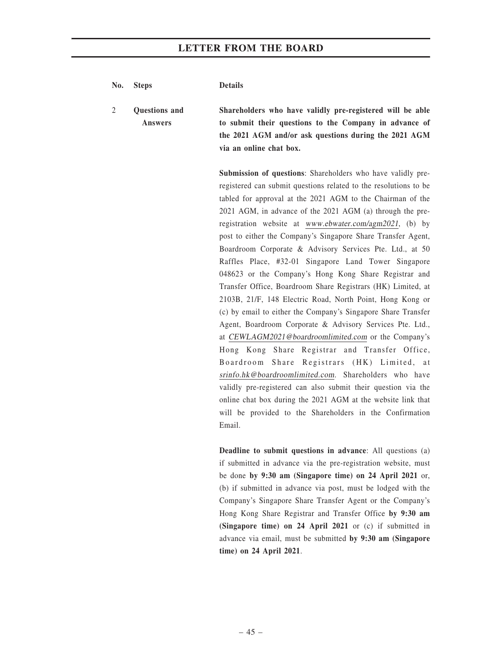No. Steps Details

2 Questions and Answers Shareholders who have validly pre-registered will be able to submit their questions to the Company in advance of the 2021 AGM and/or ask questions during the 2021 AGM via an online chat box.

> Submission of questions: Shareholders who have validly preregistered can submit questions related to the resolutions to be tabled for approval at the 2021 AGM to the Chairman of the 2021 AGM, in advance of the 2021 AGM (a) through the preregistration website at www.ebwater.com/agm2021, (b) by post to either the Company's Singapore Share Transfer Agent, Boardroom Corporate & Advisory Services Pte. Ltd., at 50 Raffles Place, #32-01 Singapore Land Tower Singapore 048623 or the Company's Hong Kong Share Registrar and Transfer Office, Boardroom Share Registrars (HK) Limited, at 2103B, 21/F, 148 Electric Road, North Point, Hong Kong or (c) by email to either the Company's Singapore Share Transfer Agent, Boardroom Corporate & Advisory Services Pte. Ltd., at CEWLAGM2021@boardroomlimited.com or the Company's Hong Kong Share Registrar and Transfer Office, Boardroom Share Registrars (HK) Limited, at srinfo.hk@boardroomlimited.com. Shareholders who have validly pre-registered can also submit their question via the online chat box during the 2021 AGM at the website link that will be provided to the Shareholders in the Confirmation Email.

> Deadline to submit questions in advance: All questions (a) if submitted in advance via the pre-registration website, must be done by 9:30 am (Singapore time) on 24 April 2021 or, (b) if submitted in advance via post, must be lodged with the Company's Singapore Share Transfer Agent or the Company's Hong Kong Share Registrar and Transfer Office by 9:30 am (Singapore time) on 24 April 2021 or (c) if submitted in advance via email, must be submitted by 9:30 am (Singapore time) on 24 April 2021.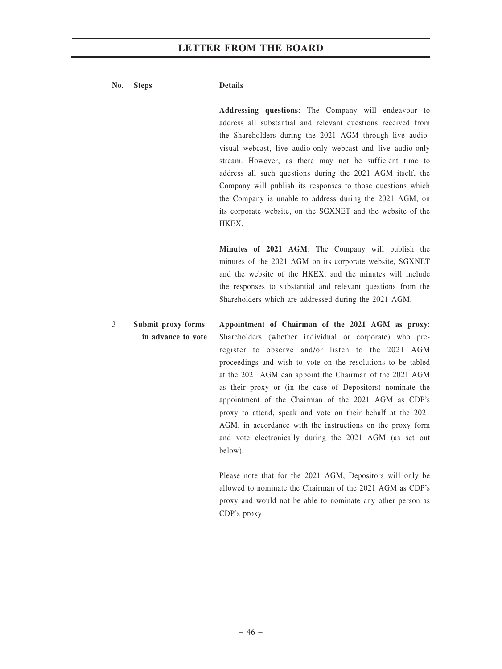### No. Steps Details

Addressing questions: The Company will endeavour to address all substantial and relevant questions received from the Shareholders during the 2021 AGM through live audiovisual webcast, live audio-only webcast and live audio-only stream. However, as there may not be sufficient time to address all such questions during the 2021 AGM itself, the Company will publish its responses to those questions which the Company is unable to address during the 2021 AGM, on its corporate website, on the SGXNET and the website of the HKEX.

Minutes of 2021 AGM: The Company will publish the minutes of the 2021 AGM on its corporate website, SGXNET and the website of the HKEX, and the minutes will include the responses to substantial and relevant questions from the Shareholders which are addressed during the 2021 AGM.

3 Submit proxy forms in advance to vote Appointment of Chairman of the 2021 AGM as proxy: Shareholders (whether individual or corporate) who preregister to observe and/or listen to the 2021 AGM proceedings and wish to vote on the resolutions to be tabled at the 2021 AGM can appoint the Chairman of the 2021 AGM as their proxy or (in the case of Depositors) nominate the appointment of the Chairman of the 2021 AGM as CDP's proxy to attend, speak and vote on their behalf at the 2021 AGM, in accordance with the instructions on the proxy form and vote electronically during the 2021 AGM (as set out below).

> Please note that for the 2021 AGM, Depositors will only be allowed to nominate the Chairman of the 2021 AGM as CDP's proxy and would not be able to nominate any other person as CDP's proxy.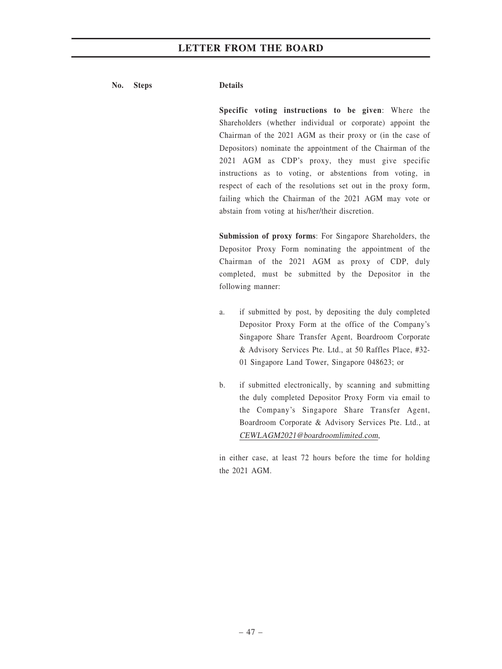# No. Steps Details

Specific voting instructions to be given: Where the Shareholders (whether individual or corporate) appoint the Chairman of the 2021 AGM as their proxy or (in the case of Depositors) nominate the appointment of the Chairman of the 2021 AGM as CDP's proxy, they must give specific instructions as to voting, or abstentions from voting, in respect of each of the resolutions set out in the proxy form, failing which the Chairman of the 2021 AGM may vote or abstain from voting at his/her/their discretion.

Submission of proxy forms: For Singapore Shareholders, the Depositor Proxy Form nominating the appointment of the Chairman of the 2021 AGM as proxy of CDP, duly completed, must be submitted by the Depositor in the following manner:

- a. if submitted by post, by depositing the duly completed Depositor Proxy Form at the office of the Company's Singapore Share Transfer Agent, Boardroom Corporate & Advisory Services Pte. Ltd., at 50 Raffles Place, #32- 01 Singapore Land Tower, Singapore 048623; or
- b. if submitted electronically, by scanning and submitting the duly completed Depositor Proxy Form via email to the Company's Singapore Share Transfer Agent, Boardroom Corporate & Advisory Services Pte. Ltd., at CEWLAGM2021@boardroomlimited.com,

in either case, at least 72 hours before the time for holding the 2021 AGM.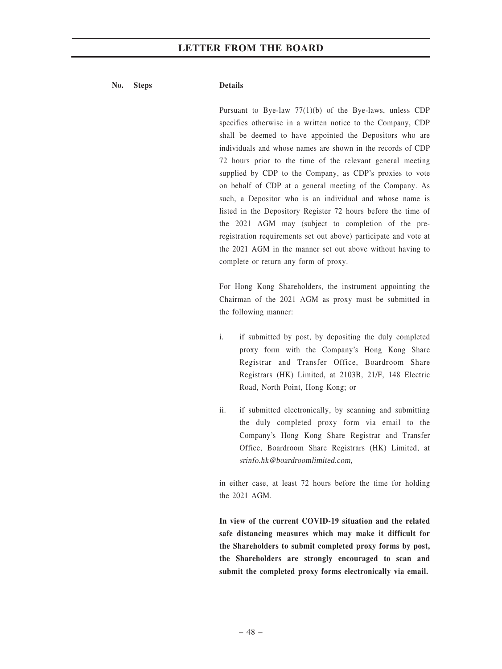# No. Steps Details

Pursuant to Bye-law 77(1)(b) of the Bye-laws, unless CDP specifies otherwise in a written notice to the Company, CDP shall be deemed to have appointed the Depositors who are individuals and whose names are shown in the records of CDP 72 hours prior to the time of the relevant general meeting supplied by CDP to the Company, as CDP's proxies to vote on behalf of CDP at a general meeting of the Company. As such, a Depositor who is an individual and whose name is listed in the Depository Register 72 hours before the time of the 2021 AGM may (subject to completion of the preregistration requirements set out above) participate and vote at the 2021 AGM in the manner set out above without having to complete or return any form of proxy.

For Hong Kong Shareholders, the instrument appointing the Chairman of the 2021 AGM as proxy must be submitted in the following manner:

- i. if submitted by post, by depositing the duly completed proxy form with the Company's Hong Kong Share Registrar and Transfer Office, Boardroom Share Registrars (HK) Limited, at 2103B, 21/F, 148 Electric Road, North Point, Hong Kong; or
- ii. if submitted electronically, by scanning and submitting the duly completed proxy form via email to the Company's Hong Kong Share Registrar and Transfer Office, Boardroom Share Registrars (HK) Limited, at srinfo.hk@boardroomlimited.com,

in either case, at least 72 hours before the time for holding the 2021 AGM.

In view of the current COVID-19 situation and the related safe distancing measures which may make it difficult for the Shareholders to submit completed proxy forms by post, the Shareholders are strongly encouraged to scan and submit the completed proxy forms electronically via email.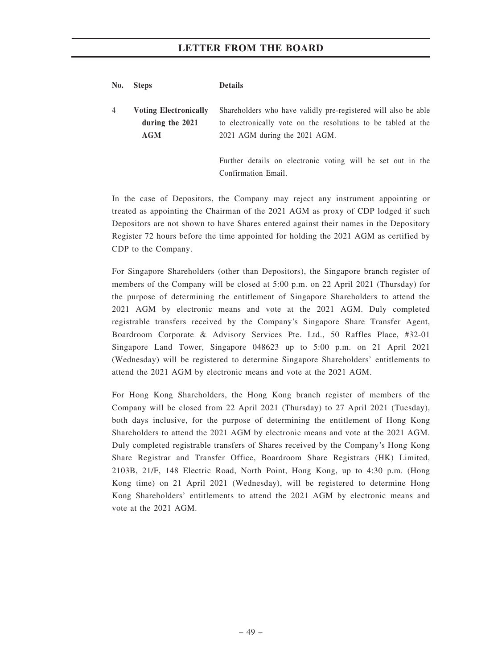| No. | <b>Steps</b>                                                  | <b>Details</b>                                                                                                                                                   |
|-----|---------------------------------------------------------------|------------------------------------------------------------------------------------------------------------------------------------------------------------------|
| 4   | <b>Voting Electronically</b><br>during the 2021<br><b>AGM</b> | Shareholders who have validly pre-registered will also be able<br>to electronically vote on the resolutions to be tabled at the<br>2021 AGM during the 2021 AGM. |
|     |                                                               | Further details on electronic voting will be set out in the<br>Confirmation Email.                                                                               |

In the case of Depositors, the Company may reject any instrument appointing or treated as appointing the Chairman of the 2021 AGM as proxy of CDP lodged if such Depositors are not shown to have Shares entered against their names in the Depository Register 72 hours before the time appointed for holding the 2021 AGM as certified by CDP to the Company.

For Singapore Shareholders (other than Depositors), the Singapore branch register of members of the Company will be closed at 5:00 p.m. on 22 April 2021 (Thursday) for the purpose of determining the entitlement of Singapore Shareholders to attend the 2021 AGM by electronic means and vote at the 2021 AGM. Duly completed registrable transfers received by the Company's Singapore Share Transfer Agent, Boardroom Corporate & Advisory Services Pte. Ltd., 50 Raffles Place, #32-01 Singapore Land Tower, Singapore 048623 up to 5:00 p.m. on 21 April 2021 (Wednesday) will be registered to determine Singapore Shareholders' entitlements to attend the 2021 AGM by electronic means and vote at the 2021 AGM.

For Hong Kong Shareholders, the Hong Kong branch register of members of the Company will be closed from 22 April 2021 (Thursday) to 27 April 2021 (Tuesday), both days inclusive, for the purpose of determining the entitlement of Hong Kong Shareholders to attend the 2021 AGM by electronic means and vote at the 2021 AGM. Duly completed registrable transfers of Shares received by the Company's Hong Kong Share Registrar and Transfer Office, Boardroom Share Registrars (HK) Limited, 2103B, 21/F, 148 Electric Road, North Point, Hong Kong, up to 4:30 p.m. (Hong Kong time) on 21 April 2021 (Wednesday), will be registered to determine Hong Kong Shareholders' entitlements to attend the 2021 AGM by electronic means and vote at the 2021 AGM.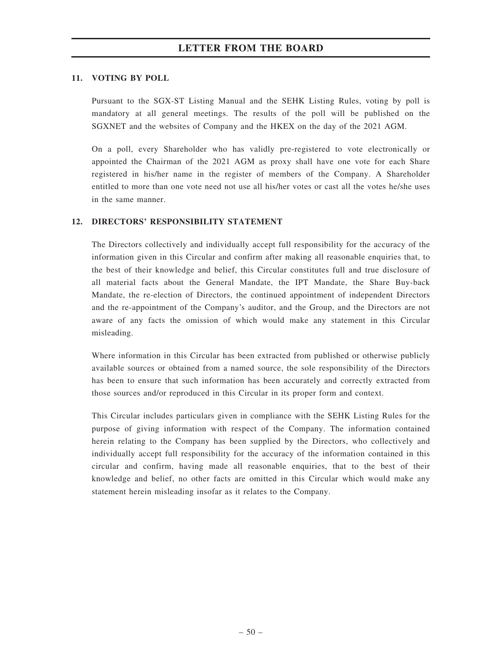### 11. VOTING BY POLL

Pursuant to the SGX-ST Listing Manual and the SEHK Listing Rules, voting by poll is mandatory at all general meetings. The results of the poll will be published on the SGXNET and the websites of Company and the HKEX on the day of the 2021 AGM.

On a poll, every Shareholder who has validly pre-registered to vote electronically or appointed the Chairman of the 2021 AGM as proxy shall have one vote for each Share registered in his/her name in the register of members of the Company. A Shareholder entitled to more than one vote need not use all his/her votes or cast all the votes he/she uses in the same manner.

# 12. DIRECTORS' RESPONSIBILITY STATEMENT

The Directors collectively and individually accept full responsibility for the accuracy of the information given in this Circular and confirm after making all reasonable enquiries that, to the best of their knowledge and belief, this Circular constitutes full and true disclosure of all material facts about the General Mandate, the IPT Mandate, the Share Buy-back Mandate, the re-election of Directors, the continued appointment of independent Directors and the re-appointment of the Company's auditor, and the Group, and the Directors are not aware of any facts the omission of which would make any statement in this Circular misleading.

Where information in this Circular has been extracted from published or otherwise publicly available sources or obtained from a named source, the sole responsibility of the Directors has been to ensure that such information has been accurately and correctly extracted from those sources and/or reproduced in this Circular in its proper form and context.

This Circular includes particulars given in compliance with the SEHK Listing Rules for the purpose of giving information with respect of the Company. The information contained herein relating to the Company has been supplied by the Directors, who collectively and individually accept full responsibility for the accuracy of the information contained in this circular and confirm, having made all reasonable enquiries, that to the best of their knowledge and belief, no other facts are omitted in this Circular which would make any statement herein misleading insofar as it relates to the Company.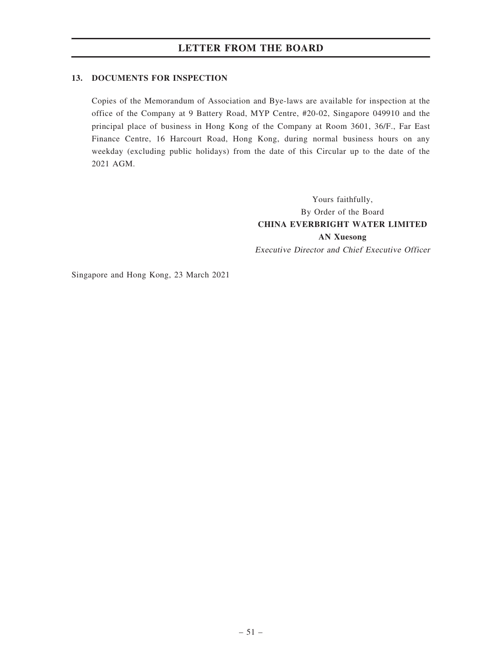# 13. DOCUMENTS FOR INSPECTION

Copies of the Memorandum of Association and Bye-laws are available for inspection at the office of the Company at 9 Battery Road, MYP Centre, #20-02, Singapore 049910 and the principal place of business in Hong Kong of the Company at Room 3601, 36/F., Far East Finance Centre, 16 Harcourt Road, Hong Kong, during normal business hours on any weekday (excluding public holidays) from the date of this Circular up to the date of the 2021 AGM.

> Yours faithfully, By Order of the Board CHINA EVERBRIGHT WATER LIMITED AN Xuesong Executive Director and Chief Executive Officer

Singapore and Hong Kong, 23 March 2021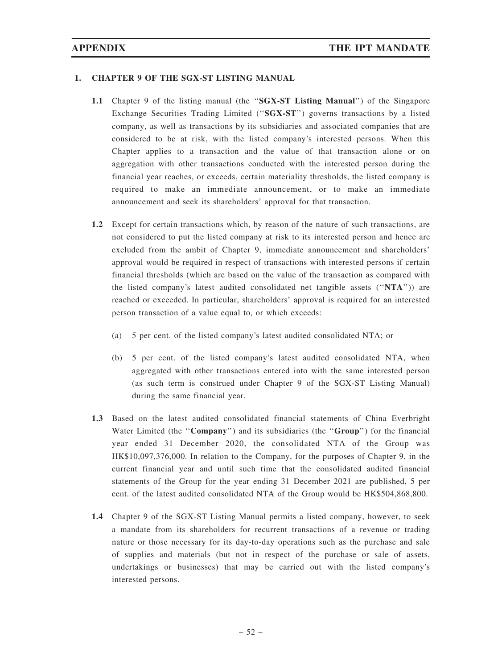### 1. CHAPTER 9 OF THE SGX-ST LISTING MANUAL

- 1.1 Chapter 9 of the listing manual (the ''SGX-ST Listing Manual'') of the Singapore Exchange Securities Trading Limited (''SGX-ST'') governs transactions by a listed company, as well as transactions by its subsidiaries and associated companies that are considered to be at risk, with the listed company's interested persons. When this Chapter applies to a transaction and the value of that transaction alone or on aggregation with other transactions conducted with the interested person during the financial year reaches, or exceeds, certain materiality thresholds, the listed company is required to make an immediate announcement, or to make an immediate announcement and seek its shareholders' approval for that transaction.
- 1.2 Except for certain transactions which, by reason of the nature of such transactions, are not considered to put the listed company at risk to its interested person and hence are excluded from the ambit of Chapter 9, immediate announcement and shareholders' approval would be required in respect of transactions with interested persons if certain financial thresholds (which are based on the value of the transaction as compared with the listed company's latest audited consolidated net tangible assets (''NTA'')) are reached or exceeded. In particular, shareholders' approval is required for an interested person transaction of a value equal to, or which exceeds:
	- (a) 5 per cent. of the listed company's latest audited consolidated NTA; or
	- (b) 5 per cent. of the listed company's latest audited consolidated NTA, when aggregated with other transactions entered into with the same interested person (as such term is construed under Chapter 9 of the SGX-ST Listing Manual) during the same financial year.
- 1.3 Based on the latest audited consolidated financial statements of China Everbright Water Limited (the "Company") and its subsidiaries (the "Group") for the financial year ended 31 December 2020, the consolidated NTA of the Group was HK\$10,097,376,000. In relation to the Company, for the purposes of Chapter 9, in the current financial year and until such time that the consolidated audited financial statements of the Group for the year ending 31 December 2021 are published, 5 per cent. of the latest audited consolidated NTA of the Group would be HK\$504,868,800.
- 1.4 Chapter 9 of the SGX-ST Listing Manual permits a listed company, however, to seek a mandate from its shareholders for recurrent transactions of a revenue or trading nature or those necessary for its day-to-day operations such as the purchase and sale of supplies and materials (but not in respect of the purchase or sale of assets, undertakings or businesses) that may be carried out with the listed company's interested persons.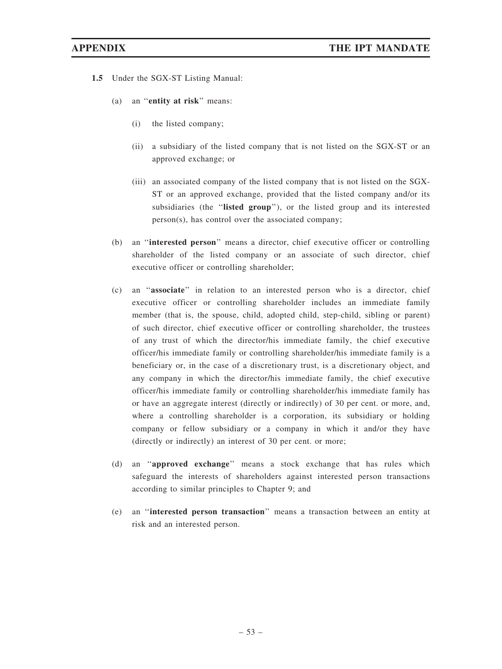- 1.5 Under the SGX-ST Listing Manual:
	- (a) an ''entity at risk'' means:
		- (i) the listed company;
		- (ii) a subsidiary of the listed company that is not listed on the SGX-ST or an approved exchange; or
		- (iii) an associated company of the listed company that is not listed on the SGX-ST or an approved exchange, provided that the listed company and/or its subsidiaries (the "listed group"), or the listed group and its interested person(s), has control over the associated company;
	- (b) an ''interested person'' means a director, chief executive officer or controlling shareholder of the listed company or an associate of such director, chief executive officer or controlling shareholder;
	- (c) an ''associate'' in relation to an interested person who is a director, chief executive officer or controlling shareholder includes an immediate family member (that is, the spouse, child, adopted child, step-child, sibling or parent) of such director, chief executive officer or controlling shareholder, the trustees of any trust of which the director/his immediate family, the chief executive officer/his immediate family or controlling shareholder/his immediate family is a beneficiary or, in the case of a discretionary trust, is a discretionary object, and any company in which the director/his immediate family, the chief executive officer/his immediate family or controlling shareholder/his immediate family has or have an aggregate interest (directly or indirectly) of 30 per cent. or more, and, where a controlling shareholder is a corporation, its subsidiary or holding company or fellow subsidiary or a company in which it and/or they have (directly or indirectly) an interest of 30 per cent. or more;
	- (d) an ''approved exchange'' means a stock exchange that has rules which safeguard the interests of shareholders against interested person transactions according to similar principles to Chapter 9; and
	- (e) an ''interested person transaction'' means a transaction between an entity at risk and an interested person.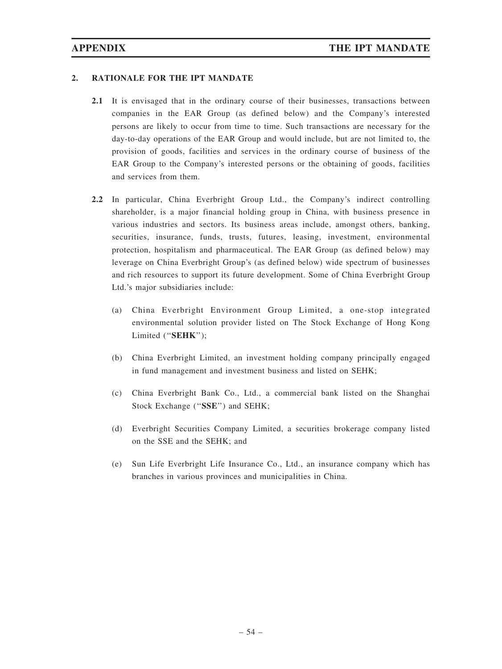### 2. RATIONALE FOR THE IPT MANDATE

- 2.1 It is envisaged that in the ordinary course of their businesses, transactions between companies in the EAR Group (as defined below) and the Company's interested persons are likely to occur from time to time. Such transactions are necessary for the day-to-day operations of the EAR Group and would include, but are not limited to, the provision of goods, facilities and services in the ordinary course of business of the EAR Group to the Company's interested persons or the obtaining of goods, facilities and services from them.
- 2.2 In particular, China Everbright Group Ltd., the Company's indirect controlling shareholder, is a major financial holding group in China, with business presence in various industries and sectors. Its business areas include, amongst others, banking, securities, insurance, funds, trusts, futures, leasing, investment, environmental protection, hospitalism and pharmaceutical. The EAR Group (as defined below) may leverage on China Everbright Group's (as defined below) wide spectrum of businesses and rich resources to support its future development. Some of China Everbright Group Ltd.'s major subsidiaries include:
	- (a) China Everbright Environment Group Limited, a one-stop integrated environmental solution provider listed on The Stock Exchange of Hong Kong Limited ("SEHK");
	- (b) China Everbright Limited, an investment holding company principally engaged in fund management and investment business and listed on SEHK;
	- (c) China Everbright Bank Co., Ltd., a commercial bank listed on the Shanghai Stock Exchange ("SSE") and SEHK;
	- (d) Everbright Securities Company Limited, a securities brokerage company listed on the SSE and the SEHK; and
	- (e) Sun Life Everbright Life Insurance Co., Ltd., an insurance company which has branches in various provinces and municipalities in China.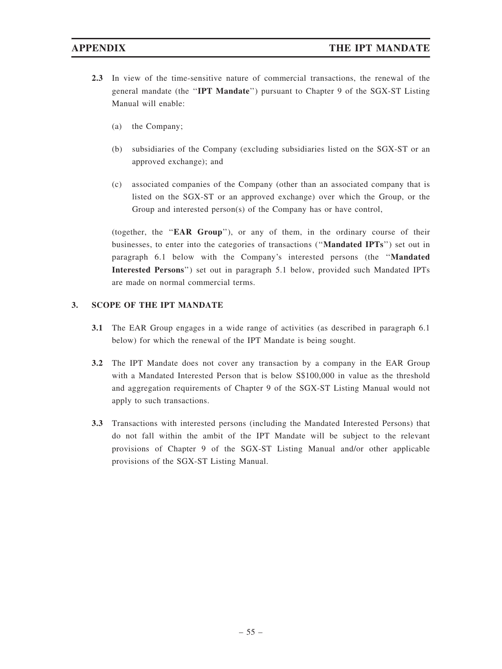- 2.3 In view of the time-sensitive nature of commercial transactions, the renewal of the general mandate (the ''IPT Mandate'') pursuant to Chapter 9 of the SGX-ST Listing Manual will enable:
	- (a) the Company;
	- (b) subsidiaries of the Company (excluding subsidiaries listed on the SGX-ST or an approved exchange); and
	- (c) associated companies of the Company (other than an associated company that is listed on the SGX-ST or an approved exchange) over which the Group, or the Group and interested person(s) of the Company has or have control,

(together, the ''EAR Group''), or any of them, in the ordinary course of their businesses, to enter into the categories of transactions (''Mandated IPTs'') set out in paragraph 6.1 below with the Company's interested persons (the ''Mandated Interested Persons'') set out in paragraph 5.1 below, provided such Mandated IPTs are made on normal commercial terms.

# 3. SCOPE OF THE IPT MANDATE

- 3.1 The EAR Group engages in a wide range of activities (as described in paragraph 6.1 below) for which the renewal of the IPT Mandate is being sought.
- 3.2 The IPT Mandate does not cover any transaction by a company in the EAR Group with a Mandated Interested Person that is below S\$100,000 in value as the threshold and aggregation requirements of Chapter 9 of the SGX-ST Listing Manual would not apply to such transactions.
- 3.3 Transactions with interested persons (including the Mandated Interested Persons) that do not fall within the ambit of the IPT Mandate will be subject to the relevant provisions of Chapter 9 of the SGX-ST Listing Manual and/or other applicable provisions of the SGX-ST Listing Manual.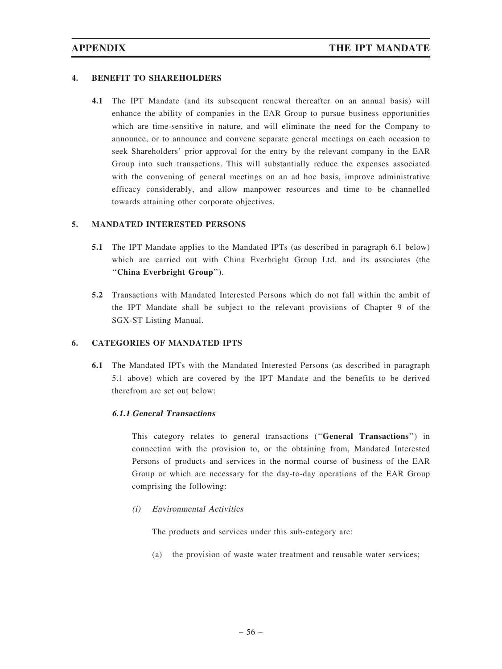### 4. BENEFIT TO SHAREHOLDERS

4.1 The IPT Mandate (and its subsequent renewal thereafter on an annual basis) will enhance the ability of companies in the EAR Group to pursue business opportunities which are time-sensitive in nature, and will eliminate the need for the Company to announce, or to announce and convene separate general meetings on each occasion to seek Shareholders' prior approval for the entry by the relevant company in the EAR Group into such transactions. This will substantially reduce the expenses associated with the convening of general meetings on an ad hoc basis, improve administrative efficacy considerably, and allow manpower resources and time to be channelled towards attaining other corporate objectives.

# 5. MANDATED INTERESTED PERSONS

- 5.1 The IPT Mandate applies to the Mandated IPTs (as described in paragraph 6.1 below) which are carried out with China Everbright Group Ltd. and its associates (the ''China Everbright Group'').
- 5.2 Transactions with Mandated Interested Persons which do not fall within the ambit of the IPT Mandate shall be subject to the relevant provisions of Chapter 9 of the SGX-ST Listing Manual.

# 6. CATEGORIES OF MANDATED IPTS

6.1 The Mandated IPTs with the Mandated Interested Persons (as described in paragraph 5.1 above) which are covered by the IPT Mandate and the benefits to be derived therefrom are set out below:

### 6.1.1 General Transactions

This category relates to general transactions (''General Transactions'') in connection with the provision to, or the obtaining from, Mandated Interested Persons of products and services in the normal course of business of the EAR Group or which are necessary for the day-to-day operations of the EAR Group comprising the following:

(i) Environmental Activities

The products and services under this sub-category are:

(a) the provision of waste water treatment and reusable water services;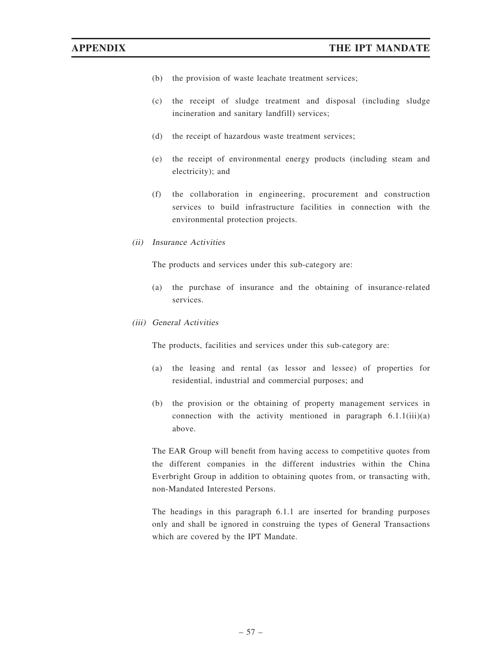- (b) the provision of waste leachate treatment services;
- (c) the receipt of sludge treatment and disposal (including sludge incineration and sanitary landfill) services;
- (d) the receipt of hazardous waste treatment services;
- (e) the receipt of environmental energy products (including steam and electricity); and
- (f) the collaboration in engineering, procurement and construction services to build infrastructure facilities in connection with the environmental protection projects.
- (ii) Insurance Activities

The products and services under this sub-category are:

- (a) the purchase of insurance and the obtaining of insurance-related services.
- (iii) General Activities

The products, facilities and services under this sub-category are:

- (a) the leasing and rental (as lessor and lessee) of properties for residential, industrial and commercial purposes; and
- (b) the provision or the obtaining of property management services in connection with the activity mentioned in paragraph  $6.1.1(iii)(a)$ above.

The EAR Group will benefit from having access to competitive quotes from the different companies in the different industries within the China Everbright Group in addition to obtaining quotes from, or transacting with, non-Mandated Interested Persons.

The headings in this paragraph 6.1.1 are inserted for branding purposes only and shall be ignored in construing the types of General Transactions which are covered by the IPT Mandate.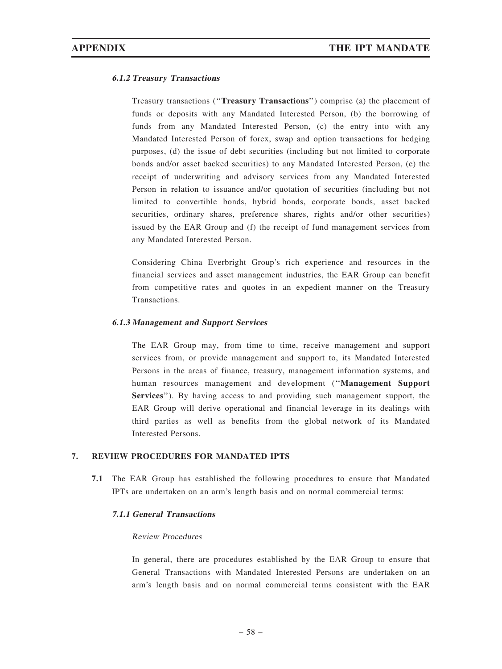#### 6.1.2 Treasury Transactions

Treasury transactions (''Treasury Transactions'') comprise (a) the placement of funds or deposits with any Mandated Interested Person, (b) the borrowing of funds from any Mandated Interested Person, (c) the entry into with any Mandated Interested Person of forex, swap and option transactions for hedging purposes, (d) the issue of debt securities (including but not limited to corporate bonds and/or asset backed securities) to any Mandated Interested Person, (e) the receipt of underwriting and advisory services from any Mandated Interested Person in relation to issuance and/or quotation of securities (including but not limited to convertible bonds, hybrid bonds, corporate bonds, asset backed securities, ordinary shares, preference shares, rights and/or other securities) issued by the EAR Group and (f) the receipt of fund management services from any Mandated Interested Person.

Considering China Everbright Group's rich experience and resources in the financial services and asset management industries, the EAR Group can benefit from competitive rates and quotes in an expedient manner on the Treasury Transactions.

#### 6.1.3 Management and Support Services

The EAR Group may, from time to time, receive management and support services from, or provide management and support to, its Mandated Interested Persons in the areas of finance, treasury, management information systems, and human resources management and development (''Management Support Services''). By having access to and providing such management support, the EAR Group will derive operational and financial leverage in its dealings with third parties as well as benefits from the global network of its Mandated Interested Persons.

### 7. REVIEW PROCEDURES FOR MANDATED IPTS

7.1 The EAR Group has established the following procedures to ensure that Mandated IPTs are undertaken on an arm's length basis and on normal commercial terms:

#### 7.1.1 General Transactions

#### Review Procedures

In general, there are procedures established by the EAR Group to ensure that General Transactions with Mandated Interested Persons are undertaken on an arm's length basis and on normal commercial terms consistent with the EAR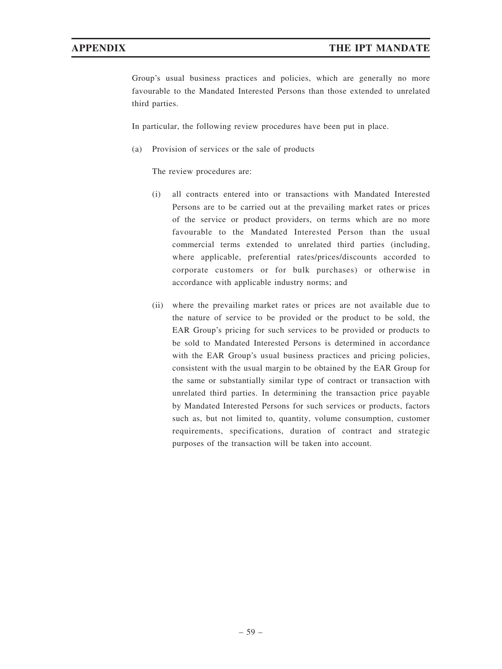Group's usual business practices and policies, which are generally no more favourable to the Mandated Interested Persons than those extended to unrelated third parties.

In particular, the following review procedures have been put in place.

(a) Provision of services or the sale of products

The review procedures are:

- (i) all contracts entered into or transactions with Mandated Interested Persons are to be carried out at the prevailing market rates or prices of the service or product providers, on terms which are no more favourable to the Mandated Interested Person than the usual commercial terms extended to unrelated third parties (including, where applicable, preferential rates/prices/discounts accorded to corporate customers or for bulk purchases) or otherwise in accordance with applicable industry norms; and
- (ii) where the prevailing market rates or prices are not available due to the nature of service to be provided or the product to be sold, the EAR Group's pricing for such services to be provided or products to be sold to Mandated Interested Persons is determined in accordance with the EAR Group's usual business practices and pricing policies, consistent with the usual margin to be obtained by the EAR Group for the same or substantially similar type of contract or transaction with unrelated third parties. In determining the transaction price payable by Mandated Interested Persons for such services or products, factors such as, but not limited to, quantity, volume consumption, customer requirements, specifications, duration of contract and strategic purposes of the transaction will be taken into account.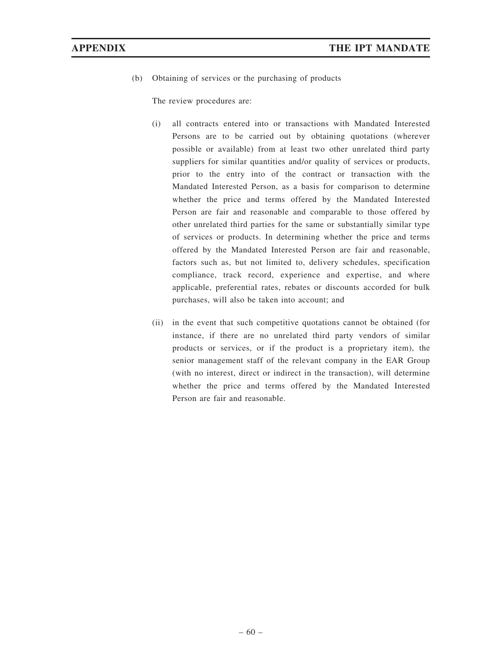(b) Obtaining of services or the purchasing of products

The review procedures are:

- (i) all contracts entered into or transactions with Mandated Interested Persons are to be carried out by obtaining quotations (wherever possible or available) from at least two other unrelated third party suppliers for similar quantities and/or quality of services or products, prior to the entry into of the contract or transaction with the Mandated Interested Person, as a basis for comparison to determine whether the price and terms offered by the Mandated Interested Person are fair and reasonable and comparable to those offered by other unrelated third parties for the same or substantially similar type of services or products. In determining whether the price and terms offered by the Mandated Interested Person are fair and reasonable, factors such as, but not limited to, delivery schedules, specification compliance, track record, experience and expertise, and where applicable, preferential rates, rebates or discounts accorded for bulk purchases, will also be taken into account; and
- (ii) in the event that such competitive quotations cannot be obtained (for instance, if there are no unrelated third party vendors of similar products or services, or if the product is a proprietary item), the senior management staff of the relevant company in the EAR Group (with no interest, direct or indirect in the transaction), will determine whether the price and terms offered by the Mandated Interested Person are fair and reasonable.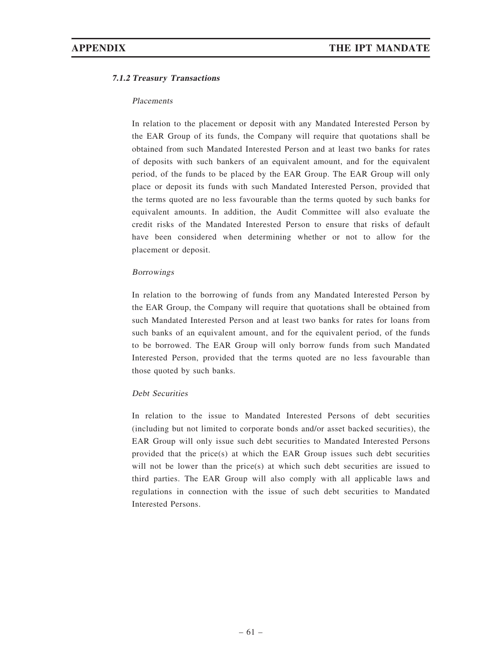### 7.1.2 Treasury Transactions

#### Placements

In relation to the placement or deposit with any Mandated Interested Person by the EAR Group of its funds, the Company will require that quotations shall be obtained from such Mandated Interested Person and at least two banks for rates of deposits with such bankers of an equivalent amount, and for the equivalent period, of the funds to be placed by the EAR Group. The EAR Group will only place or deposit its funds with such Mandated Interested Person, provided that the terms quoted are no less favourable than the terms quoted by such banks for equivalent amounts. In addition, the Audit Committee will also evaluate the credit risks of the Mandated Interested Person to ensure that risks of default have been considered when determining whether or not to allow for the placement or deposit.

#### Borrowings

In relation to the borrowing of funds from any Mandated Interested Person by the EAR Group, the Company will require that quotations shall be obtained from such Mandated Interested Person and at least two banks for rates for loans from such banks of an equivalent amount, and for the equivalent period, of the funds to be borrowed. The EAR Group will only borrow funds from such Mandated Interested Person, provided that the terms quoted are no less favourable than those quoted by such banks.

#### Debt Securities

In relation to the issue to Mandated Interested Persons of debt securities (including but not limited to corporate bonds and/or asset backed securities), the EAR Group will only issue such debt securities to Mandated Interested Persons provided that the price(s) at which the EAR Group issues such debt securities will not be lower than the price(s) at which such debt securities are issued to third parties. The EAR Group will also comply with all applicable laws and regulations in connection with the issue of such debt securities to Mandated Interested Persons.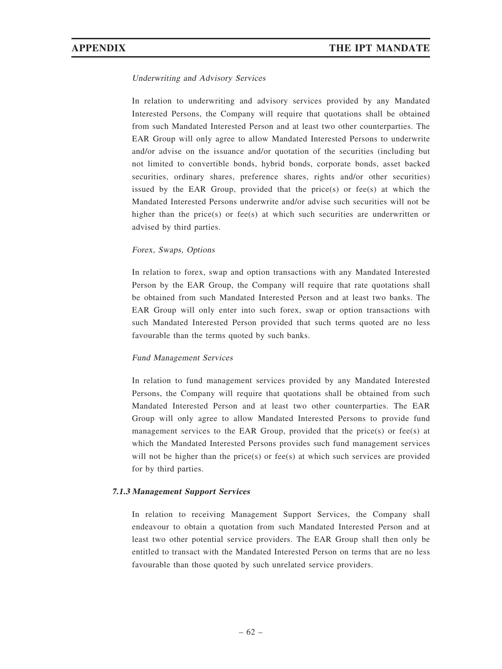#### Underwriting and Advisory Services

In relation to underwriting and advisory services provided by any Mandated Interested Persons, the Company will require that quotations shall be obtained from such Mandated Interested Person and at least two other counterparties. The EAR Group will only agree to allow Mandated Interested Persons to underwrite and/or advise on the issuance and/or quotation of the securities (including but not limited to convertible bonds, hybrid bonds, corporate bonds, asset backed securities, ordinary shares, preference shares, rights and/or other securities) issued by the EAR Group, provided that the price(s) or fee(s) at which the Mandated Interested Persons underwrite and/or advise such securities will not be higher than the price(s) or fee(s) at which such securities are underwritten or advised by third parties.

#### Forex, Swaps, Options

In relation to forex, swap and option transactions with any Mandated Interested Person by the EAR Group, the Company will require that rate quotations shall be obtained from such Mandated Interested Person and at least two banks. The EAR Group will only enter into such forex, swap or option transactions with such Mandated Interested Person provided that such terms quoted are no less favourable than the terms quoted by such banks.

#### Fund Management Services

In relation to fund management services provided by any Mandated Interested Persons, the Company will require that quotations shall be obtained from such Mandated Interested Person and at least two other counterparties. The EAR Group will only agree to allow Mandated Interested Persons to provide fund management services to the EAR Group, provided that the price(s) or fee(s) at which the Mandated Interested Persons provides such fund management services will not be higher than the price(s) or fee(s) at which such services are provided for by third parties.

#### 7.1.3 Management Support Services

In relation to receiving Management Support Services, the Company shall endeavour to obtain a quotation from such Mandated Interested Person and at least two other potential service providers. The EAR Group shall then only be entitled to transact with the Mandated Interested Person on terms that are no less favourable than those quoted by such unrelated service providers.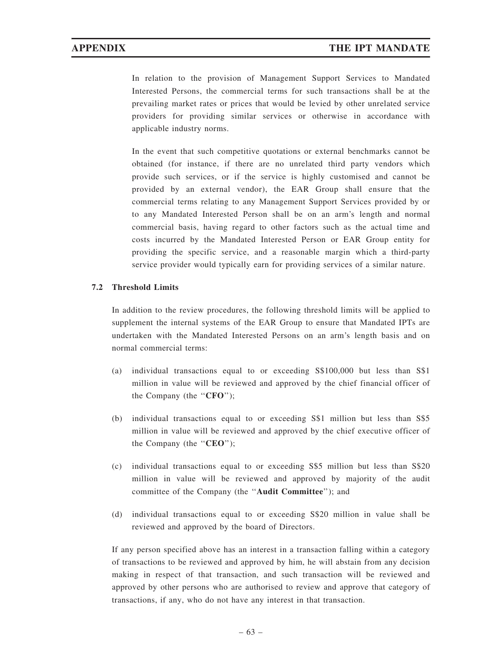In relation to the provision of Management Support Services to Mandated Interested Persons, the commercial terms for such transactions shall be at the prevailing market rates or prices that would be levied by other unrelated service providers for providing similar services or otherwise in accordance with applicable industry norms.

In the event that such competitive quotations or external benchmarks cannot be obtained (for instance, if there are no unrelated third party vendors which provide such services, or if the service is highly customised and cannot be provided by an external vendor), the EAR Group shall ensure that the commercial terms relating to any Management Support Services provided by or to any Mandated Interested Person shall be on an arm's length and normal commercial basis, having regard to other factors such as the actual time and costs incurred by the Mandated Interested Person or EAR Group entity for providing the specific service, and a reasonable margin which a third-party service provider would typically earn for providing services of a similar nature.

#### 7.2 Threshold Limits

In addition to the review procedures, the following threshold limits will be applied to supplement the internal systems of the EAR Group to ensure that Mandated IPTs are undertaken with the Mandated Interested Persons on an arm's length basis and on normal commercial terms:

- (a) individual transactions equal to or exceeding S\$100,000 but less than S\$1 million in value will be reviewed and approved by the chief financial officer of the Company (the "CFO");
- (b) individual transactions equal to or exceeding S\$1 million but less than S\$5 million in value will be reviewed and approved by the chief executive officer of the Company (the "CEO");
- (c) individual transactions equal to or exceeding S\$5 million but less than S\$20 million in value will be reviewed and approved by majority of the audit committee of the Company (the ''Audit Committee''); and
- (d) individual transactions equal to or exceeding S\$20 million in value shall be reviewed and approved by the board of Directors.

If any person specified above has an interest in a transaction falling within a category of transactions to be reviewed and approved by him, he will abstain from any decision making in respect of that transaction, and such transaction will be reviewed and approved by other persons who are authorised to review and approve that category of transactions, if any, who do not have any interest in that transaction.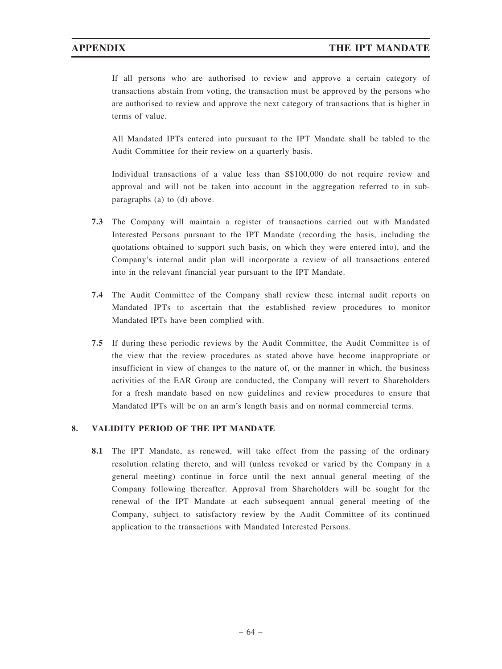If all persons who are authorised to review and approve a certain category of transactions abstain from voting, the transaction must be approved by the persons who are authorised to review and approve the next category of transactions that is higher in terms of value.

All Mandated IPTs entered into pursuant to the IPT Mandate shall be tabled to the Audit Committee for their review on a quarterly basis.

Individual transactions of a value less than S\$100,000 do not require review and approval and will not be taken into account in the aggregation referred to in subparagraphs (a) to (d) above.

- 7.3 The Company will maintain a register of transactions carried out with Mandated Interested Persons pursuant to the IPT Mandate (recording the basis, including the quotations obtained to support such basis, on which they were entered into), and the Company's internal audit plan will incorporate a review of all transactions entered into in the relevant financial year pursuant to the IPT Mandate.
- 7.4 The Audit Committee of the Company shall review these internal audit reports on Mandated IPTs to ascertain that the established review procedures to monitor Mandated IPTs have been complied with.
- 7.5 If during these periodic reviews by the Audit Committee, the Audit Committee is of the view that the review procedures as stated above have become inappropriate or insufficient in view of changes to the nature of, or the manner in which, the business activities of the EAR Group are conducted, the Company will revert to Shareholders for a fresh mandate based on new guidelines and review procedures to ensure that Mandated IPTs will be on an arm's length basis and on normal commercial terms.

### 8. VALIDITY PERIOD OF THE IPT MANDATE

8.1 The IPT Mandate, as renewed, will take effect from the passing of the ordinary resolution relating thereto, and will (unless revoked or varied by the Company in a general meeting) continue in force until the next annual general meeting of the Company following thereafter. Approval from Shareholders will be sought for the renewal of the IPT Mandate at each subsequent annual general meeting of the Company, subject to satisfactory review by the Audit Committee of its continued application to the transactions with Mandated Interested Persons.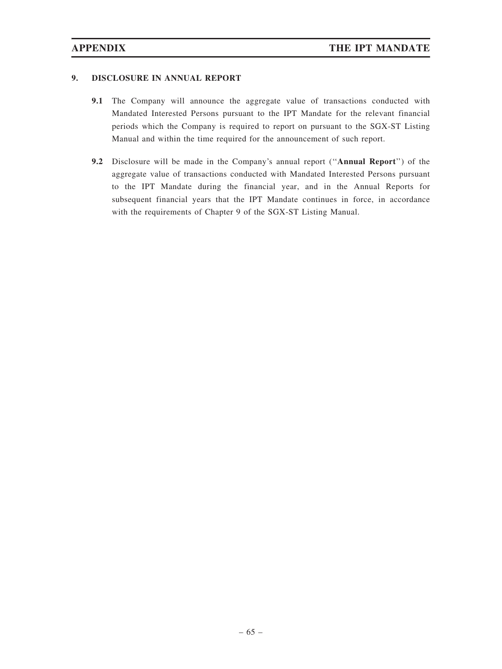### 9. DISCLOSURE IN ANNUAL REPORT

- 9.1 The Company will announce the aggregate value of transactions conducted with Mandated Interested Persons pursuant to the IPT Mandate for the relevant financial periods which the Company is required to report on pursuant to the SGX-ST Listing Manual and within the time required for the announcement of such report.
- 9.2 Disclosure will be made in the Company's annual report ("Annual Report") of the aggregate value of transactions conducted with Mandated Interested Persons pursuant to the IPT Mandate during the financial year, and in the Annual Reports for subsequent financial years that the IPT Mandate continues in force, in accordance with the requirements of Chapter 9 of the SGX-ST Listing Manual.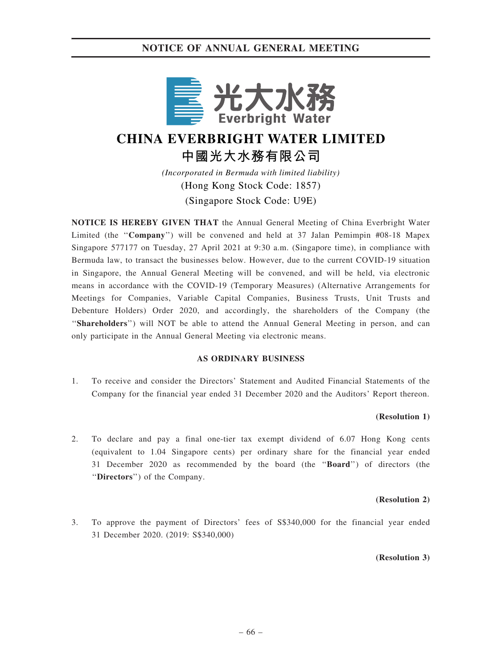

# **CHINA EVERBRIGHT WATER LIMITED 中國光大水務有限公司**

*(Incorporated in Bermuda with limited liability)* (Hong Kong Stock Code: 1857) (Singapore Stock Code: U9E)

NOTICE IS HEREBY GIVEN THAT the Annual General Meeting of China Everbright Water Limited (the "Company") will be convened and held at 37 Jalan Pemimpin #08-18 Mapex Singapore 577177 on Tuesday, 27 April 2021 at 9:30 a.m. (Singapore time), in compliance with Bermuda law, to transact the businesses below. However, due to the current COVID-19 situation in Singapore, the Annual General Meeting will be convened, and will be held, via electronic means in accordance with the COVID-19 (Temporary Measures) (Alternative Arrangements for Meetings for Companies, Variable Capital Companies, Business Trusts, Unit Trusts and Debenture Holders) Order 2020, and accordingly, the shareholders of the Company (the ''Shareholders'') will NOT be able to attend the Annual General Meeting in person, and can only participate in the Annual General Meeting via electronic means.

### AS ORDINARY BUSINESS

1. To receive and consider the Directors' Statement and Audited Financial Statements of the Company for the financial year ended 31 December 2020 and the Auditors' Report thereon.

#### (Resolution 1)

2. To declare and pay a final one-tier tax exempt dividend of 6.07 Hong Kong cents (equivalent to 1.04 Singapore cents) per ordinary share for the financial year ended 31 December 2020 as recommended by the board (the ''Board'') of directors (the ''Directors'') of the Company.

#### (Resolution 2)

3. To approve the payment of Directors' fees of S\$340,000 for the financial year ended 31 December 2020. (2019: S\$340,000)

#### (Resolution 3)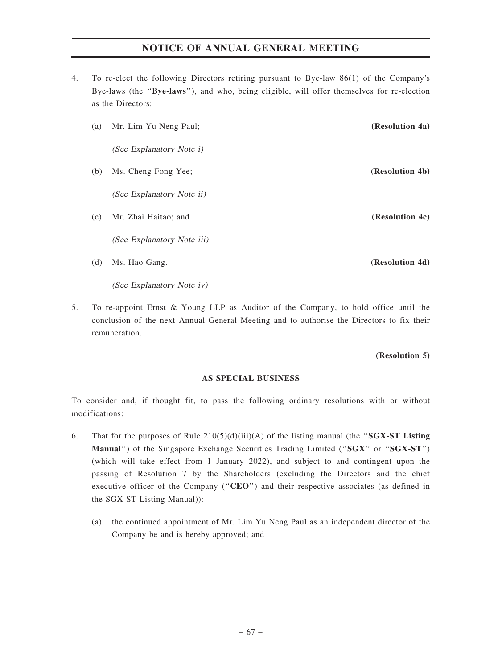4. To re-elect the following Directors retiring pursuant to Bye-law 86(1) of the Company's Bye-laws (the ''Bye-laws''), and who, being eligible, will offer themselves for re-election as the Directors:

| (a) | Mr. Lim Yu Neng Paul;      | (Resolution 4a) |
|-----|----------------------------|-----------------|
|     | (See Explanatory Note i)   |                 |
| (b) | Ms. Cheng Fong Yee;        | (Resolution 4b) |
|     | (See Explanatory Note ii)  |                 |
| (c) | Mr. Zhai Haitao; and       | (Resolution 4c) |
|     | (See Explanatory Note iii) |                 |

(d) Ms. Hao Gang. (Resolution 4d)

(See Explanatory Note iv)

5. To re-appoint Ernst & Young LLP as Auditor of the Company, to hold office until the conclusion of the next Annual General Meeting and to authorise the Directors to fix their remuneration.

#### (Resolution 5)

#### AS SPECIAL BUSINESS

To consider and, if thought fit, to pass the following ordinary resolutions with or without modifications:

- 6. That for the purposes of Rule  $210(5)(d)(iii)(A)$  of the listing manual (the "SGX-ST Listing Manual") of the Singapore Exchange Securities Trading Limited ("SGX" or "SGX-ST") (which will take effect from 1 January 2022), and subject to and contingent upon the passing of Resolution 7 by the Shareholders (excluding the Directors and the chief executive officer of the Company (''CEO'') and their respective associates (as defined in the SGX-ST Listing Manual)):
	- (a) the continued appointment of Mr. Lim Yu Neng Paul as an independent director of the Company be and is hereby approved; and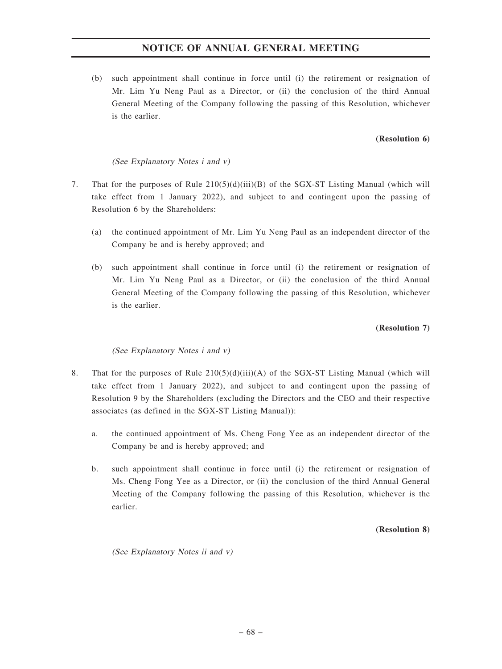(b) such appointment shall continue in force until (i) the retirement or resignation of Mr. Lim Yu Neng Paul as a Director, or (ii) the conclusion of the third Annual General Meeting of the Company following the passing of this Resolution, whichever is the earlier.

### (Resolution 6)

# (See Explanatory Notes i and v)

- 7. That for the purposes of Rule  $210(5)(d)(iii)(B)$  of the SGX-ST Listing Manual (which will take effect from 1 January 2022), and subject to and contingent upon the passing of Resolution 6 by the Shareholders:
	- (a) the continued appointment of Mr. Lim Yu Neng Paul as an independent director of the Company be and is hereby approved; and
	- (b) such appointment shall continue in force until (i) the retirement or resignation of Mr. Lim Yu Neng Paul as a Director, or (ii) the conclusion of the third Annual General Meeting of the Company following the passing of this Resolution, whichever is the earlier.

#### (Resolution 7)

### (See Explanatory Notes i and v)

- 8. That for the purposes of Rule  $210(5)(d)(iii)(A)$  of the SGX-ST Listing Manual (which will take effect from 1 January 2022), and subject to and contingent upon the passing of Resolution 9 by the Shareholders (excluding the Directors and the CEO and their respective associates (as defined in the SGX-ST Listing Manual)):
	- a. the continued appointment of Ms. Cheng Fong Yee as an independent director of the Company be and is hereby approved; and
	- b. such appointment shall continue in force until (i) the retirement or resignation of Ms. Cheng Fong Yee as a Director, or (ii) the conclusion of the third Annual General Meeting of the Company following the passing of this Resolution, whichever is the earlier.

(Resolution 8)

(See Explanatory Notes ii and v)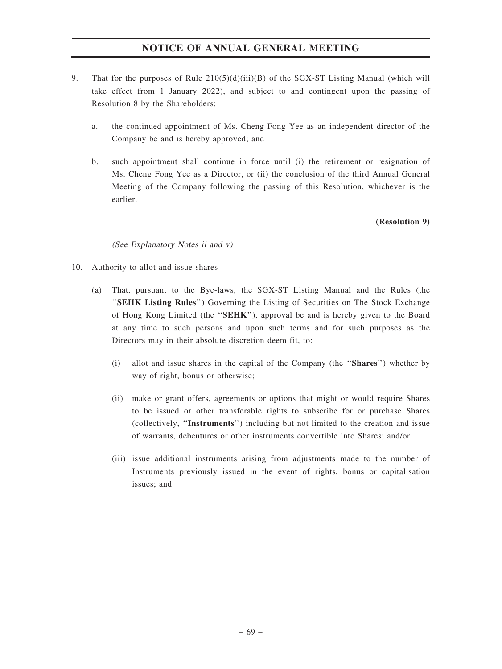- 9. That for the purposes of Rule 210(5)(d)(iii)(B) of the SGX-ST Listing Manual (which will take effect from 1 January 2022), and subject to and contingent upon the passing of Resolution 8 by the Shareholders:
	- a. the continued appointment of Ms. Cheng Fong Yee as an independent director of the Company be and is hereby approved; and
	- b. such appointment shall continue in force until (i) the retirement or resignation of Ms. Cheng Fong Yee as a Director, or (ii) the conclusion of the third Annual General Meeting of the Company following the passing of this Resolution, whichever is the earlier.

### (Resolution 9)

### (See Explanatory Notes ii and v)

- 10. Authority to allot and issue shares
	- (a) That, pursuant to the Bye-laws, the SGX-ST Listing Manual and the Rules (the "SEHK Listing Rules") Governing the Listing of Securities on The Stock Exchange of Hong Kong Limited (the ''SEHK''), approval be and is hereby given to the Board at any time to such persons and upon such terms and for such purposes as the Directors may in their absolute discretion deem fit, to:
		- (i) allot and issue shares in the capital of the Company (the ''Shares'') whether by way of right, bonus or otherwise;
		- (ii) make or grant offers, agreements or options that might or would require Shares to be issued or other transferable rights to subscribe for or purchase Shares (collectively, ''Instruments'') including but not limited to the creation and issue of warrants, debentures or other instruments convertible into Shares; and/or
		- (iii) issue additional instruments arising from adjustments made to the number of Instruments previously issued in the event of rights, bonus or capitalisation issues; and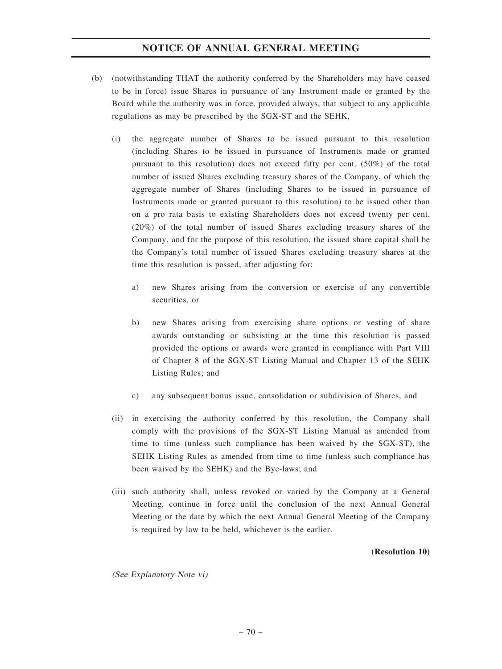- (b) (notwithstanding THAT the authority conferred by the Shareholders may have ceased to be in force) issue Shares in pursuance of any Instrument made or granted by the Board while the authority was in force, provided always, that subject to any applicable regulations as may be prescribed by the SGX-ST and the SEHK,
	- (i) the aggregate number of Shares to be issued pursuant to this resolution (including Shares to be issued in pursuance of Instruments made or granted pursuant to this resolution) does not exceed fifty per cent. (50%) of the total number of issued Shares excluding treasury shares of the Company, of which the aggregate number of Shares (including Shares to be issued in pursuance of Instruments made or granted pursuant to this resolution) to be issued other than on a pro rata basis to existing Shareholders does not exceed twenty per cent. (20%) of the total number of issued Shares excluding treasury shares of the Company, and for the purpose of this resolution, the issued share capital shall be the Company's total number of issued Shares excluding treasury shares at the time this resolution is passed, after adjusting for:
		- a) new Shares arising from the conversion or exercise of any convertible securities, or
		- b) new Shares arising from exercising share options or vesting of share awards outstanding or subsisting at the time this resolution is passed provided the options or awards were granted in compliance with Part VIII of Chapter 8 of the SGX-ST Listing Manual and Chapter 13 of the SEHK Listing Rules; and
		- c) any subsequent bonus issue, consolidation or subdivision of Shares, and
	- (ii) in exercising the authority conferred by this resolution, the Company shall comply with the provisions of the SGX-ST Listing Manual as amended from time to time (unless such compliance has been waived by the SGX-ST), the SEHK Listing Rules as amended from time to time (unless such compliance has been waived by the SEHK) and the Bye-laws; and
	- (iii) such authority shall, unless revoked or varied by the Company at a General Meeting, continue in force until the conclusion of the next Annual General Meeting or the date by which the next Annual General Meeting of the Company is required by law to be held, whichever is the earlier.

(Resolution 10)

(See Explanatory Note vi)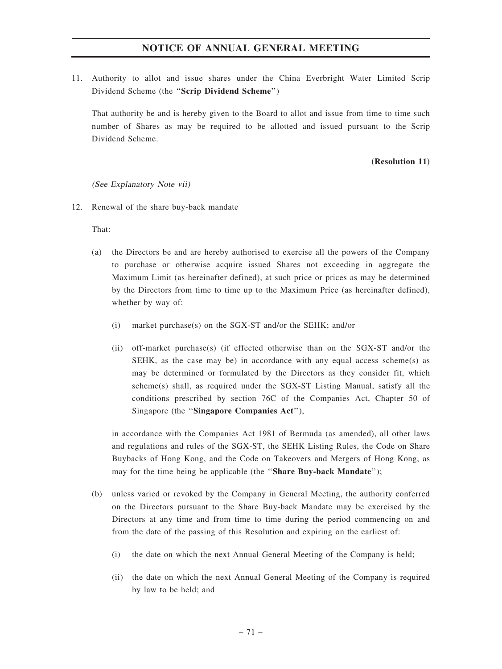11. Authority to allot and issue shares under the China Everbright Water Limited Scrip Dividend Scheme (the ''Scrip Dividend Scheme'')

That authority be and is hereby given to the Board to allot and issue from time to time such number of Shares as may be required to be allotted and issued pursuant to the Scrip Dividend Scheme.

#### (Resolution 11)

### (See Explanatory Note vii)

12. Renewal of the share buy-back mandate

That:

- (a) the Directors be and are hereby authorised to exercise all the powers of the Company to purchase or otherwise acquire issued Shares not exceeding in aggregate the Maximum Limit (as hereinafter defined), at such price or prices as may be determined by the Directors from time to time up to the Maximum Price (as hereinafter defined), whether by way of:
	- (i) market purchase(s) on the SGX-ST and/or the SEHK; and/or
	- (ii) off-market purchase(s) (if effected otherwise than on the SGX-ST and/or the SEHK, as the case may be) in accordance with any equal access scheme(s) as may be determined or formulated by the Directors as they consider fit, which scheme(s) shall, as required under the SGX-ST Listing Manual, satisfy all the conditions prescribed by section 76C of the Companies Act, Chapter 50 of Singapore (the ''Singapore Companies Act''),

in accordance with the Companies Act 1981 of Bermuda (as amended), all other laws and regulations and rules of the SGX-ST, the SEHK Listing Rules, the Code on Share Buybacks of Hong Kong, and the Code on Takeovers and Mergers of Hong Kong, as may for the time being be applicable (the "Share Buy-back Mandate");

- (b) unless varied or revoked by the Company in General Meeting, the authority conferred on the Directors pursuant to the Share Buy-back Mandate may be exercised by the Directors at any time and from time to time during the period commencing on and from the date of the passing of this Resolution and expiring on the earliest of:
	- (i) the date on which the next Annual General Meeting of the Company is held;
	- (ii) the date on which the next Annual General Meeting of the Company is required by law to be held; and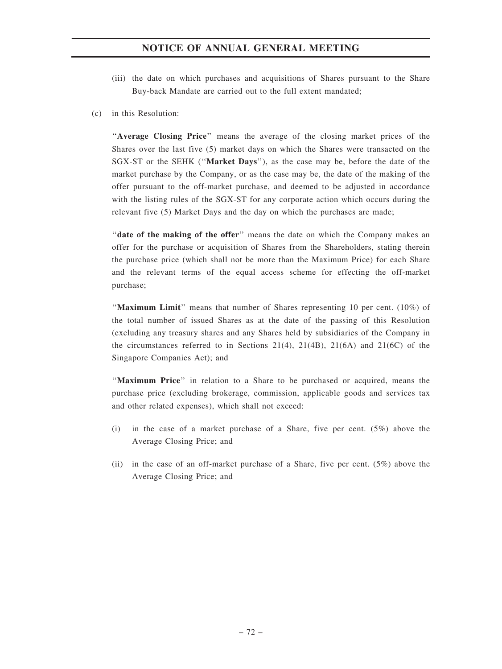- (iii) the date on which purchases and acquisitions of Shares pursuant to the Share Buy-back Mandate are carried out to the full extent mandated;
- (c) in this Resolution:

''Average Closing Price'' means the average of the closing market prices of the Shares over the last five (5) market days on which the Shares were transacted on the SGX-ST or the SEHK (''Market Days''), as the case may be, before the date of the market purchase by the Company, or as the case may be, the date of the making of the offer pursuant to the off-market purchase, and deemed to be adjusted in accordance with the listing rules of the SGX-ST for any corporate action which occurs during the relevant five (5) Market Days and the day on which the purchases are made;

"date of the making of the offer" means the date on which the Company makes an offer for the purchase or acquisition of Shares from the Shareholders, stating therein the purchase price (which shall not be more than the Maximum Price) for each Share and the relevant terms of the equal access scheme for effecting the off-market purchase;

"Maximum Limit" means that number of Shares representing 10 per cent. (10%) of the total number of issued Shares as at the date of the passing of this Resolution (excluding any treasury shares and any Shares held by subsidiaries of the Company in the circumstances referred to in Sections 21(4), 21(4B), 21(6A) and 21(6C) of the Singapore Companies Act); and

''Maximum Price'' in relation to a Share to be purchased or acquired, means the purchase price (excluding brokerage, commission, applicable goods and services tax and other related expenses), which shall not exceed:

- (i) in the case of a market purchase of a Share, five per cent. (5%) above the Average Closing Price; and
- (ii) in the case of an off-market purchase of a Share, five per cent. (5%) above the Average Closing Price; and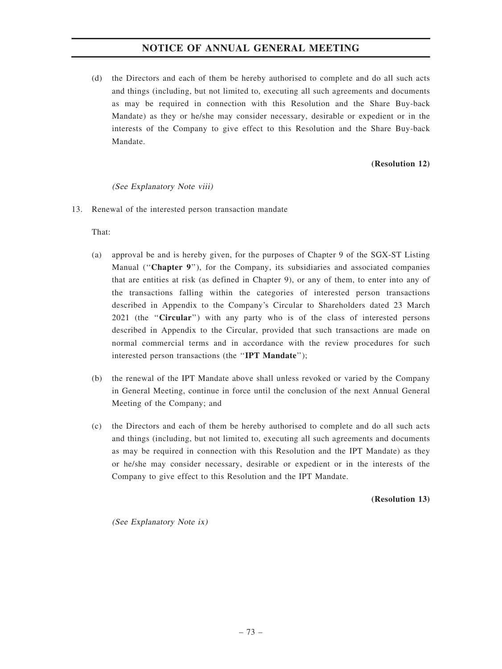(d) the Directors and each of them be hereby authorised to complete and do all such acts and things (including, but not limited to, executing all such agreements and documents as may be required in connection with this Resolution and the Share Buy-back Mandate) as they or he/she may consider necessary, desirable or expedient or in the interests of the Company to give effect to this Resolution and the Share Buy-back Mandate.

#### (Resolution 12)

#### (See Explanatory Note viii)

13. Renewal of the interested person transaction mandate

That:

- (a) approval be and is hereby given, for the purposes of Chapter 9 of the SGX-ST Listing Manual ("Chapter 9"), for the Company, its subsidiaries and associated companies that are entities at risk (as defined in Chapter 9), or any of them, to enter into any of the transactions falling within the categories of interested person transactions described in Appendix to the Company's Circular to Shareholders dated 23 March 2021 (the "Circular") with any party who is of the class of interested persons described in Appendix to the Circular, provided that such transactions are made on normal commercial terms and in accordance with the review procedures for such interested person transactions (the "IPT Mandate");
- (b) the renewal of the IPT Mandate above shall unless revoked or varied by the Company in General Meeting, continue in force until the conclusion of the next Annual General Meeting of the Company; and
- (c) the Directors and each of them be hereby authorised to complete and do all such acts and things (including, but not limited to, executing all such agreements and documents as may be required in connection with this Resolution and the IPT Mandate) as they or he/she may consider necessary, desirable or expedient or in the interests of the Company to give effect to this Resolution and the IPT Mandate.

(Resolution 13)

(See Explanatory Note ix)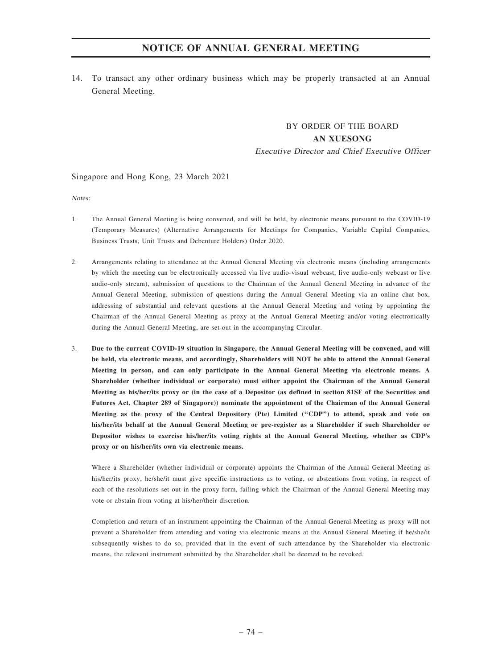14. To transact any other ordinary business which may be properly transacted at an Annual General Meeting.

> BY ORDER OF THE BOARD AN XUESONG Executive Director and Chief Executive Officer

#### Singapore and Hong Kong, 23 March 2021

Notes:

- 1. The Annual General Meeting is being convened, and will be held, by electronic means pursuant to the COVID-19 (Temporary Measures) (Alternative Arrangements for Meetings for Companies, Variable Capital Companies, Business Trusts, Unit Trusts and Debenture Holders) Order 2020.
- 2. Arrangements relating to attendance at the Annual General Meeting via electronic means (including arrangements by which the meeting can be electronically accessed via live audio-visual webcast, live audio-only webcast or live audio-only stream), submission of questions to the Chairman of the Annual General Meeting in advance of the Annual General Meeting, submission of questions during the Annual General Meeting via an online chat box, addressing of substantial and relevant questions at the Annual General Meeting and voting by appointing the Chairman of the Annual General Meeting as proxy at the Annual General Meeting and/or voting electronically during the Annual General Meeting, are set out in the accompanying Circular.
- 3. Due to the current COVID-19 situation in Singapore, the Annual General Meeting will be convened, and will be held, via electronic means, and accordingly, Shareholders will NOT be able to attend the Annual General Meeting in person, and can only participate in the Annual General Meeting via electronic means. A Shareholder (whether individual or corporate) must either appoint the Chairman of the Annual General Meeting as his/her/its proxy or (in the case of a Depositor (as defined in section 81SF of the Securities and Futures Act, Chapter 289 of Singapore)) nominate the appointment of the Chairman of the Annual General Meeting as the proxy of the Central Depository (Pte) Limited (''CDP'') to attend, speak and vote on his/her/its behalf at the Annual General Meeting or pre-register as a Shareholder if such Shareholder or Depositor wishes to exercise his/her/its voting rights at the Annual General Meeting, whether as CDP's proxy or on his/her/its own via electronic means.

Where a Shareholder (whether individual or corporate) appoints the Chairman of the Annual General Meeting as his/her/its proxy, he/she/it must give specific instructions as to voting, or abstentions from voting, in respect of each of the resolutions set out in the proxy form, failing which the Chairman of the Annual General Meeting may vote or abstain from voting at his/her/their discretion.

Completion and return of an instrument appointing the Chairman of the Annual General Meeting as proxy will not prevent a Shareholder from attending and voting via electronic means at the Annual General Meeting if he/she/it subsequently wishes to do so, provided that in the event of such attendance by the Shareholder via electronic means, the relevant instrument submitted by the Shareholder shall be deemed to be revoked.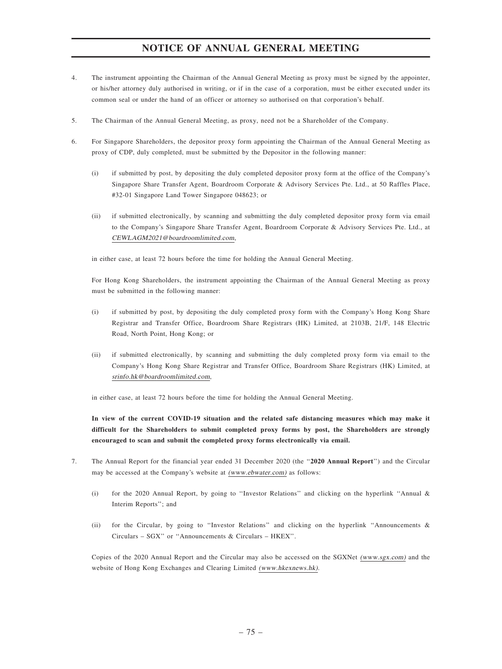- 4. The instrument appointing the Chairman of the Annual General Meeting as proxy must be signed by the appointer, or his/her attorney duly authorised in writing, or if in the case of a corporation, must be either executed under its common seal or under the hand of an officer or attorney so authorised on that corporation's behalf.
- 5. The Chairman of the Annual General Meeting, as proxy, need not be a Shareholder of the Company.
- 6. For Singapore Shareholders, the depositor proxy form appointing the Chairman of the Annual General Meeting as proxy of CDP, duly completed, must be submitted by the Depositor in the following manner:
	- (i) if submitted by post, by depositing the duly completed depositor proxy form at the office of the Company's Singapore Share Transfer Agent, Boardroom Corporate & Advisory Services Pte. Ltd., at 50 Raffles Place, #32-01 Singapore Land Tower Singapore 048623; or
	- (ii) if submitted electronically, by scanning and submitting the duly completed depositor proxy form via email to the Company's Singapore Share Transfer Agent, Boardroom Corporate & Advisory Services Pte. Ltd., at CEWLAGM2021@boardroomlimited.com,

in either case, at least 72 hours before the time for holding the Annual General Meeting.

For Hong Kong Shareholders, the instrument appointing the Chairman of the Annual General Meeting as proxy must be submitted in the following manner:

- (i) if submitted by post, by depositing the duly completed proxy form with the Company's Hong Kong Share Registrar and Transfer Office, Boardroom Share Registrars (HK) Limited, at 2103B, 21/F, 148 Electric Road, North Point, Hong Kong; or
- (ii) if submitted electronically, by scanning and submitting the duly completed proxy form via email to the Company's Hong Kong Share Registrar and Transfer Office, Boardroom Share Registrars (HK) Limited, at srinfo.hk@boardroomlimited.com,

in either case, at least 72 hours before the time for holding the Annual General Meeting.

In view of the current COVID-19 situation and the related safe distancing measures which may make it difficult for the Shareholders to submit completed proxy forms by post, the Shareholders are strongly encouraged to scan and submit the completed proxy forms electronically via email.

- 7. The Annual Report for the financial year ended 31 December 2020 (the "2020 Annual Report") and the Circular may be accessed at the Company's website at (www.ebwater.com) as follows:
	- (i) for the 2020 Annual Report, by going to ''Investor Relations'' and clicking on the hyperlink ''Annual & Interim Reports''; and
	- (ii) for the Circular, by going to ''Investor Relations'' and clicking on the hyperlink ''Announcements & Circulars – SGX'' or ''Announcements & Circulars – HKEX''.

Copies of the 2020 Annual Report and the Circular may also be accessed on the SGXNet (www.sgx.com) and the website of Hong Kong Exchanges and Clearing Limited (www.hkexnews.hk).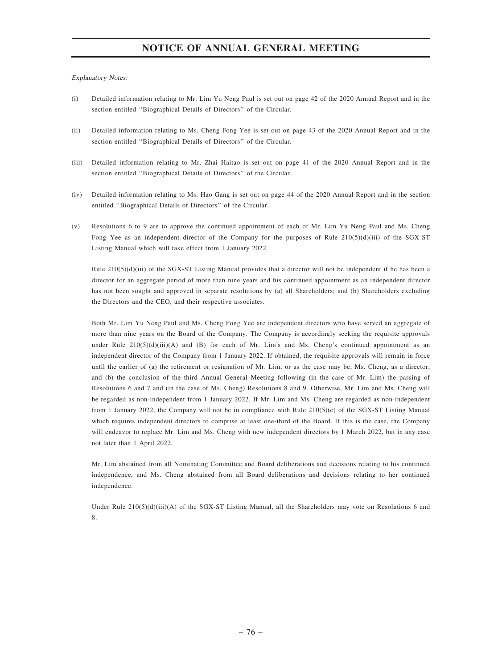Explanatory Notes:

- (i) Detailed information relating to Mr. Lim Yu Neng Paul is set out on page 42 of the 2020 Annual Report and in the section entitled ''Biographical Details of Directors'' of the Circular.
- (ii) Detailed information relating to Ms. Cheng Fong Yee is set out on page 43 of the 2020 Annual Report and in the section entitled ''Biographical Details of Directors'' of the Circular.
- (iii) Detailed information relating to Mr. Zhai Haitao is set out on page 41 of the 2020 Annual Report and in the section entitled ''Biographical Details of Directors'' of the Circular.
- (iv) Detailed information relating to Ms. Hao Gang is set out on page 44 of the 2020 Annual Report and in the section entitled ''Biographical Details of Directors'' of the Circular.
- (v) Resolutions 6 to 9 are to approve the continued appointment of each of Mr. Lim Yu Neng Paul and Ms. Cheng Fong Yee as an independent director of the Company for the purposes of Rule 210(5)(d)(iii) of the SGX-ST Listing Manual which will take effect from 1 January 2022.

Rule 210(5)(d)(iii) of the SGX-ST Listing Manual provides that a director will not be independent if he has been a director for an aggregate period of more than nine years and his continued appointment as an independent director has not been sought and approved in separate resolutions by (a) all Shareholders; and (b) Shareholders excluding the Directors and the CEO, and their respective associates.

Both Mr. Lim Yu Neng Paul and Ms. Cheng Fong Yee are independent directors who have served an aggregate of more than nine years on the Board of the Company. The Company is accordingly seeking the requisite approvals under Rule  $210(5)(d)(iii)(A)$  and (B) for each of Mr. Lim's and Ms. Cheng's continued appointment as an independent director of the Company from 1 January 2022. If obtained, the requisite approvals will remain in force until the earlier of (a) the retirement or resignation of Mr. Lim, or as the case may be, Ms. Cheng, as a director, and (b) the conclusion of the third Annual General Meeting following (in the case of Mr. Lim) the passing of Resolutions 6 and 7 and (in the case of Ms. Cheng) Resolutions 8 and 9. Otherwise, Mr. Lim and Ms. Cheng will be regarded as non-independent from 1 January 2022. If Mr. Lim and Ms. Cheng are regarded as non-independent from 1 January 2022, the Company will not be in compliance with Rule 210(5)(c) of the SGX-ST Listing Manual which requires independent directors to comprise at least one-third of the Board. If this is the case, the Company will endeavor to replace Mr. Lim and Ms. Cheng with new independent directors by 1 March 2022, but in any case not later than 1 April 2022.

Mr. Lim abstained from all Nominating Committee and Board deliberations and decisions relating to his continued independence, and Ms. Cheng abstained from all Board deliberations and decisions relating to her continued independence.

Under Rule 210(5)(d)(iii)(A) of the SGX-ST Listing Manual, all the Shareholders may vote on Resolutions 6 and 8.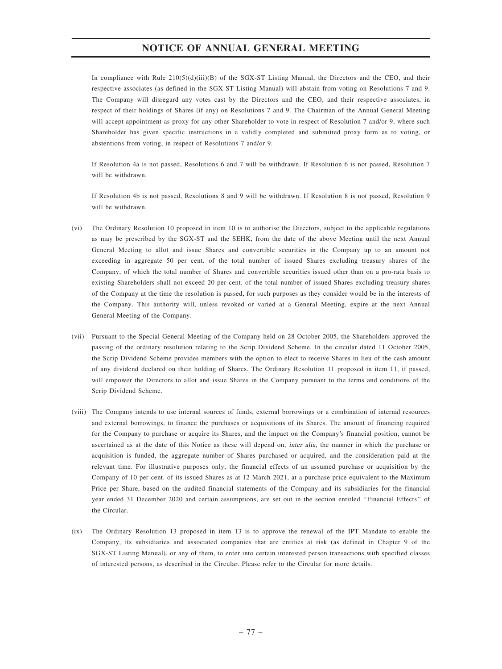In compliance with Rule  $210(5)(d)(iii)(B)$  of the SGX-ST Listing Manual, the Directors and the CEO, and their respective associates (as defined in the SGX-ST Listing Manual) will abstain from voting on Resolutions 7 and 9. The Company will disregard any votes cast by the Directors and the CEO, and their respective associates, in respect of their holdings of Shares (if any) on Resolutions 7 and 9. The Chairman of the Annual General Meeting will accept appointment as proxy for any other Shareholder to vote in respect of Resolution 7 and/or 9, where such Shareholder has given specific instructions in a validly completed and submitted proxy form as to voting, or abstentions from voting, in respect of Resolutions 7 and/or 9.

If Resolution 4a is not passed, Resolutions 6 and 7 will be withdrawn. If Resolution 6 is not passed, Resolution 7 will be withdrawn.

If Resolution 4b is not passed, Resolutions 8 and 9 will be withdrawn. If Resolution 8 is not passed, Resolution 9 will be withdrawn.

- (vi) The Ordinary Resolution 10 proposed in item 10 is to authorise the Directors, subject to the applicable regulations as may be prescribed by the SGX-ST and the SEHK, from the date of the above Meeting until the next Annual General Meeting to allot and issue Shares and convertible securities in the Company up to an amount not exceeding in aggregate 50 per cent. of the total number of issued Shares excluding treasury shares of the Company, of which the total number of Shares and convertible securities issued other than on a pro-rata basis to existing Shareholders shall not exceed 20 per cent. of the total number of issued Shares excluding treasury shares of the Company at the time the resolution is passed, for such purposes as they consider would be in the interests of the Company. This authority will, unless revoked or varied at a General Meeting, expire at the next Annual General Meeting of the Company.
- (vii) Pursuant to the Special General Meeting of the Company held on 28 October 2005, the Shareholders approved the passing of the ordinary resolution relating to the Scrip Dividend Scheme. In the circular dated 11 October 2005, the Scrip Dividend Scheme provides members with the option to elect to receive Shares in lieu of the cash amount of any dividend declared on their holding of Shares. The Ordinary Resolution 11 proposed in item 11, if passed, will empower the Directors to allot and issue Shares in the Company pursuant to the terms and conditions of the Scrip Dividend Scheme.
- (viii) The Company intends to use internal sources of funds, external borrowings or a combination of internal resources and external borrowings, to finance the purchases or acquisitions of its Shares. The amount of financing required for the Company to purchase or acquire its Shares, and the impact on the Company's financial position, cannot be ascertained as at the date of this Notice as these will depend on, inter alia, the manner in which the purchase or acquisition is funded, the aggregate number of Shares purchased or acquired, and the consideration paid at the relevant time. For illustrative purposes only, the financial effects of an assumed purchase or acquisition by the Company of 10 per cent. of its issued Shares as at 12 March 2021, at a purchase price equivalent to the Maximum Price per Share, based on the audited financial statements of the Company and its subsidiaries for the financial year ended 31 December 2020 and certain assumptions, are set out in the section entitled ''Financial Effects'' of the Circular.
- (ix) The Ordinary Resolution 13 proposed in item 13 is to approve the renewal of the IPT Mandate to enable the Company, its subsidiaries and associated companies that are entities at risk (as defined in Chapter 9 of the SGX-ST Listing Manual), or any of them, to enter into certain interested person transactions with specified classes of interested persons, as described in the Circular. Please refer to the Circular for more details.